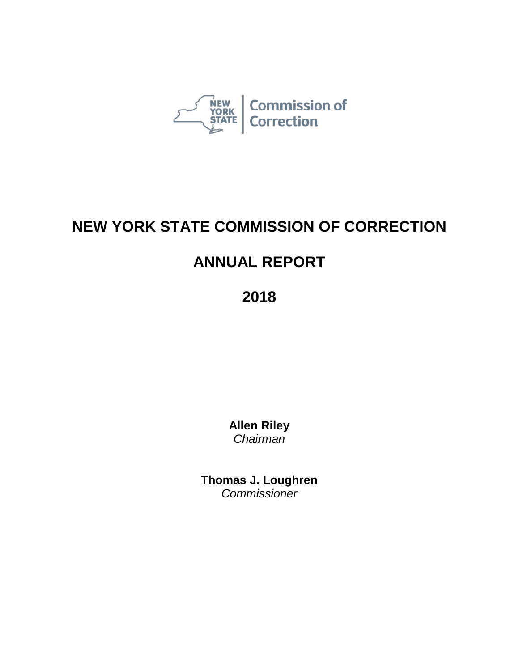

# **NEW YORK STATE COMMISSION OF CORRECTION**

# **ANNUAL REPORT**

**2018**

**Allen Riley** *Chairman*

**Thomas J. Loughren** *Commissioner*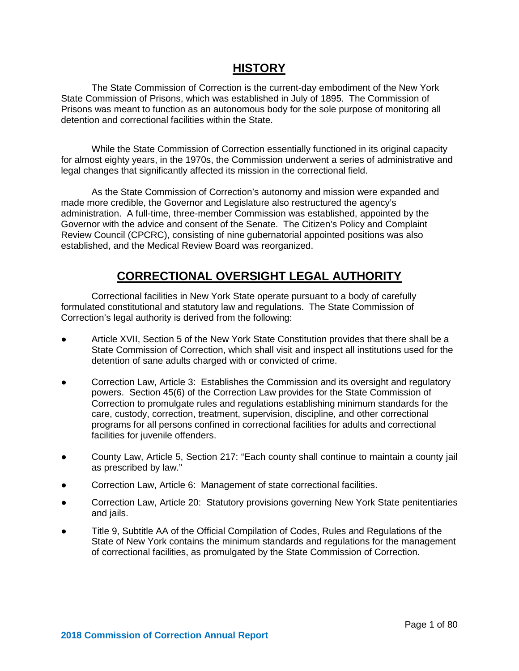# **HISTORY**

The State Commission of Correction is the current-day embodiment of the New York State Commission of Prisons, which was established in July of 1895. The Commission of Prisons was meant to function as an autonomous body for the sole purpose of monitoring all detention and correctional facilities within the State.

While the State Commission of Correction essentially functioned in its original capacity for almost eighty years, in the 1970s, the Commission underwent a series of administrative and legal changes that significantly affected its mission in the correctional field.

As the State Commission of Correction's autonomy and mission were expanded and made more credible, the Governor and Legislature also restructured the agency's administration. A full-time, three-member Commission was established, appointed by the Governor with the advice and consent of the Senate. The Citizen's Policy and Complaint Review Council (CPCRC), consisting of nine gubernatorial appointed positions was also established, and the Medical Review Board was reorganized.

# **CORRECTIONAL OVERSIGHT LEGAL AUTHORITY**

Correctional facilities in New York State operate pursuant to a body of carefully formulated constitutional and statutory law and regulations. The State Commission of Correction's legal authority is derived from the following:

- Article XVII, Section 5 of the New York State Constitution provides that there shall be a State Commission of Correction, which shall visit and inspect all institutions used for the detention of sane adults charged with or convicted of crime.
- Correction Law, Article 3: Establishes the Commission and its oversight and regulatory powers. Section 45(6) of the Correction Law provides for the State Commission of Correction to promulgate rules and regulations establishing minimum standards for the care, custody, correction, treatment, supervision, discipline, and other correctional programs for all persons confined in correctional facilities for adults and correctional facilities for juvenile offenders.
- County Law, Article 5, Section 217: "Each county shall continue to maintain a county jail as prescribed by law."
- Correction Law, Article 6: Management of state correctional facilities.
- Correction Law, Article 20: Statutory provisions governing New York State penitentiaries and jails.
- Title 9, Subtitle AA of the Official Compilation of Codes, Rules and Regulations of the State of New York contains the minimum standards and regulations for the management of correctional facilities, as promulgated by the State Commission of Correction.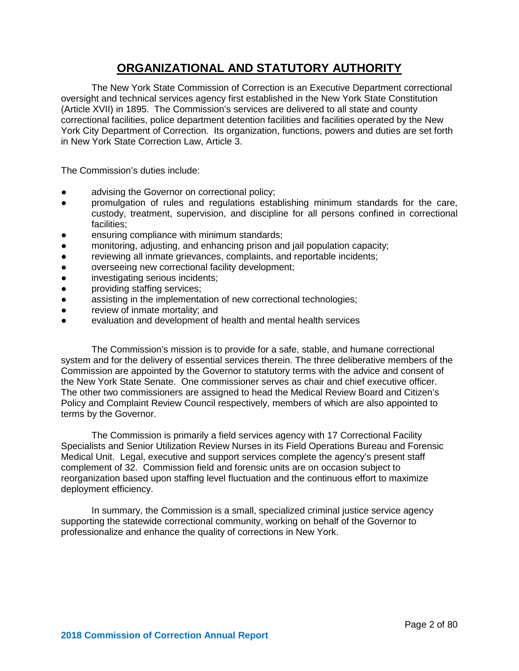# **ORGANIZATIONAL AND STATUTORY AUTHORITY**

The New York State Commission of Correction is an Executive Department correctional oversight and technical services agency first established in the New York State Constitution (Article XVII) in 1895. The Commission's services are delivered to all state and county correctional facilities, police department detention facilities and facilities operated by the New York City Department of Correction. Its organization, functions, powers and duties are set forth in New York State Correction Law, Article 3.

The Commission's duties include:

- advising the Governor on correctional policy;
- promulgation of rules and regulations establishing minimum standards for the care, custody, treatment, supervision, and discipline for all persons confined in correctional facilities;
- ensuring compliance with minimum standards;
- monitoring, adjusting, and enhancing prison and jail population capacity;
- reviewing all inmate grievances, complaints, and reportable incidents;
- overseeing new correctional facility development;
- investigating serious incidents;
- providing staffing services;
- assisting in the implementation of new correctional technologies;
- review of inmate mortality; and
- evaluation and development of health and mental health services

The Commission's mission is to provide for a safe, stable, and humane correctional system and for the delivery of essential services therein. The three deliberative members of the Commission are appointed by the Governor to statutory terms with the advice and consent of the New York State Senate. One commissioner serves as chair and chief executive officer. The other two commissioners are assigned to head the Medical Review Board and Citizen's Policy and Complaint Review Council respectively, members of which are also appointed to terms by the Governor.

The Commission is primarily a field services agency with 17 Correctional Facility Specialists and Senior Utilization Review Nurses in its Field Operations Bureau and Forensic Medical Unit. Legal, executive and support services complete the agency's present staff complement of 32. Commission field and forensic units are on occasion subject to reorganization based upon staffing level fluctuation and the continuous effort to maximize deployment efficiency.

In summary, the Commission is a small, specialized criminal justice service agency supporting the statewide correctional community, working on behalf of the Governor to professionalize and enhance the quality of corrections in New York.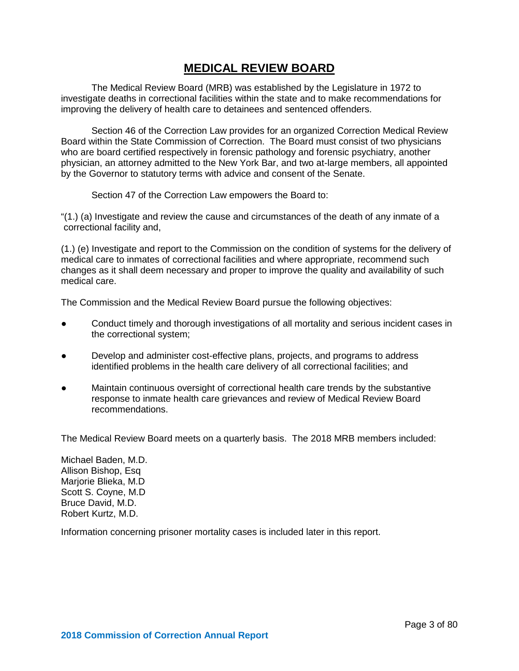# **MEDICAL REVIEW BOARD**

The Medical Review Board (MRB) was established by the Legislature in 1972 to investigate deaths in correctional facilities within the state and to make recommendations for improving the delivery of health care to detainees and sentenced offenders.

Section 46 of the Correction Law provides for an organized Correction Medical Review Board within the State Commission of Correction. The Board must consist of two physicians who are board certified respectively in forensic pathology and forensic psychiatry, another physician, an attorney admitted to the New York Bar, and two at-large members, all appointed by the Governor to statutory terms with advice and consent of the Senate.

Section 47 of the Correction Law empowers the Board to:

"(1.) (a) Investigate and review the cause and circumstances of the death of any inmate of a correctional facility and,

(1.) (e) Investigate and report to the Commission on the condition of systems for the delivery of medical care to inmates of correctional facilities and where appropriate, recommend such changes as it shall deem necessary and proper to improve the quality and availability of such medical care.

The Commission and the Medical Review Board pursue the following objectives:

- Conduct timely and thorough investigations of all mortality and serious incident cases in the correctional system;
- Develop and administer cost-effective plans, projects, and programs to address identified problems in the health care delivery of all correctional facilities; and
- Maintain continuous oversight of correctional health care trends by the substantive response to inmate health care grievances and review of Medical Review Board recommendations.

The Medical Review Board meets on a quarterly basis. The 2018 MRB members included:

Michael Baden, M.D. Allison Bishop, Esq Marjorie Blieka, M.D Scott S. Coyne, M.D Bruce David, M.D. Robert Kurtz, M.D.

Information concerning prisoner mortality cases is included later in this report.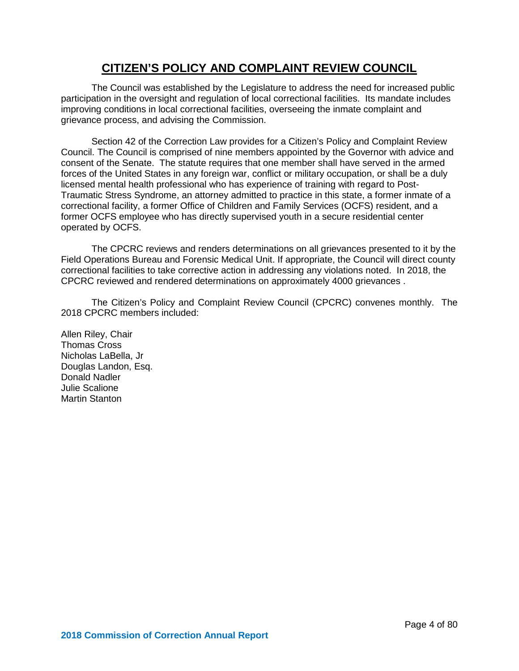# **CITIZEN'S POLICY AND COMPLAINT REVIEW COUNCIL**

The Council was established by the Legislature to address the need for increased public participation in the oversight and regulation of local correctional facilities. Its mandate includes improving conditions in local correctional facilities, overseeing the inmate complaint and grievance process, and advising the Commission.

Section 42 of the Correction Law provides for a Citizen's Policy and Complaint Review Council. The Council is comprised of nine members appointed by the Governor with advice and consent of the Senate. The statute requires that one member shall have served in the armed forces of the United States in any foreign war, conflict or military occupation, or shall be a duly licensed mental health professional who has experience of training with regard to Post-Traumatic Stress Syndrome, an attorney admitted to practice in this state, a former inmate of a correctional facility, a former Office of Children and Family Services (OCFS) resident, and a former OCFS employee who has directly supervised youth in a secure residential center operated by OCFS.

The CPCRC reviews and renders determinations on all grievances presented to it by the Field Operations Bureau and Forensic Medical Unit. If appropriate, the Council will direct county correctional facilities to take corrective action in addressing any violations noted. In 2018, the CPCRC reviewed and rendered determinations on approximately 4000 grievances .

The Citizen's Policy and Complaint Review Council (CPCRC) convenes monthly. The 2018 CPCRC members included:

Allen Riley, Chair Thomas Cross Nicholas LaBella, Jr Douglas Landon, Esq. Donald Nadler Julie Scalione Martin Stanton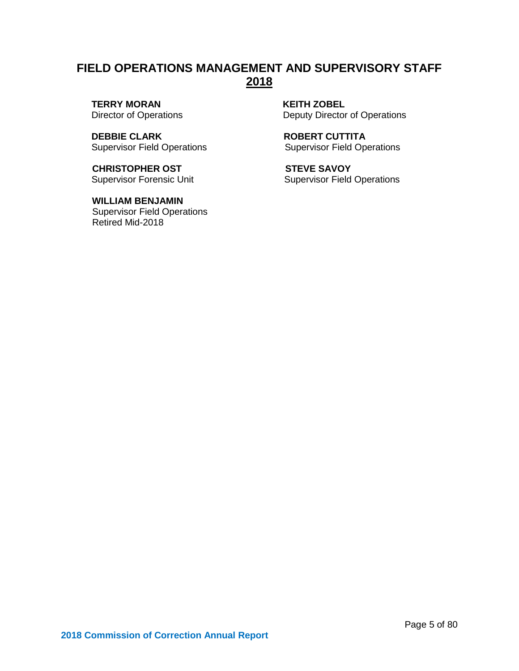# **FIELD OPERATIONS MANAGEMENT AND SUPERVISORY STAFF 2018**

**TERRY MORAN KEITH ZOBEL**<br>Director of Operations **Example 20 By Deputy Director** 

**DEBBIE CLARK ROBERT CUTTITA**<br>
Supervisor Field Operations **ROBERT CUTTITA** Supervisor Field Operations

**CHRISTOPHER OST STEVE SAVOY** 

 **WILLIAM BENJAMIN**  Supervisor Field Operations Retired Mid-2018

Deputy Director of Operations

Supervisor Forensic Unit Supervisor Field Operations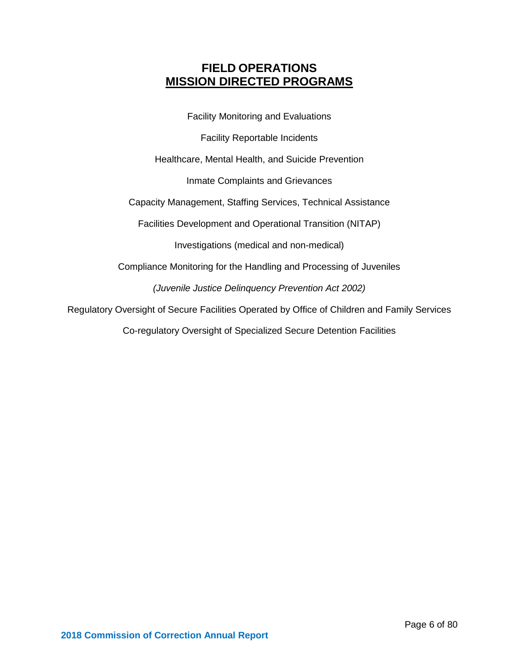# **FIELD OPERATIONS MISSION DIRECTED PROGRAMS**

Facility Monitoring and Evaluations

Facility Reportable Incidents

Healthcare, Mental Health, and Suicide Prevention

Inmate Complaints and Grievances

Capacity Management, Staffing Services, Technical Assistance

Facilities Development and Operational Transition (NITAP)

Investigations (medical and non-medical)

Compliance Monitoring for the Handling and Processing of Juveniles

*(Juvenile Justice Delinquency Prevention Act 2002)*

Regulatory Oversight of Secure Facilities Operated by Office of Children and Family Services

Co-regulatory Oversight of Specialized Secure Detention Facilities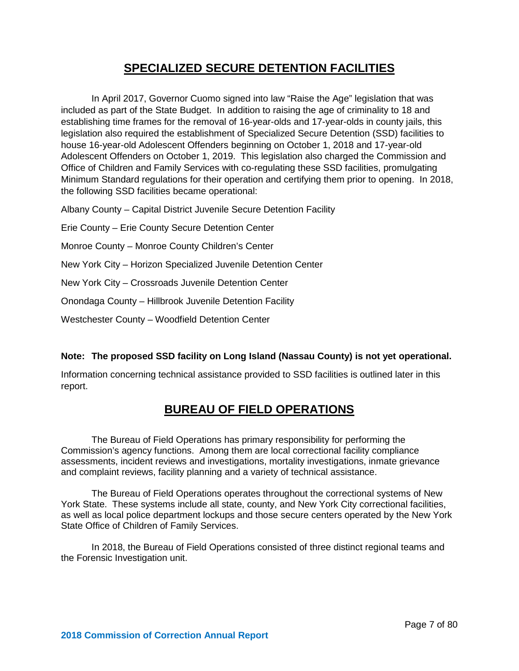# **SPECIALIZED SECURE DETENTION FACILITIES**

In April 2017, Governor Cuomo signed into law "Raise the Age" legislation that was included as part of the State Budget. In addition to raising the age of criminality to 18 and establishing time frames for the removal of 16-year-olds and 17-year-olds in county jails, this legislation also required the establishment of Specialized Secure Detention (SSD) facilities to house 16-year-old Adolescent Offenders beginning on October 1, 2018 and 17-year-old Adolescent Offenders on October 1, 2019. This legislation also charged the Commission and Office of Children and Family Services with co-regulating these SSD facilities, promulgating Minimum Standard regulations for their operation and certifying them prior to opening. In 2018, the following SSD facilities became operational:

Albany County – Capital District Juvenile Secure Detention Facility

Erie County – Erie County Secure Detention Center

Monroe County – Monroe County Children's Center

New York City – Horizon Specialized Juvenile Detention Center

New York City – Crossroads Juvenile Detention Center

Onondaga County – Hillbrook Juvenile Detention Facility

Westchester County – Woodfield Detention Center

# **Note: The proposed SSD facility on Long Island (Nassau County) is not yet operational.**

Information concerning technical assistance provided to SSD facilities is outlined later in this report.

# **BUREAU OF FIELD OPERATIONS**

The Bureau of Field Operations has primary responsibility for performing the Commission's agency functions. Among them are local correctional facility compliance assessments, incident reviews and investigations, mortality investigations, inmate grievance and complaint reviews, facility planning and a variety of technical assistance.

The Bureau of Field Operations operates throughout the correctional systems of New York State. These systems include all state, county, and New York City correctional facilities, as well as local police department lockups and those secure centers operated by the New York State Office of Children of Family Services.

In 2018, the Bureau of Field Operations consisted of three distinct regional teams and the Forensic Investigation unit.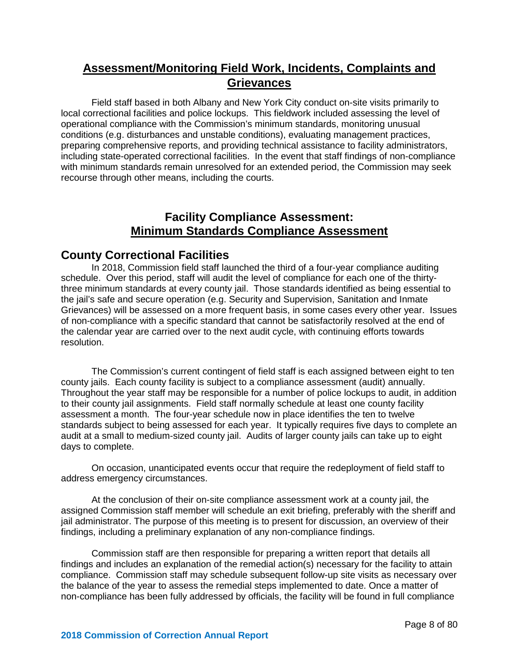# **Assessment/Monitoring Field Work, Incidents, Complaints and Grievances**

Field staff based in both Albany and New York City conduct on-site visits primarily to local correctional facilities and police lockups. This fieldwork included assessing the level of operational compliance with the Commission's minimum standards, monitoring unusual conditions (e.g. disturbances and unstable conditions), evaluating management practices, preparing comprehensive reports, and providing technical assistance to facility administrators, including state-operated correctional facilities. In the event that staff findings of non-compliance with minimum standards remain unresolved for an extended period, the Commission may seek recourse through other means, including the courts.

# **Facility Compliance Assessment: Minimum Standards Compliance Assessment**

# **County Correctional Facilities**

In 2018, Commission field staff launched the third of a four-year compliance auditing schedule. Over this period, staff will audit the level of compliance for each one of the thirtythree minimum standards at every county jail. Those standards identified as being essential to the jail's safe and secure operation (e.g. Security and Supervision, Sanitation and Inmate Grievances) will be assessed on a more frequent basis, in some cases every other year. Issues of non-compliance with a specific standard that cannot be satisfactorily resolved at the end of the calendar year are carried over to the next audit cycle, with continuing efforts towards resolution.

The Commission's current contingent of field staff is each assigned between eight to ten county jails. Each county facility is subject to a compliance assessment (audit) annually. Throughout the year staff may be responsible for a number of police lockups to audit, in addition to their county jail assignments. Field staff normally schedule at least one county facility assessment a month. The four-year schedule now in place identifies the ten to twelve standards subject to being assessed for each year. It typically requires five days to complete an audit at a small to medium-sized county jail. Audits of larger county jails can take up to eight days to complete.

On occasion, unanticipated events occur that require the redeployment of field staff to address emergency circumstances.

At the conclusion of their on-site compliance assessment work at a county jail, the assigned Commission staff member will schedule an exit briefing, preferably with the sheriff and jail administrator. The purpose of this meeting is to present for discussion, an overview of their findings, including a preliminary explanation of any non-compliance findings.

Commission staff are then responsible for preparing a written report that details all findings and includes an explanation of the remedial action(s) necessary for the facility to attain compliance. Commission staff may schedule subsequent follow-up site visits as necessary over the balance of the year to assess the remedial steps implemented to date. Once a matter of non-compliance has been fully addressed by officials, the facility will be found in full compliance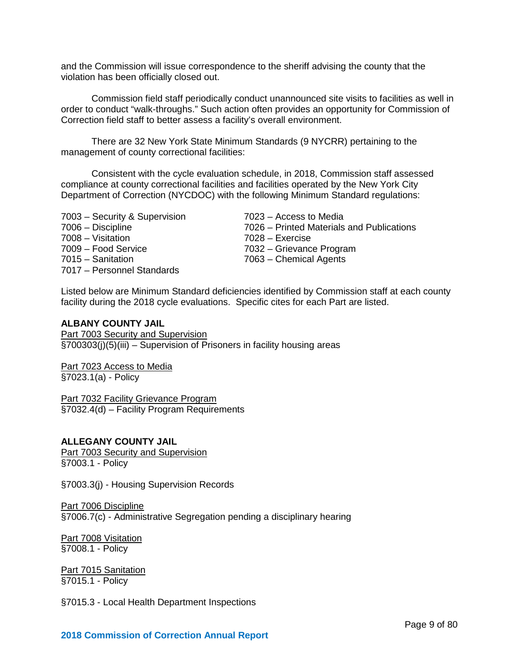and the Commission will issue correspondence to the sheriff advising the county that the violation has been officially closed out.

Commission field staff periodically conduct unannounced site visits to facilities as well in order to conduct "walk-throughs." Such action often provides an opportunity for Commission of Correction field staff to better assess a facility's overall environment.

There are 32 New York State Minimum Standards (9 NYCRR) pertaining to the management of county correctional facilities:

Consistent with the cycle evaluation schedule, in 2018, Commission staff assessed compliance at county correctional facilities and facilities operated by the New York City Department of Correction (NYCDOC) with the following Minimum Standard regulations:

7003 – Security & Supervision 7023 – Access to Media 7008 – Visitation 7028 – Exercise 7015 – Sanitation 7063 – Chemical Agents 7017 – Personnel Standards

7006 – Discipline 7026 – Printed Materials and Publications

7032 – Grievance Program

Listed below are Minimum Standard deficiencies identified by Commission staff at each county facility during the 2018 cycle evaluations. Specific cites for each Part are listed.

# **ALBANY COUNTY JAIL**

Part 7003 Security and Supervision §700303(j)(5)(iii) – Supervision of Prisoners in facility housing areas

Part 7023 Access to Media §7023.1(a) - Policy

Part 7032 Facility Grievance Program §7032.4(d) – Facility Program Requirements

#### **ALLEGANY COUNTY JAIL**

Part 7003 Security and Supervision §7003.1 - Policy

§7003.3(j) - Housing Supervision Records

#### Part 7006 Discipline

§7006.7(c) - Administrative Segregation pending a disciplinary hearing

Part 7008 Visitation §7008.1 - Policy

Part 7015 Sanitation §7015.1 - Policy

§7015.3 - Local Health Department Inspections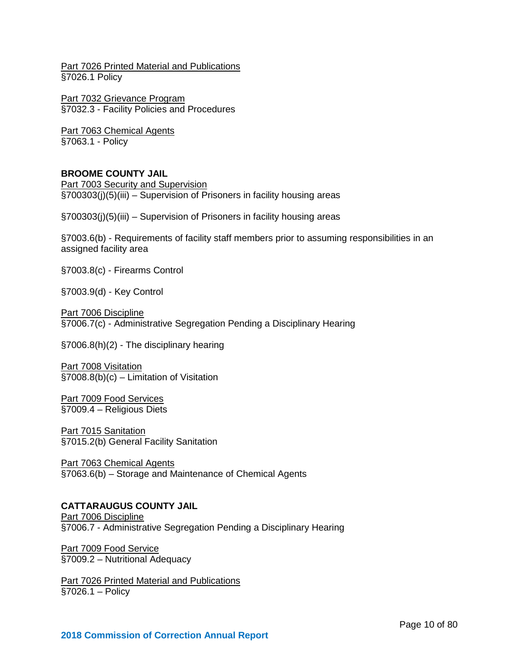Part 7026 Printed Material and Publications §7026.1 Policy

Part 7032 Grievance Program §7032.3 - Facility Policies and Procedures

Part 7063 Chemical Agents §7063.1 - Policy

# **BROOME COUNTY JAIL**

Part 7003 Security and Supervision §700303(j)(5)(iii) – Supervision of Prisoners in facility housing areas

§700303(j)(5)(iii) – Supervision of Prisoners in facility housing areas

§7003.6(b) - Requirements of facility staff members prior to assuming responsibilities in an assigned facility area

§7003.8(c) - Firearms Control

§7003.9(d) - Key Control

Part 7006 Discipline §7006.7(c) - Administrative Segregation Pending a Disciplinary Hearing

§7006.8(h)(2) - The disciplinary hearing

Part 7008 Visitation §7008.8(b)(c) – Limitation of Visitation

Part 7009 Food Services §7009.4 – Religious Diets

Part 7015 Sanitation §7015.2(b) General Facility Sanitation

Part 7063 Chemical Agents §7063.6(b) – Storage and Maintenance of Chemical Agents

# **CATTARAUGUS COUNTY JAIL**

Part 7006 Discipline §7006.7 - Administrative Segregation Pending a Disciplinary Hearing

Part 7009 Food Service §7009.2 – Nutritional Adequacy

Part 7026 Printed Material and Publications §7026.1 – Policy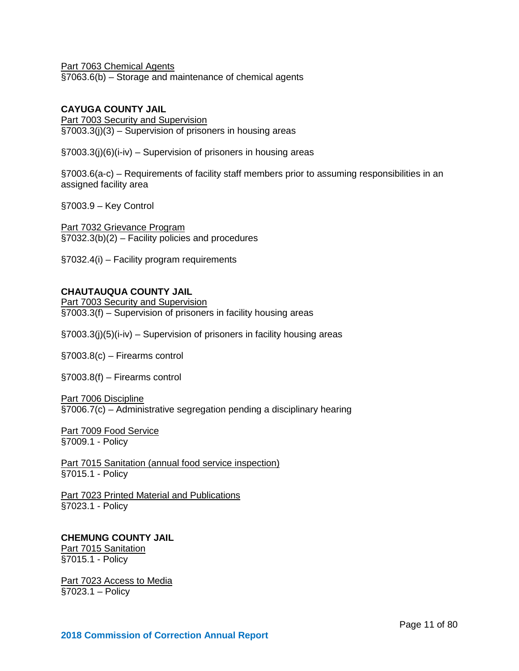Part 7063 Chemical Agents §7063.6(b) – Storage and maintenance of chemical agents

# **CAYUGA COUNTY JAIL**

Part 7003 Security and Supervision §7003.3(j)(3) – Supervision of prisoners in housing areas

§7003.3(j)(6)(i-iv) – Supervision of prisoners in housing areas

§7003.6(a-c) – Requirements of facility staff members prior to assuming responsibilities in an assigned facility area

§7003.9 – Key Control

Part 7032 Grievance Program §7032.3(b)(2) – Facility policies and procedures

§7032.4(i) – Facility program requirements

# **CHAUTAUQUA COUNTY JAIL**

Part 7003 Security and Supervision §7003.3(f) – Supervision of prisoners in facility housing areas

§7003.3(j)(5)(i-iv) – Supervision of prisoners in facility housing areas

§7003.8(c) – Firearms control

§7003.8(f) – Firearms control

Part 7006 Discipline

§7006.7(c) – Administrative segregation pending a disciplinary hearing

Part 7009 Food Service §7009.1 - Policy

Part 7015 Sanitation (annual food service inspection) §7015.1 - Policy

Part 7023 Printed Material and Publications §7023.1 - Policy

# **CHEMUNG COUNTY JAIL**

**Part 7015 Sanitation** §7015.1 - Policy

Part 7023 Access to Media §7023.1 – Policy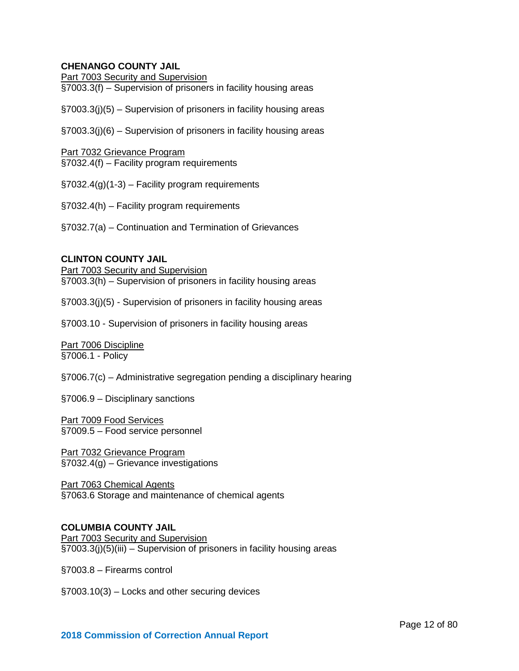# **CHENANGO COUNTY JAIL**

Part 7003 Security and Supervision §7003.3(f) – Supervision of prisoners in facility housing areas

§7003.3(j)(5) – Supervision of prisoners in facility housing areas

§7003.3(j)(6) – Supervision of prisoners in facility housing areas

Part 7032 Grievance Program §7032.4(f) – Facility program requirements

§7032.4(g)(1-3) – Facility program requirements

§7032.4(h) – Facility program requirements

§7032.7(a) – Continuation and Termination of Grievances

# **CLINTON COUNTY JAIL**

Part 7003 Security and Supervision §7003.3(h) – Supervision of prisoners in facility housing areas

§7003.3(j)(5) - Supervision of prisoners in facility housing areas

§7003.10 - Supervision of prisoners in facility housing areas

Part 7006 Discipline §7006.1 - Policy

§7006.7(c) – Administrative segregation pending a disciplinary hearing

§7006.9 – Disciplinary sanctions

Part 7009 Food Services §7009.5 – Food service personnel

Part 7032 Grievance Program §7032.4(g) – Grievance investigations

Part 7063 Chemical Agents §7063.6 Storage and maintenance of chemical agents

#### **COLUMBIA COUNTY JAIL**

Part 7003 Security and Supervision §7003.3(j)(5)(iii) – Supervision of prisoners in facility housing areas

§7003.8 – Firearms control

§7003.10(3) – Locks and other securing devices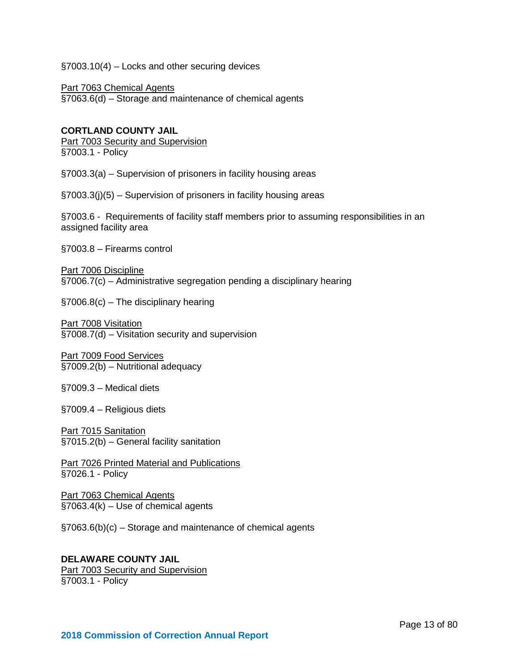§7003.10(4) – Locks and other securing devices

Part 7063 Chemical Agents §7063.6(d) – Storage and maintenance of chemical agents

# **CORTLAND COUNTY JAIL**

Part 7003 Security and Supervision §7003.1 - Policy

§7003.3(a) – Supervision of prisoners in facility housing areas

§7003.3(j)(5) – Supervision of prisoners in facility housing areas

§7003.6 - Requirements of facility staff members prior to assuming responsibilities in an assigned facility area

§7003.8 – Firearms control

Part 7006 Discipline §7006.7(c) – Administrative segregation pending a disciplinary hearing

§7006.8(c) – The disciplinary hearing

Part 7008 Visitation §7008.7(d) – Visitation security and supervision

Part 7009 Food Services §7009.2(b) – Nutritional adequacy

§7009.3 – Medical diets

§7009.4 – Religious diets

Part 7015 Sanitation §7015.2(b) – General facility sanitation

Part 7026 Printed Material and Publications §7026.1 - Policy

Part 7063 Chemical Agents §7063.4(k) – Use of chemical agents

§7063.6(b)(c) – Storage and maintenance of chemical agents

**DELAWARE COUNTY JAIL** Part 7003 Security and Supervision §7003.1 - Policy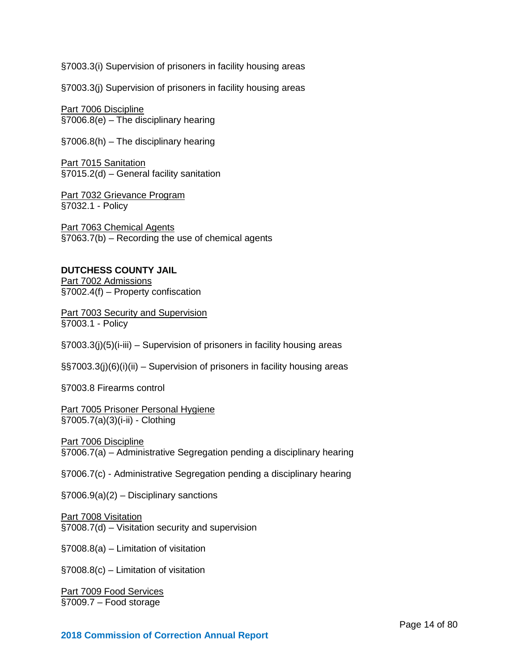§7003.3(i) Supervision of prisoners in facility housing areas

§7003.3(j) Supervision of prisoners in facility housing areas

Part 7006 Discipline §7006.8(e) – The disciplinary hearing

§7006.8(h) – The disciplinary hearing

**Part 7015 Sanitation** §7015.2(d) – General facility sanitation

Part 7032 Grievance Program §7032.1 - Policy

Part 7063 Chemical Agents §7063.7(b) – Recording the use of chemical agents

# **DUTCHESS COUNTY JAIL**

Part 7002 Admissions §7002.4(f) – Property confiscation

**Part 7003 Security and Supervision** §7003.1 - Policy

§7003.3(j)(5)(i-iii) – Supervision of prisoners in facility housing areas

§§7003.3(j)(6)(i)(ii) – Supervision of prisoners in facility housing areas

§7003.8 Firearms control

Part 7005 Prisoner Personal Hygiene §7005.7(a)(3)(i-ii) - Clothing

Part 7006 Discipline §7006.7(a) – Administrative Segregation pending a disciplinary hearing

§7006.7(c) - Administrative Segregation pending a disciplinary hearing

§7006.9(a)(2) – Disciplinary sanctions

Part 7008 Visitation §7008.7(d) – Visitation security and supervision

§7008.8(a) – Limitation of visitation

§7008.8(c) – Limitation of visitation

Part 7009 Food Services §7009.7 – Food storage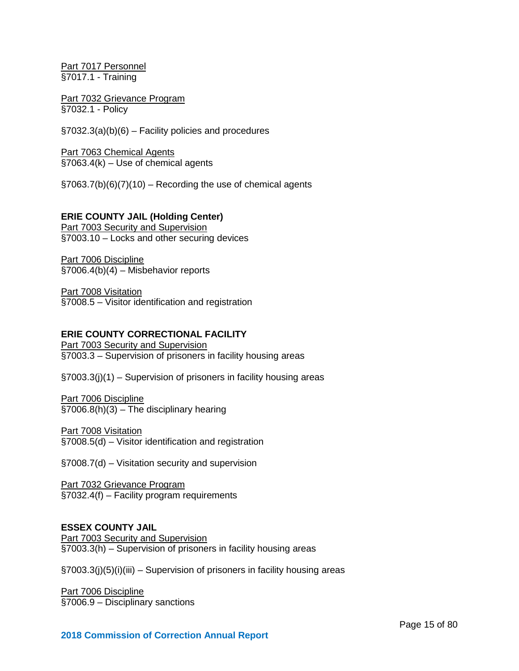Part 7017 Personnel §7017.1 - Training

Part 7032 Grievance Program §7032.1 - Policy

§7032.3(a)(b)(6) – Facility policies and procedures

Part 7063 Chemical Agents  $§7063.4(k) - Use of chemical agents$ 

 $\S7063.7(b)(6)(7)(10)$  – Recording the use of chemical agents

# **ERIE COUNTY JAIL (Holding Center)**

**Part 7003 Security and Supervision** §7003.10 – Locks and other securing devices

Part 7006 Discipline §7006.4(b)(4) – Misbehavior reports

Part 7008 Visitation §7008.5 – Visitor identification and registration

#### **ERIE COUNTY CORRECTIONAL FACILITY**

Part 7003 Security and Supervision §7003.3 – Supervision of prisoners in facility housing areas

§7003.3(j)(1) – Supervision of prisoners in facility housing areas

Part 7006 Discipline §7006.8(h)(3) – The disciplinary hearing

Part 7008 Visitation §7008.5(d) – Visitor identification and registration

§7008.7(d) – Visitation security and supervision

Part 7032 Grievance Program §7032.4(f) – Facility program requirements

# **ESSEX COUNTY JAIL**

Part 7003 Security and Supervision §7003.3(h) – Supervision of prisoners in facility housing areas

§7003.3(j)(5)(i)(iii) – Supervision of prisoners in facility housing areas

Part 7006 Discipline §7006.9 – Disciplinary sanctions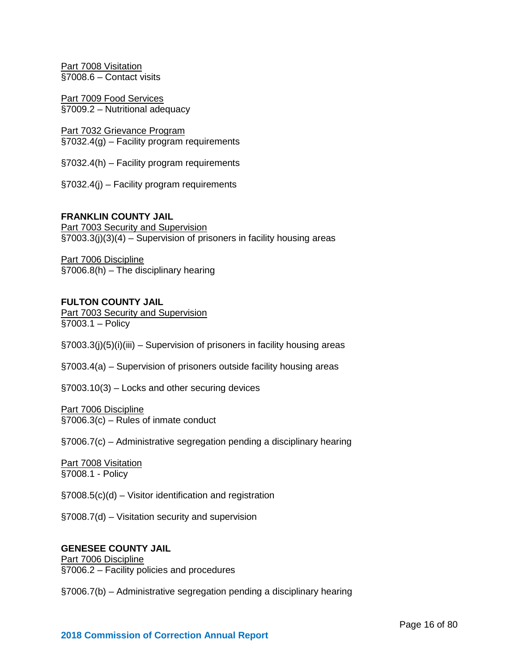Part 7008 Visitation §7008.6 – Contact visits

Part 7009 Food Services §7009.2 – Nutritional adequacy

Part 7032 Grievance Program §7032.4(g) – Facility program requirements

§7032.4(h) – Facility program requirements

§7032.4(j) – Facility program requirements

# **FRANKLIN COUNTY JAIL**

Part 7003 Security and Supervision §7003.3(j)(3)(4) – Supervision of prisoners in facility housing areas

Part 7006 Discipline §7006.8(h) – The disciplinary hearing

#### **FULTON COUNTY JAIL**

Part 7003 Security and Supervision §7003.1 – Policy

§7003.3(j)(5)(i)(iii) – Supervision of prisoners in facility housing areas

§7003.4(a) – Supervision of prisoners outside facility housing areas

§7003.10(3) – Locks and other securing devices

#### Part 7006 Discipline §7006.3(c) – Rules of inmate conduct

§7006.7(c) – Administrative segregation pending a disciplinary hearing

#### Part 7008 Visitation §7008.1 - Policy

§7008.5(c)(d) – Visitor identification and registration

§7008.7(d) – Visitation security and supervision

# **GENESEE COUNTY JAIL**

Part 7006 Discipline §7006.2 – Facility policies and procedures

§7006.7(b) – Administrative segregation pending a disciplinary hearing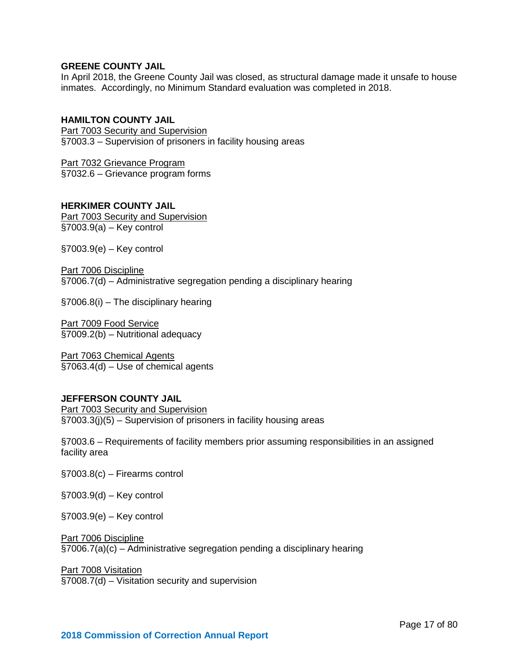# **GREENE COUNTY JAIL**

In April 2018, the Greene County Jail was closed, as structural damage made it unsafe to house inmates. Accordingly, no Minimum Standard evaluation was completed in 2018.

# **HAMILTON COUNTY JAIL**

Part 7003 Security and Supervision §7003.3 – Supervision of prisoners in facility housing areas

Part 7032 Grievance Program §7032.6 – Grievance program forms

# **HERKIMER COUNTY JAIL**

Part 7003 Security and Supervision §7003.9(a) – Key control

§7003.9(e) – Key control

Part 7006 Discipline §7006.7(d) – Administrative segregation pending a disciplinary hearing

§7006.8(i) – The disciplinary hearing

Part 7009 Food Service §7009.2(b) – Nutritional adequacy

Part 7063 Chemical Agents §7063.4(d) – Use of chemical agents

#### **JEFFERSON COUNTY JAIL**

Part 7003 Security and Supervision  $\frac{1}{2}$  \$7003.3(j)(5) – Supervision of prisoners in facility housing areas

§7003.6 – Requirements of facility members prior assuming responsibilities in an assigned facility area

- §7003.8(c) Firearms control
- §7003.9(d) Key control

§7003.9(e) – Key control

#### Part 7006 Discipline

§7006.7(a)(c) – Administrative segregation pending a disciplinary hearing

#### Part 7008 Visitation

§7008.7(d) – Visitation security and supervision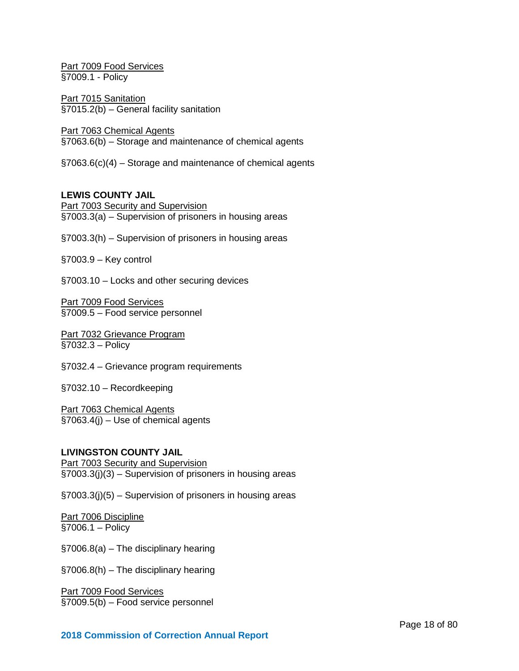Part 7009 Food Services §7009.1 - Policy

Part 7015 Sanitation §7015.2(b) – General facility sanitation

Part 7063 Chemical Agents §7063.6(b) – Storage and maintenance of chemical agents

§7063.6(c)(4) – Storage and maintenance of chemical agents

# **LEWIS COUNTY JAIL**

Part 7003 Security and Supervision §7003.3(a) – Supervision of prisoners in housing areas

§7003.3(h) – Supervision of prisoners in housing areas

§7003.9 – Key control

§7003.10 – Locks and other securing devices

Part 7009 Food Services §7009.5 – Food service personnel

Part 7032 Grievance Program §7032.3 – Policy

§7032.4 – Grievance program requirements

§7032.10 – Recordkeeping

Part 7063 Chemical Agents  $\overline{$}$ [\$7063.4(j) – Use of chemical agents

### **LIVINGSTON COUNTY JAIL**

Part 7003 Security and Supervision §7003.3(j)(3) – Supervision of prisoners in housing areas

§7003.3(j)(5) – Supervision of prisoners in housing areas

Part 7006 Discipline §7006.1 – Policy

§7006.8(a) – The disciplinary hearing

§7006.8(h) – The disciplinary hearing

Part 7009 Food Services §7009.5(b) – Food service personnel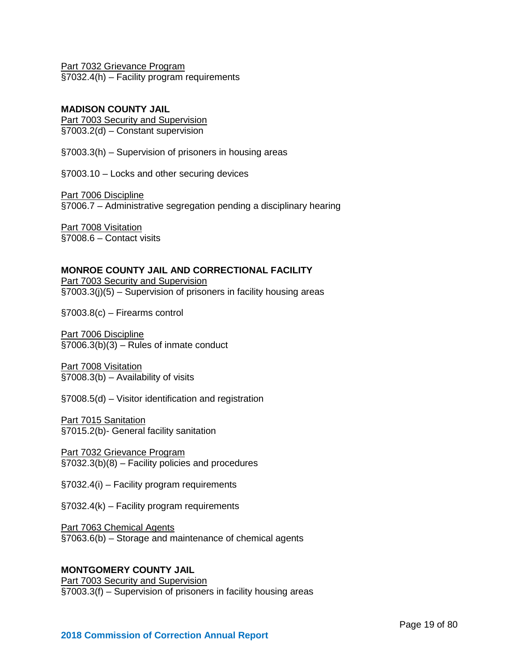Part 7032 Grievance Program §7032.4(h) – Facility program requirements

# **MADISON COUNTY JAIL**

Part 7003 Security and Supervision §7003.2(d) – Constant supervision

§7003.3(h) – Supervision of prisoners in housing areas

§7003.10 – Locks and other securing devices

Part 7006 Discipline §7006.7 – Administrative segregation pending a disciplinary hearing

**Part 7008 Visitation** §7008.6 – Contact visits

# **MONROE COUNTY JAIL AND CORRECTIONAL FACILITY**

Part 7003 Security and Supervision §7003.3(j)(5) – Supervision of prisoners in facility housing areas

§7003.8(c) – Firearms control

Part 7006 Discipline  $\overline{$37006.3(b)(3) -$  Rules of inmate conduct

Part 7008 Visitation §7008.3(b) – Availability of visits

§7008.5(d) – Visitor identification and registration

Part 7015 Sanitation §7015.2(b)- General facility sanitation

Part 7032 Grievance Program §7032.3(b)(8) – Facility policies and procedures

§7032.4(i) – Facility program requirements

§7032.4(k) – Facility program requirements

Part 7063 Chemical Agents §7063.6(b) – Storage and maintenance of chemical agents

# **MONTGOMERY COUNTY JAIL**

Part 7003 Security and Supervision §7003.3(f) – Supervision of prisoners in facility housing areas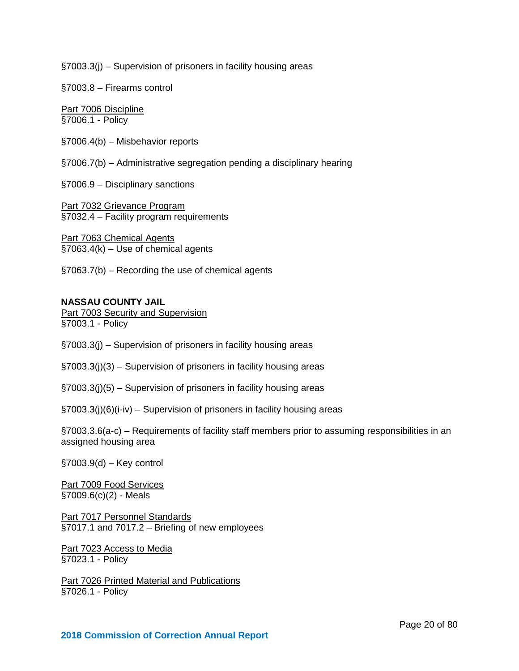§7003.3(j) – Supervision of prisoners in facility housing areas

§7003.8 – Firearms control

Part 7006 Discipline §7006.1 - Policy

§7006.4(b) – Misbehavior reports

§7006.7(b) – Administrative segregation pending a disciplinary hearing

§7006.9 – Disciplinary sanctions

Part 7032 Grievance Program §7032.4 – Facility program requirements

Part 7063 Chemical Agents §7063.4(k) – Use of chemical agents

§7063.7(b) – Recording the use of chemical agents

#### **NASSAU COUNTY JAIL**

**Part 7003 Security and Supervision** §7003.1 - Policy

§7003.3(j) – Supervision of prisoners in facility housing areas

§7003.3(j)(3) – Supervision of prisoners in facility housing areas

§7003.3(j)(5) – Supervision of prisoners in facility housing areas

§7003.3(j)(6)(i-iv) – Supervision of prisoners in facility housing areas

§7003.3.6(a-c) – Requirements of facility staff members prior to assuming responsibilities in an assigned housing area

§7003.9(d) – Key control

Part 7009 Food Services §7009.6(c)(2) - Meals

Part 7017 Personnel Standards §7017.1 and 7017.2 – Briefing of new employees

Part 7023 Access to Media §7023.1 - Policy

Part 7026 Printed Material and Publications §7026.1 - Policy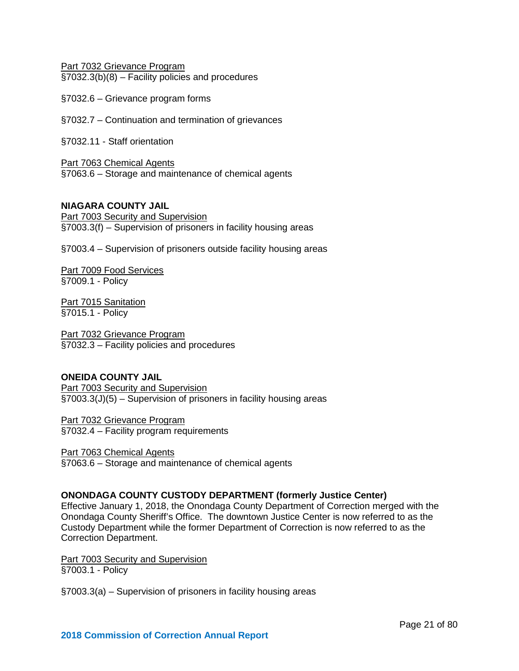Part 7032 Grievance Program §7032.3(b)(8) – Facility policies and procedures

- §7032.6 Grievance program forms
- §7032.7 Continuation and termination of grievances

§7032.11 - Staff orientation

Part 7063 Chemical Agents §7063.6 – Storage and maintenance of chemical agents

### **NIAGARA COUNTY JAIL**

Part 7003 Security and Supervision §7003.3(f) – Supervision of prisoners in facility housing areas

§7003.4 – Supervision of prisoners outside facility housing areas

Part 7009 Food Services §7009.1 - Policy

Part 7015 Sanitation §7015.1 - Policy

Part 7032 Grievance Program §7032.3 – Facility policies and procedures

# **ONEIDA COUNTY JAIL**

Part 7003 Security and Supervision §7003.3(J)(5) – Supervision of prisoners in facility housing areas

Part 7032 Grievance Program §7032.4 – Facility program requirements

Part 7063 Chemical Agents §7063.6 – Storage and maintenance of chemical agents

# **ONONDAGA COUNTY CUSTODY DEPARTMENT (formerly Justice Center)**

Effective January 1, 2018, the Onondaga County Department of Correction merged with the Onondaga County Sheriff's Office. The downtown Justice Center is now referred to as the Custody Department while the former Department of Correction is now referred to as the Correction Department.

Part 7003 Security and Supervision §7003.1 - Policy

§7003.3(a) – Supervision of prisoners in facility housing areas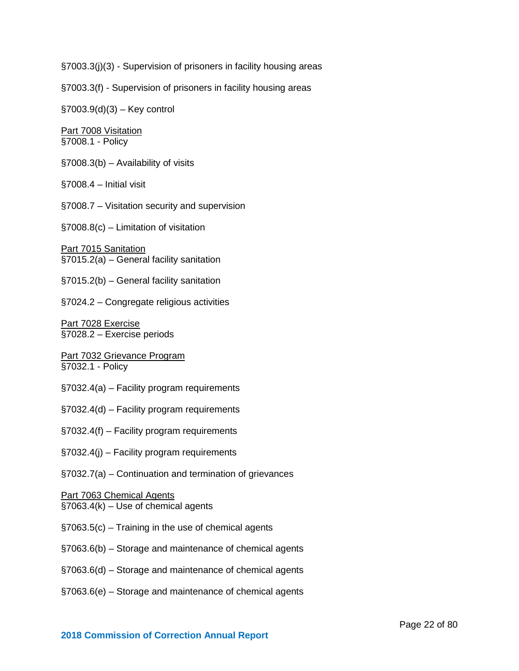§7003.3(j)(3) - Supervision of prisoners in facility housing areas

§7003.3(f) - Supervision of prisoners in facility housing areas

§7003.9(d)(3) – Key control

Part 7008 Visitation §7008.1 - Policy

- §7008.3(b) Availability of visits
- §7008.4 Initial visit
- §7008.7 Visitation security and supervision

§7008.8(c) – Limitation of visitation

Part 7015 Sanitation §7015.2(a) – General facility sanitation

§7015.2(b) – General facility sanitation

§7024.2 – Congregate religious activities

Part 7028 Exercise §7028.2 – Exercise periods

Part 7032 Grievance Program §7032.1 - Policy

- §7032.4(a) Facility program requirements
- §7032.4(d) Facility program requirements
- §7032.4(f) Facility program requirements
- §7032.4(j) Facility program requirements
- §7032.7(a) Continuation and termination of grievances

# Part 7063 Chemical Agents

§7063.4(k) – Use of chemical agents

- §7063.5(c) Training in the use of chemical agents
- §7063.6(b) Storage and maintenance of chemical agents
- §7063.6(d) Storage and maintenance of chemical agents
- §7063.6(e) Storage and maintenance of chemical agents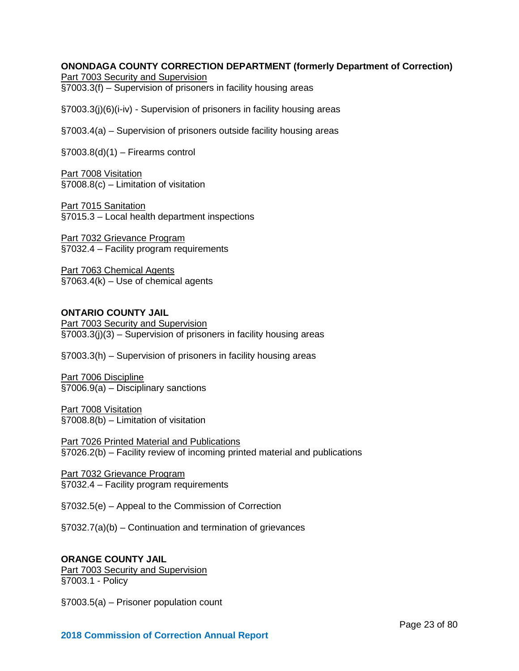# **ONONDAGA COUNTY CORRECTION DEPARTMENT (formerly Department of Correction)**

Part 7003 Security and Supervision

§7003.3(f) – Supervision of prisoners in facility housing areas

§7003.3(j)(6)(i-iv) - Supervision of prisoners in facility housing areas

§7003.4(a) – Supervision of prisoners outside facility housing areas

 $\S7003.8(d)(1)$  – Firearms control

Part 7008 Visitation §7008.8(c) – Limitation of visitation

Part 7015 Sanitation §7015.3 – Local health department inspections

Part 7032 Grievance Program §7032.4 – Facility program requirements

Part 7063 Chemical Agents §7063.4(k) – Use of chemical agents

# **ONTARIO COUNTY JAIL**

Part 7003 Security and Supervision §7003.3(j)(3) – Supervision of prisoners in facility housing areas

§7003.3(h) – Supervision of prisoners in facility housing areas

Part 7006 Discipline §7006.9(a) – Disciplinary sanctions

Part 7008 Visitation §7008.8(b) – Limitation of visitation

Part 7026 Printed Material and Publications §7026.2(b) – Facility review of incoming printed material and publications

Part 7032 Grievance Program §7032.4 – Facility program requirements

§7032.5(e) – Appeal to the Commission of Correction

§7032.7(a)(b) – Continuation and termination of grievances

# **ORANGE COUNTY JAIL**

Part 7003 Security and Supervision §7003.1 - Policy

§7003.5(a) – Prisoner population count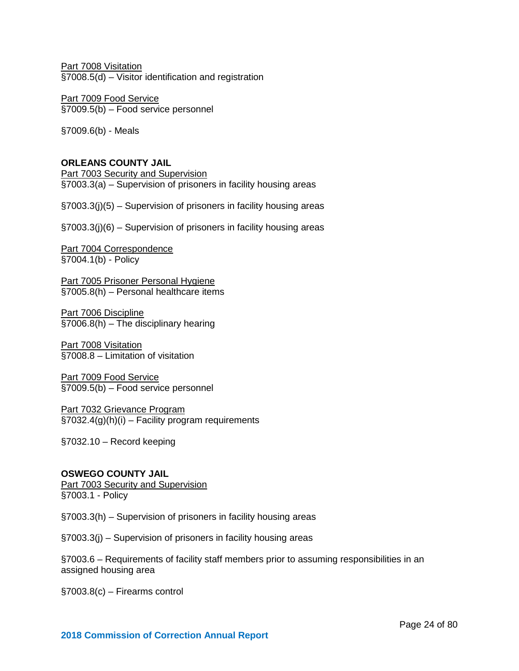Part 7008 Visitation §7008.5(d) – Visitor identification and registration

Part 7009 Food Service §7009.5(b) – Food service personnel

§7009.6(b) - Meals

# **ORLEANS COUNTY JAIL**

Part 7003 Security and Supervision §7003.3(a) – Supervision of prisoners in facility housing areas

§7003.3(j)(5) – Supervision of prisoners in facility housing areas

§7003.3(j)(6) – Supervision of prisoners in facility housing areas

Part 7004 Correspondence §7004.1(b) - Policy

Part 7005 Prisoner Personal Hygiene §7005.8(h) – Personal healthcare items

Part 7006 Discipline §7006.8(h) – The disciplinary hearing

Part 7008 Visitation §7008.8 – Limitation of visitation

Part 7009 Food Service §7009.5(b) – Food service personnel

Part 7032 Grievance Program  $\frac{1}{2}$ §7032.4(g)(h)(i) – Facility program requirements

§7032.10 – Record keeping

# **OSWEGO COUNTY JAIL**

**Part 7003 Security and Supervision** §7003.1 - Policy

§7003.3(h) – Supervision of prisoners in facility housing areas

§7003.3(j) – Supervision of prisoners in facility housing areas

§7003.6 – Requirements of facility staff members prior to assuming responsibilities in an assigned housing area

§7003.8(c) – Firearms control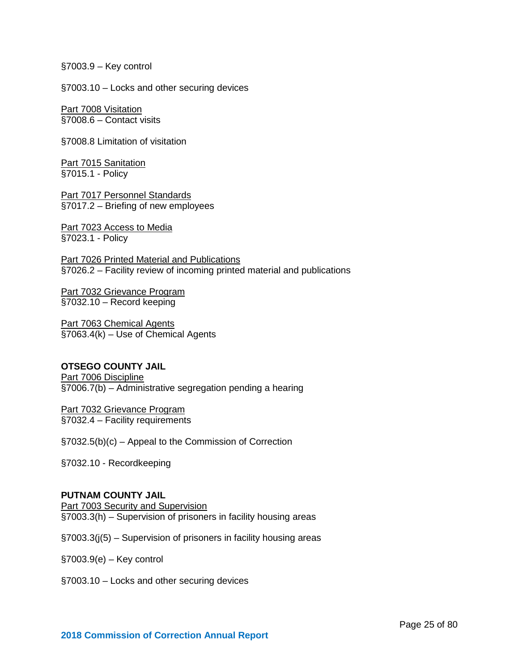§7003.9 – Key control

§7003.10 – Locks and other securing devices

Part 7008 Visitation §7008.6 – Contact visits

§7008.8 Limitation of visitation

**Part 7015 Sanitation** §7015.1 - Policy

Part 7017 Personnel Standards §7017.2 – Briefing of new employees

Part 7023 Access to Media §7023.1 - Policy

Part 7026 Printed Material and Publications §7026.2 – Facility review of incoming printed material and publications

Part 7032 Grievance Program §7032.10 – Record keeping

Part 7063 Chemical Agents §7063.4(k) – Use of Chemical Agents

#### **OTSEGO COUNTY JAIL**

Part 7006 Discipline §7006.7(b) – Administrative segregation pending a hearing

Part 7032 Grievance Program §7032.4 – Facility requirements

§7032.5(b)(c) – Appeal to the Commission of Correction

§7032.10 - Recordkeeping

#### **PUTNAM COUNTY JAIL**

Part 7003 Security and Supervision §7003.3(h) – Supervision of prisoners in facility housing areas

§7003.3(j(5) – Supervision of prisoners in facility housing areas

§7003.9(e) – Key control

§7003.10 – Locks and other securing devices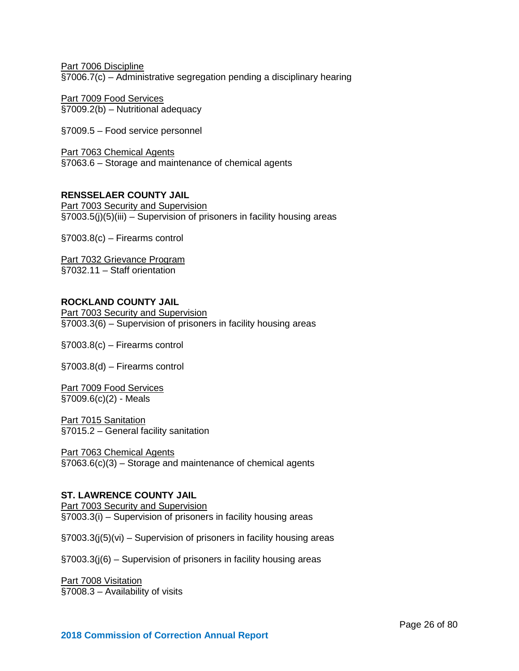Part 7006 Discipline §7006.7(c) – Administrative segregation pending a disciplinary hearing

Part 7009 Food Services §7009.2(b) – Nutritional adequacy

§7009.5 – Food service personnel

Part 7063 Chemical Agents §7063.6 – Storage and maintenance of chemical agents

# **RENSSELAER COUNTY JAIL**

Part 7003 Security and Supervision §7003.5(j)(5)(iii) – Supervision of prisoners in facility housing areas

§7003.8(c) – Firearms control

Part 7032 Grievance Program §7032.11 – Staff orientation

# **ROCKLAND COUNTY JAIL**

Part 7003 Security and Supervision §7003.3(6) – Supervision of prisoners in facility housing areas

§7003.8(c) – Firearms control

§7003.8(d) – Firearms control

Part 7009 Food Services §7009.6(c)(2) - Meals

Part 7015 Sanitation §7015.2 – General facility sanitation

Part 7063 Chemical Agents §7063.6(c)(3) – Storage and maintenance of chemical agents

#### **ST. LAWRENCE COUNTY JAIL**

Part 7003 Security and Supervision §7003.3(i) – Supervision of prisoners in facility housing areas

§7003.3(j(5)(vi) – Supervision of prisoners in facility housing areas

§7003.3(j(6) – Supervision of prisoners in facility housing areas

Part 7008 Visitation §7008.3 - Availability of visits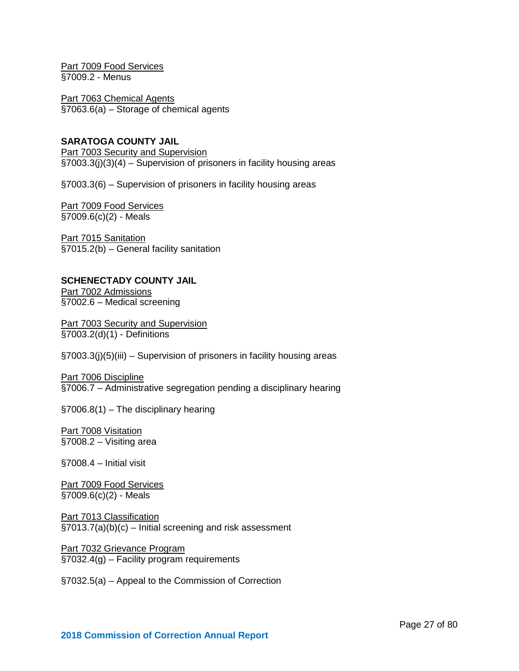Part 7009 Food Services §7009.2 - Menus

Part 7063 Chemical Agents §7063.6(a) – Storage of chemical agents

# **SARATOGA COUNTY JAIL**

**Part 7003 Security and Supervision** §7003.3(j)(3)(4) – Supervision of prisoners in facility housing areas

§7003.3(6) – Supervision of prisoners in facility housing areas

Part 7009 Food Services §7009.6(c)(2) - Meals

Part 7015 Sanitation §7015.2(b) – General facility sanitation

# **SCHENECTADY COUNTY JAIL**

Part 7002 Admissions §7002.6 – Medical screening

**Part 7003 Security and Supervision** §7003.2(d)(1) - Definitions

§7003.3(j)(5)(iii) – Supervision of prisoners in facility housing areas

Part 7006 Discipline §7006.7 – Administrative segregation pending a disciplinary hearing

§7006.8(1) – The disciplinary hearing

Part 7008 Visitation §7008.2 – Visiting area

§7008.4 – Initial visit

Part 7009 Food Services  $\overline{$7009.6(c)(2)}$  - Meals

Part 7013 Classification §7013.7(a)(b)(c) – Initial screening and risk assessment

Part 7032 Grievance Program §7032.4(g) – Facility program requirements

§7032.5(a) – Appeal to the Commission of Correction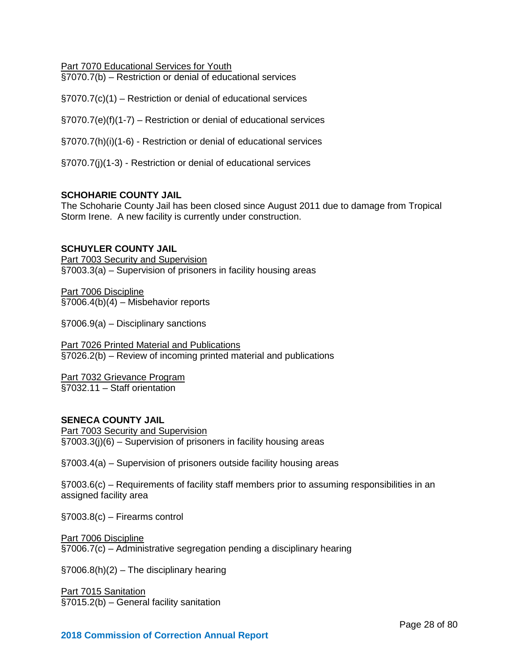Part 7070 Educational Services for Youth

§7070.7(b) – Restriction or denial of educational services

§7070.7(c)(1) – Restriction or denial of educational services

§7070.7(e)(f)(1-7) – Restriction or denial of educational services

§7070.7(h)(i)(1-6) - Restriction or denial of educational services

§7070.7(j)(1-3) - Restriction or denial of educational services

# **SCHOHARIE COUNTY JAIL**

The Schoharie County Jail has been closed since August 2011 due to damage from Tropical Storm Irene. A new facility is currently under construction.

# **SCHUYLER COUNTY JAIL**

Part 7003 Security and Supervision §7003.3(a) – Supervision of prisoners in facility housing areas

Part 7006 Discipline §7006.4(b)(4) – Misbehavior reports

§7006.9(a) – Disciplinary sanctions

Part 7026 Printed Material and Publications §7026.2(b) – Review of incoming printed material and publications

Part 7032 Grievance Program §7032.11 – Staff orientation

# **SENECA COUNTY JAIL**

Part 7003 Security and Supervision §7003.3(j)(6) – Supervision of prisoners in facility housing areas

§7003.4(a) – Supervision of prisoners outside facility housing areas

§7003.6(c) – Requirements of facility staff members prior to assuming responsibilities in an assigned facility area

§7003.8(c) – Firearms control

# Part 7006 Discipline

§7006.7(c) – Administrative segregation pending a disciplinary hearing

§7006.8(h)(2) – The disciplinary hearing

Part 7015 Sanitation §7015.2(b) – General facility sanitation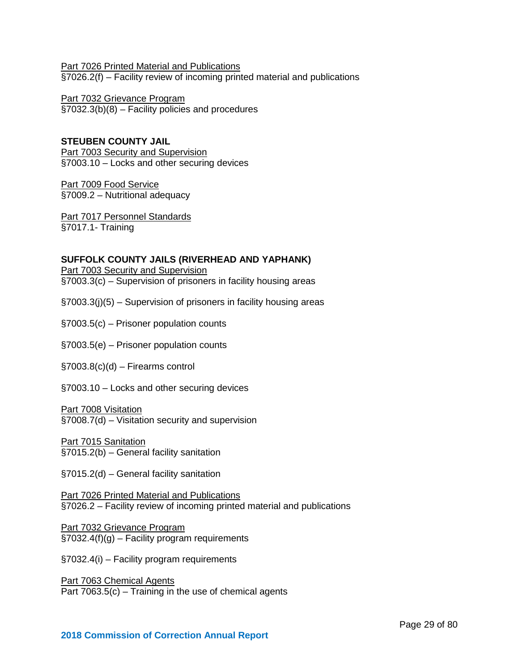Part 7026 Printed Material and Publications §7026.2(f) – Facility review of incoming printed material and publications

Part 7032 Grievance Program §7032.3(b)(8) – Facility policies and procedures

# **STEUBEN COUNTY JAIL Part 7003 Security and Supervision** §7003.10 – Locks and other securing devices

Part 7009 Food Service §7009.2 – Nutritional adequacy

Part 7017 Personnel Standards §7017.1- Training

# **SUFFOLK COUNTY JAILS (RIVERHEAD AND YAPHANK)**

Part 7003 Security and Supervision §7003.3(c) – Supervision of prisoners in facility housing areas

- §7003.3(j)(5) Supervision of prisoners in facility housing areas
- §7003.5(c) Prisoner population counts
- §7003.5(e) Prisoner population counts
- §7003.8(c)(d) Firearms control
- §7003.10 Locks and other securing devices

Part 7008 Visitation

§7008.7(d) – Visitation security and supervision

Part 7015 Sanitation §7015.2(b) – General facility sanitation

§7015.2(d) – General facility sanitation

Part 7026 Printed Material and Publications §7026.2 – Facility review of incoming printed material and publications

Part 7032 Grievance Program  $\S 7032.4(f)(g)$  – Facility program requirements

§7032.4(i) – Facility program requirements

Part 7063 Chemical Agents Part 7063.5(c) – Training in the use of chemical agents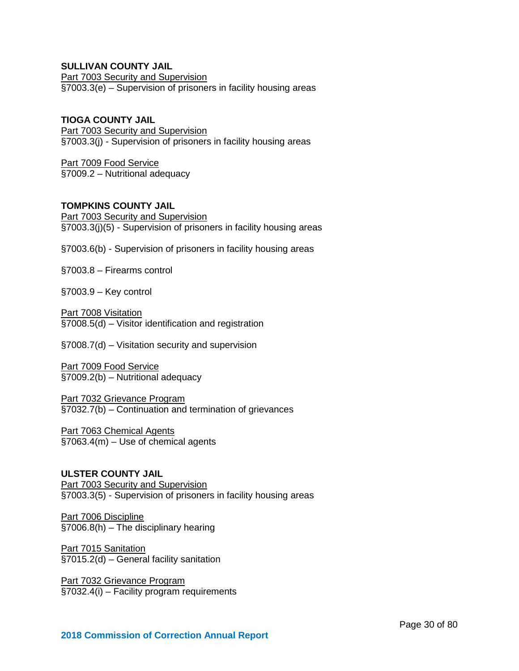# **SULLIVAN COUNTY JAIL**

Part 7003 Security and Supervision §7003.3(e) – Supervision of prisoners in facility housing areas

# **TIOGA COUNTY JAIL**

Part 7003 Security and Supervision §7003.3(j) - Supervision of prisoners in facility housing areas

Part 7009 Food Service §7009.2 – Nutritional adequacy

# **TOMPKINS COUNTY JAIL**

Part 7003 Security and Supervision §7003.3(j)(5) - Supervision of prisoners in facility housing areas

§7003.6(b) - Supervision of prisoners in facility housing areas

§7003.8 – Firearms control

§7003.9 – Key control

Part 7008 Visitation §7008.5(d) – Visitor identification and registration

§7008.7(d) – Visitation security and supervision

Part 7009 Food Service §7009.2(b) – Nutritional adequacy

Part 7032 Grievance Program §7032.7(b) – Continuation and termination of grievances

Part 7063 Chemical Agents §7063.4(m) – Use of chemical agents

# **ULSTER COUNTY JAIL**

Part 7003 Security and Supervision §7003.3(5) - Supervision of prisoners in facility housing areas

Part 7006 Discipline §7006.8(h) – The disciplinary hearing

Part 7015 Sanitation §7015.2(d) – General facility sanitation

Part 7032 Grievance Program §7032.4(i) – Facility program requirements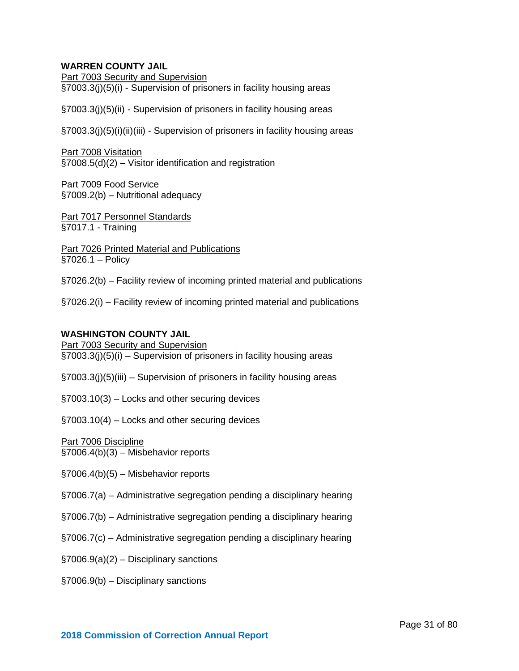# **WARREN COUNTY JAIL**

Part 7003 Security and Supervision §7003.3(j)(5)(i) - Supervision of prisoners in facility housing areas

§7003.3(j)(5)(ii) - Supervision of prisoners in facility housing areas

§7003.3(j)(5)(i)(ii)(iii) - Supervision of prisoners in facility housing areas

Part 7008 Visitation §7008.5(d)(2) – Visitor identification and registration

Part 7009 Food Service §7009.2(b) – Nutritional adequacy

Part 7017 Personnel Standards §7017.1 - Training

Part 7026 Printed Material and Publications §7026.1 – Policy

§7026.2(b) – Facility review of incoming printed material and publications

§7026.2(i) – Facility review of incoming printed material and publications

#### **WASHINGTON COUNTY JAIL**

Part 7003 Security and Supervision §7003.3(j)(5)(i) – Supervision of prisoners in facility housing areas

§7003.3(j)(5)(iii) – Supervision of prisoners in facility housing areas

§7003.10(3) – Locks and other securing devices

§7003.10(4) – Locks and other securing devices

Part 7006 Discipline

§7006.4(b)(3) – Misbehavior reports

§7006.4(b)(5) – Misbehavior reports

§7006.7(a) – Administrative segregation pending a disciplinary hearing

§7006.7(b) – Administrative segregation pending a disciplinary hearing

§7006.7(c) – Administrative segregation pending a disciplinary hearing

§7006.9(a)(2) – Disciplinary sanctions

§7006.9(b) – Disciplinary sanctions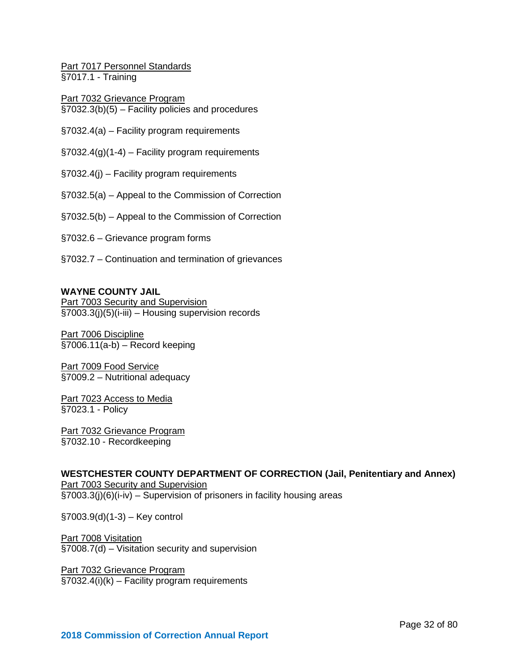Part 7017 Personnel Standards §7017.1 - Training

Part 7032 Grievance Program §7032.3(b)(5) – Facility policies and procedures

§7032.4(a) – Facility program requirements

 $\S 7032.4(g)(1-4)$  – Facility program requirements

§7032.4(j) – Facility program requirements

§7032.5(a) – Appeal to the Commission of Correction

§7032.5(b) – Appeal to the Commission of Correction

§7032.6 – Grievance program forms

§7032.7 – Continuation and termination of grievances

#### **WAYNE COUNTY JAIL**

Part 7003 Security and Supervision §7003.3(j)(5)(i-iii) – Housing supervision records

Part 7006 Discipline  $\overline{$}$ [\$7006.11(a-b) – Record keeping

Part 7009 Food Service §7009.2 – Nutritional adequacy

Part 7023 Access to Media §7023.1 - Policy

Part 7032 Grievance Program §7032.10 - Recordkeeping

**WESTCHESTER COUNTY DEPARTMENT OF CORRECTION (Jail, Penitentiary and Annex) Part 7003 Security and Supervision** §7003.3(j)(6)(i-iv) – Supervision of prisoners in facility housing areas

§7003.9(d)(1-3) – Key control

Part 7008 Visitation §7008.7(d) – Visitation security and supervision

Part 7032 Grievance Program §7032.4(i)(k) – Facility program requirements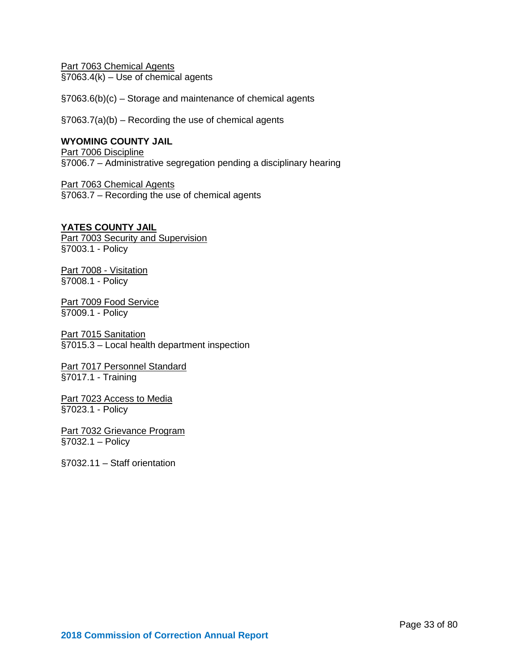Part 7063 Chemical Agents  $§7063.4(k) - Use of chemical agents$ 

§7063.6(b)(c) – Storage and maintenance of chemical agents

§7063.7(a)(b) – Recording the use of chemical agents

# **WYOMING COUNTY JAIL**

Part 7006 Discipline §7006.7 – Administrative segregation pending a disciplinary hearing

Part 7063 Chemical Agents §7063.7 – Recording the use of chemical agents

# **YATES COUNTY JAIL**

Part 7003 Security and Supervision §7003.1 - Policy

Part 7008 - Visitation §7008.1 - Policy

Part 7009 Food Service §7009.1 - Policy

Part 7015 Sanitation §7015.3 – Local health department inspection

Part 7017 Personnel Standard §7017.1 - Training

Part 7023 Access to Media §7023.1 - Policy

Part 7032 Grievance Program §7032.1 – Policy

§7032.11 – Staff orientation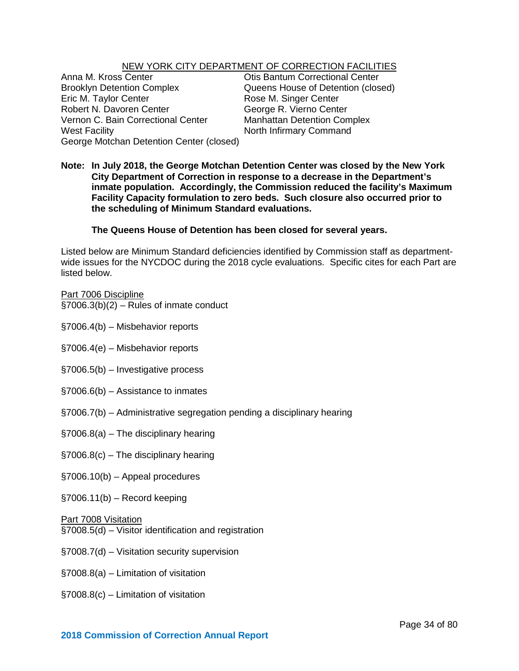# NEW YORK CITY DEPARTMENT OF CORRECTION FACILITIES

Anna M. Kross Center **Canadia Center Constant Constant** Otis Bantum Correctional Center<br>
Brooklyn Detention Complex **Cueens House of Detention (clos** Brooklyn Detention Complex<br>
Eric M. Taylor Center **Example 20 State Contention Constant Contention**<br>
Rose M. Singer Center Robert N. Davoren Center George R. Vierno Center Vernon C. Bain Correctional Center Manhattan Detention Complex West Facility North Infirmary Command George Motchan Detention Center (closed)

Rose M. Singer Center

**Note: In July 2018, the George Motchan Detention Center was closed by the New York City Department of Correction in response to a decrease in the Department's inmate population. Accordingly, the Commission reduced the facility's Maximum Facility Capacity formulation to zero beds. Such closure also occurred prior to the scheduling of Minimum Standard evaluations.** 

# **The Queens House of Detention has been closed for several years.**

Listed below are Minimum Standard deficiencies identified by Commission staff as departmentwide issues for the NYCDOC during the 2018 cycle evaluations. Specific cites for each Part are listed below.

Part 7006 Discipline §7006.3(b)(2) – Rules of inmate conduct

- §7006.4(b) Misbehavior reports
- §7006.4(e) Misbehavior reports
- §7006.5(b) Investigative process
- §7006.6(b) Assistance to inmates
- §7006.7(b) Administrative segregation pending a disciplinary hearing
- §7006.8(a) The disciplinary hearing
- §7006.8(c) The disciplinary hearing
- §7006.10(b) Appeal procedures
- $§7006.11(b) Record keeping$

#### Part 7008 Visitation

- §7008.5(d) Visitor identification and registration
- §7008.7(d) Visitation security supervision
- §7008.8(a) Limitation of visitation
- §7008.8(c) Limitation of visitation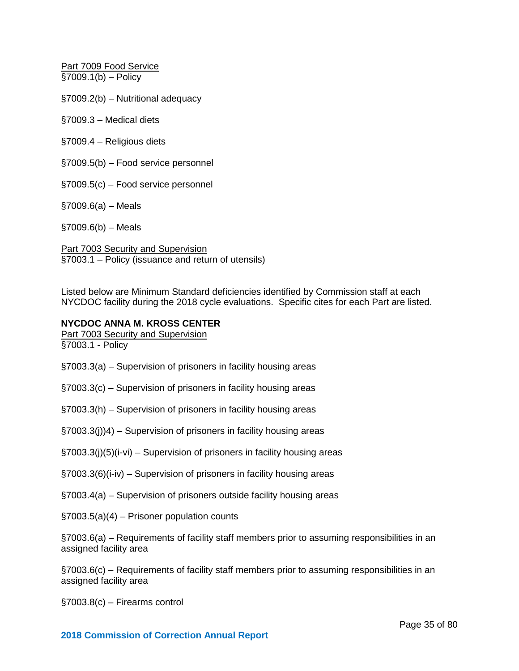Part 7009 Food Service §7009.1(b) – Policy

§7009.2(b) – Nutritional adequacy

§7009.3 – Medical diets

§7009.4 – Religious diets

§7009.5(b) – Food service personnel

§7009.5(c) – Food service personnel

§7009.6(a) – Meals

§7009.6(b) – Meals

Part 7003 Security and Supervision §7003.1 – Policy (issuance and return of utensils)

Listed below are Minimum Standard deficiencies identified by Commission staff at each NYCDOC facility during the 2018 cycle evaluations. Specific cites for each Part are listed.

#### **NYCDOC ANNA M. KROSS CENTER**

Part 7003 Security and Supervision §7003.1 - Policy

§7003.3(a) – Supervision of prisoners in facility housing areas

§7003.3(c) – Supervision of prisoners in facility housing areas

§7003.3(h) – Supervision of prisoners in facility housing areas

§7003.3(j))4) – Supervision of prisoners in facility housing areas

§7003.3(j)(5)(i-vi) – Supervision of prisoners in facility housing areas

§7003.3(6)(i-iv) – Supervision of prisoners in facility housing areas

§7003.4(a) – Supervision of prisoners outside facility housing areas

§7003.5(a)(4) – Prisoner population counts

§7003.6(a) – Requirements of facility staff members prior to assuming responsibilities in an assigned facility area

§7003.6(c) – Requirements of facility staff members prior to assuming responsibilities in an assigned facility area

§7003.8(c) – Firearms control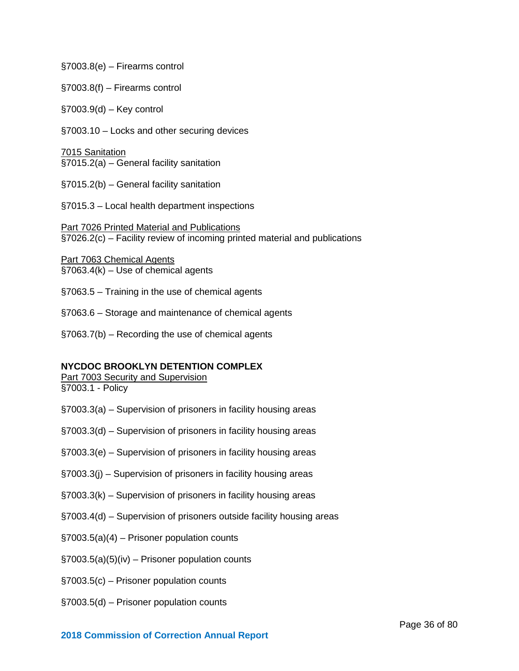§7003.8(e) – Firearms control

- §7003.8(f) Firearms control
- §7003.9(d) Key control
- §7003.10 Locks and other securing devices

7015 Sanitation §7015.2(a) – General facility sanitation

- §7015.2(b) General facility sanitation
- §7015.3 Local health department inspections

**Part 7026 Printed Material and Publications** §7026.2(c) – Facility review of incoming printed material and publications

Part 7063 Chemical Agents  $§7063.4(k) - Use of chemical agents$ 

- §7063.5 Training in the use of chemical agents
- §7063.6 Storage and maintenance of chemical agents
- §7063.7(b) Recording the use of chemical agents

#### **NYCDOC BROOKLYN DETENTION COMPLEX**

Part 7003 Security and Supervision §7003.1 - Policy

- §7003.3(a) Supervision of prisoners in facility housing areas
- §7003.3(d) Supervision of prisoners in facility housing areas
- §7003.3(e) Supervision of prisoners in facility housing areas
- §7003.3(j) Supervision of prisoners in facility housing areas
- §7003.3(k) Supervision of prisoners in facility housing areas
- §7003.4(d) Supervision of prisoners outside facility housing areas
- §7003.5(a)(4) Prisoner population counts
- §7003.5(a)(5)(iv) Prisoner population counts
- §7003.5(c) Prisoner population counts
- §7003.5(d) Prisoner population counts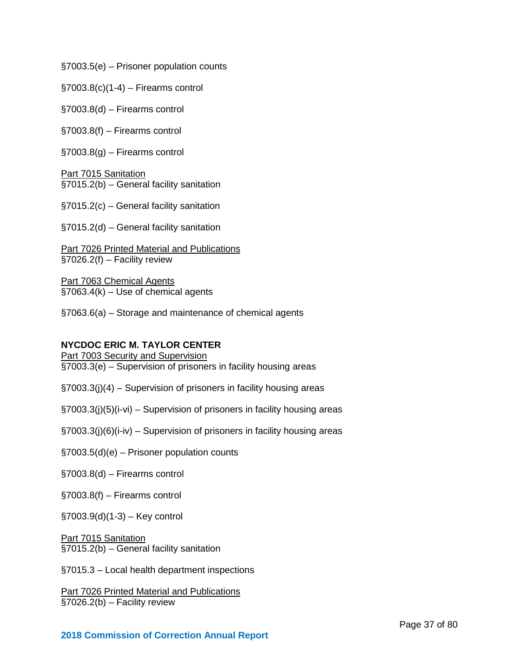§7003.5(e) – Prisoner population counts

 $\S7003.8(c)(1-4) -$  Firearms control

§7003.8(d) – Firearms control

§7003.8(f) – Firearms control

§7003.8(g) – Firearms control

Part 7015 Sanitation §7015.2(b) – General facility sanitation

§7015.2(c) – General facility sanitation

§7015.2(d) – General facility sanitation

Part 7026 Printed Material and Publications §7026.2(f) – Facility review

Part 7063 Chemical Agents §7063.4(k) – Use of chemical agents

§7063.6(a) – Storage and maintenance of chemical agents

#### **NYCDOC ERIC M. TAYLOR CENTER**

Part 7003 Security and Supervision §7003.3(e) – Supervision of prisoners in facility housing areas

§7003.3(j)(4) – Supervision of prisoners in facility housing areas

§7003.3(j)(5)(i-vi) – Supervision of prisoners in facility housing areas

§7003.3(j)(6)(i-iv) – Supervision of prisoners in facility housing areas

§7003.5(d)(e) – Prisoner population counts

§7003.8(d) – Firearms control

§7003.8(f) – Firearms control

§7003.9(d)(1-3) – Key control

Part 7015 Sanitation §7015.2(b) – General facility sanitation

§7015.3 – Local health department inspections

Part 7026 Printed Material and Publications §7026.2(b) – Facility review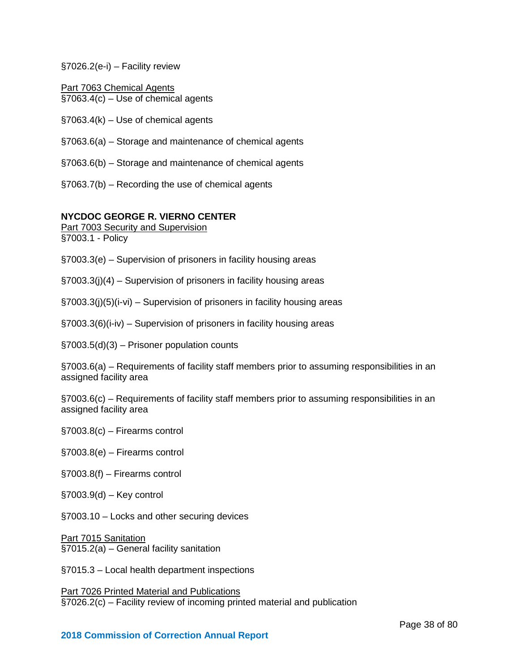#### §7026.2(e-i) – Facility review

Part 7063 Chemical Agents §7063.4(c) – Use of chemical agents

§7063.4(k) – Use of chemical agents

- §7063.6(a) Storage and maintenance of chemical agents
- §7063.6(b) Storage and maintenance of chemical agents
- §7063.7(b) Recording the use of chemical agents

#### **NYCDOC GEORGE R. VIERNO CENTER**

Part 7003 Security and Supervision §7003.1 - Policy

- §7003.3(e) Supervision of prisoners in facility housing areas
- §7003.3(j)(4) Supervision of prisoners in facility housing areas
- §7003.3(j)(5)(i-vi) Supervision of prisoners in facility housing areas
- §7003.3(6)(i-iv) Supervision of prisoners in facility housing areas

§7003.5(d)(3) – Prisoner population counts

§7003.6(a) – Requirements of facility staff members prior to assuming responsibilities in an assigned facility area

§7003.6(c) – Requirements of facility staff members prior to assuming responsibilities in an assigned facility area

- §7003.8(c) Firearms control
- §7003.8(e) Firearms control
- §7003.8(f) Firearms control
- §7003.9(d) Key control
- §7003.10 Locks and other securing devices

Part 7015 Sanitation §7015.2(a) – General facility sanitation

§7015.3 – Local health department inspections

Part 7026 Printed Material and Publications §7026.2(c) – Facility review of incoming printed material and publication

#### **2018 Commission of Correction Annual Report**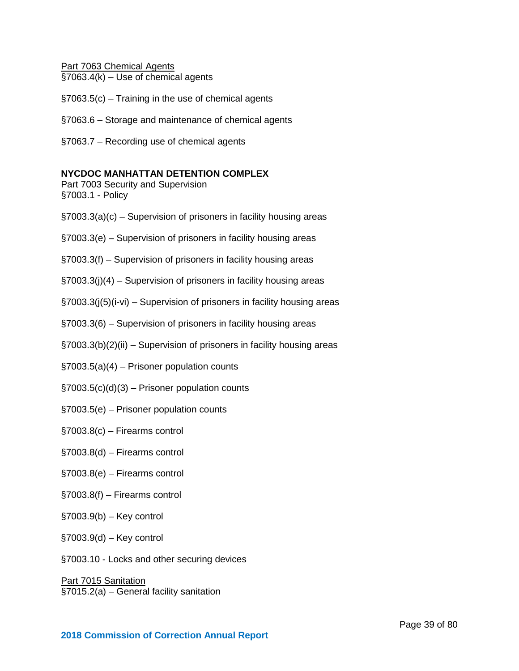Part 7063 Chemical Agents §7063.4(k) – Use of chemical agents

- §7063.5(c) Training in the use of chemical agents
- §7063.6 Storage and maintenance of chemical agents
- §7063.7 Recording use of chemical agents

#### **NYCDOC MANHATTAN DETENTION COMPLEX**

Part 7003 Security and Supervision

§7003.1 - Policy

- §7003.3(a)(c) Supervision of prisoners in facility housing areas
- §7003.3(e) Supervision of prisoners in facility housing areas
- §7003.3(f) Supervision of prisoners in facility housing areas
- §7003.3(j)(4) Supervision of prisoners in facility housing areas
- §7003.3(j(5)(i-vi) Supervision of prisoners in facility housing areas
- §7003.3(6) Supervision of prisoners in facility housing areas
- §7003.3(b)(2)(ii) Supervision of prisoners in facility housing areas
- §7003.5(a)(4) Prisoner population counts
- $\S7003.5(c)(d)(3)$  Prisoner population counts
- §7003.5(e) Prisoner population counts
- §7003.8(c) Firearms control
- §7003.8(d) Firearms control
- §7003.8(e) Firearms control
- §7003.8(f) Firearms control
- §7003.9(b) Key control
- §7003.9(d) Key control
- §7003.10 Locks and other securing devices

Part 7015 Sanitation §7015.2(a) – General facility sanitation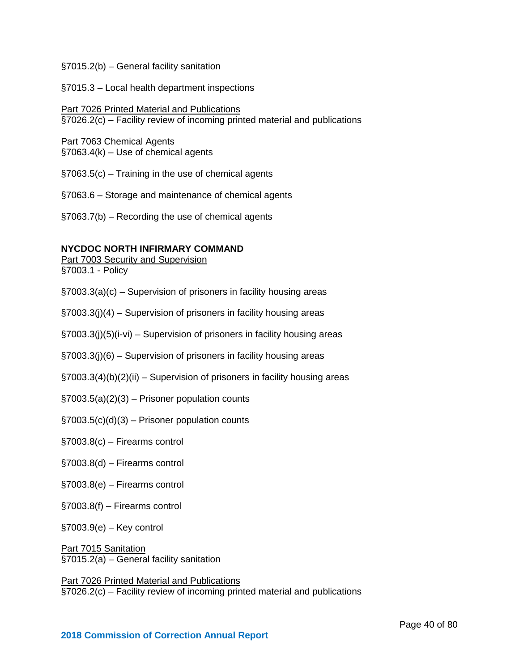#### §7015.2(b) – General facility sanitation

#### §7015.3 – Local health department inspections

# Part 7026 Printed Material and Publications

§7026.2(c) – Facility review of incoming printed material and publications

#### Part 7063 Chemical Agents

 $§7063.4(k) - Use of chemical agents$ 

§7063.5(c) – Training in the use of chemical agents

§7063.6 – Storage and maintenance of chemical agents

§7063.7(b) – Recording the use of chemical agents

#### **NYCDOC NORTH INFIRMARY COMMAND**

Part 7003 Security and Supervision §7003.1 - Policy

§7003.3(a)(c) – Supervision of prisoners in facility housing areas

§7003.3(j)(4) – Supervision of prisoners in facility housing areas

§7003.3(j)(5)(i-vi) – Supervision of prisoners in facility housing areas

§7003.3(j)(6) – Supervision of prisoners in facility housing areas

§7003.3(4)(b)(2)(ii) – Supervision of prisoners in facility housing areas

 $\S7003.5(a)(2)(3)$  – Prisoner population counts

§7003.5(c)(d)(3) – Prisoner population counts

§7003.8(c) – Firearms control

§7003.8(d) – Firearms control

§7003.8(e) – Firearms control

§7003.8(f) – Firearms control

§7003.9(e) – Key control

**Part 7015 Sanitation** §7015.2(a) – General facility sanitation

Part 7026 Printed Material and Publications §7026.2(c) – Facility review of incoming printed material and publications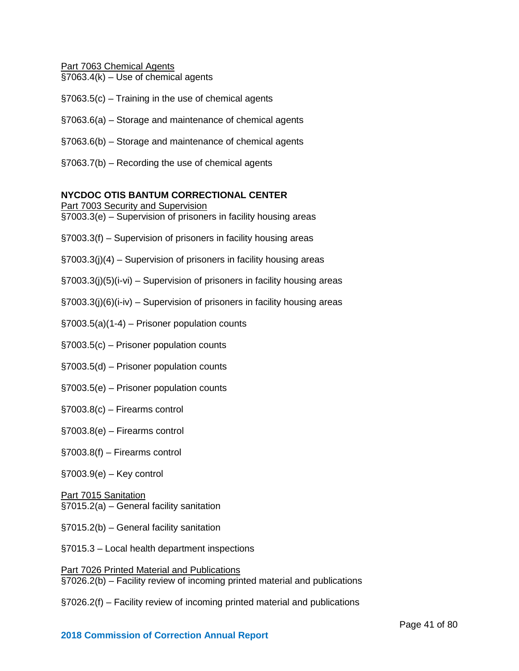Part 7063 Chemical Agents

- §7063.4(k) Use of chemical agents
- §7063.5(c) Training in the use of chemical agents
- §7063.6(a) Storage and maintenance of chemical agents
- §7063.6(b) Storage and maintenance of chemical agents
- §7063.7(b) Recording the use of chemical agents

#### **NYCDOC OTIS BANTUM CORRECTIONAL CENTER**

Part 7003 Security and Supervision §7003.3(e) – Supervision of prisoners in facility housing areas

- §7003.3(f) Supervision of prisoners in facility housing areas
- §7003.3(j)(4) Supervision of prisoners in facility housing areas
- §7003.3(j)(5)(i-vi) Supervision of prisoners in facility housing areas
- §7003.3(j)(6)(i-iv) Supervision of prisoners in facility housing areas
- §7003.5(a)(1-4) Prisoner population counts
- §7003.5(c) Prisoner population counts
- §7003.5(d) Prisoner population counts
- §7003.5(e) Prisoner population counts
- §7003.8(c) Firearms control
- §7003.8(e) Firearms control
- §7003.8(f) Firearms control
- §7003.9(e) Key control

#### Part 7015 Sanitation §7015.2(a) – General facility sanitation

- §7015.2(b) General facility sanitation
- §7015.3 Local health department inspections

Part 7026 Printed Material and Publications §7026.2(b) – Facility review of incoming printed material and publications

§7026.2(f) – Facility review of incoming printed material and publications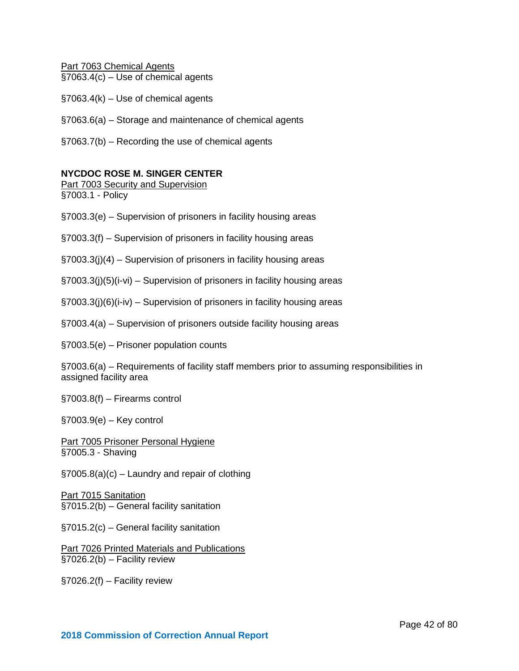Part 7063 Chemical Agents §7063.4(c) – Use of chemical agents

- §7063.4(k) Use of chemical agents
- §7063.6(a) Storage and maintenance of chemical agents
- §7063.7(b) Recording the use of chemical agents

#### **NYCDOC ROSE M. SINGER CENTER**

Part 7003 Security and Supervision §7003.1 - Policy

- §7003.3(e) Supervision of prisoners in facility housing areas
- §7003.3(f) Supervision of prisoners in facility housing areas
- §7003.3(j)(4) Supervision of prisoners in facility housing areas
- §7003.3(j)(5)(i-vi) Supervision of prisoners in facility housing areas
- §7003.3(j)(6)(i-iv) Supervision of prisoners in facility housing areas
- §7003.4(a) Supervision of prisoners outside facility housing areas
- §7003.5(e) Prisoner population counts

§7003.6(a) – Requirements of facility staff members prior to assuming responsibilities in assigned facility area

§7003.8(f) – Firearms control

§7003.9(e) – Key control

Part 7005 Prisoner Personal Hygiene §7005.3 - Shaving

 $\S7005.8(a)(c)$  – Laundry and repair of clothing

Part 7015 Sanitation §7015.2(b) – General facility sanitation

§7015.2(c) – General facility sanitation

Part 7026 Printed Materials and Publications §7026.2(b) – Facility review

§7026.2(f) – Facility review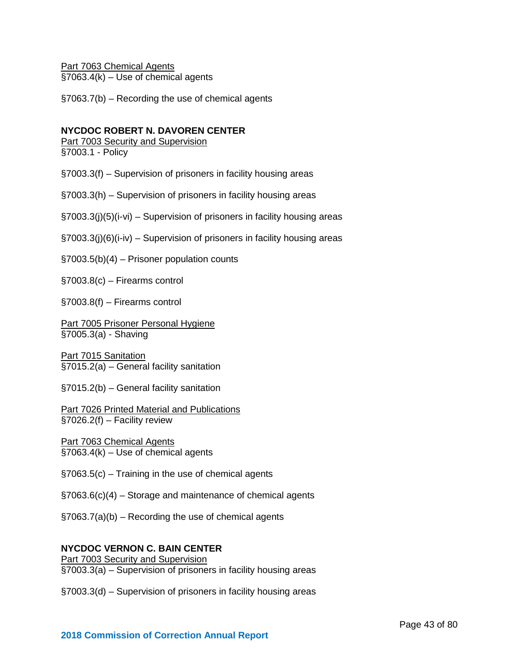Part 7063 Chemical Agents §7063.4(k) – Use of chemical agents

§7063.7(b) – Recording the use of chemical agents

#### **NYCDOC ROBERT N. DAVOREN CENTER**

Part 7003 Security and Supervision §7003.1 - Policy

§7003.3(f) – Supervision of prisoners in facility housing areas

§7003.3(h) – Supervision of prisoners in facility housing areas

§7003.3(j)(5)(i-vi) – Supervision of prisoners in facility housing areas

§7003.3(j)(6)(i-iv) – Supervision of prisoners in facility housing areas

§7003.5(b)(4) – Prisoner population counts

§7003.8(c) – Firearms control

§7003.8(f) – Firearms control

Part 7005 Prisoner Personal Hygiene §7005.3(a) - Shaving

Part 7015 Sanitation §7015.2(a) – General facility sanitation

§7015.2(b) – General facility sanitation

Part 7026 Printed Material and Publications  $\overline{\text{S7026.2(f)} - \text{Facility review}}$ 

Part 7063 Chemical Agents §7063.4(k) – Use of chemical agents

§7063.5(c) – Training in the use of chemical agents

§7063.6(c)(4) – Storage and maintenance of chemical agents

§7063.7(a)(b) – Recording the use of chemical agents

#### **NYCDOC VERNON C. BAIN CENTER**

Part 7003 Security and Supervision §7003.3(a) – Supervision of prisoners in facility housing areas

§7003.3(d) – Supervision of prisoners in facility housing areas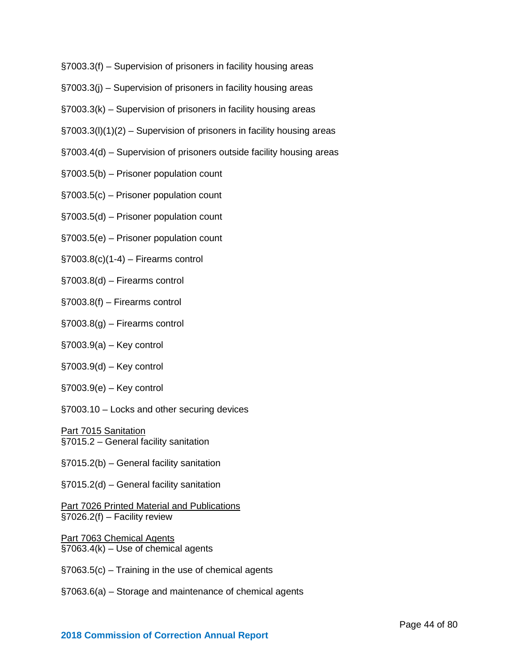- §7003.3(f) Supervision of prisoners in facility housing areas
- §7003.3(j) Supervision of prisoners in facility housing areas
- §7003.3(k) Supervision of prisoners in facility housing areas
- §7003.3(l)(1)(2) Supervision of prisoners in facility housing areas
- §7003.4(d) Supervision of prisoners outside facility housing areas
- §7003.5(b) Prisoner population count
- §7003.5(c) Prisoner population count
- §7003.5(d) Prisoner population count
- §7003.5(e) Prisoner population count
- $\S7003.8(c)(1-4)$  Firearms control
- §7003.8(d) Firearms control
- §7003.8(f) Firearms control
- §7003.8(g) Firearms control
- §7003.9(a) Key control
- §7003.9(d) Key control
- §7003.9(e) Key control
- §7003.10 Locks and other securing devices

Part 7015 Sanitation §7015.2 – General facility sanitation

- §7015.2(b) General facility sanitation
- §7015.2(d) General facility sanitation

Part 7026 Printed Material and Publications  $\S 7026.2(f)$  – Facility review

Part 7063 Chemical Agents  $§7063.4(k) - Use of chemical agents$ 

- §7063.5(c) Training in the use of chemical agents
- §7063.6(a) Storage and maintenance of chemical agents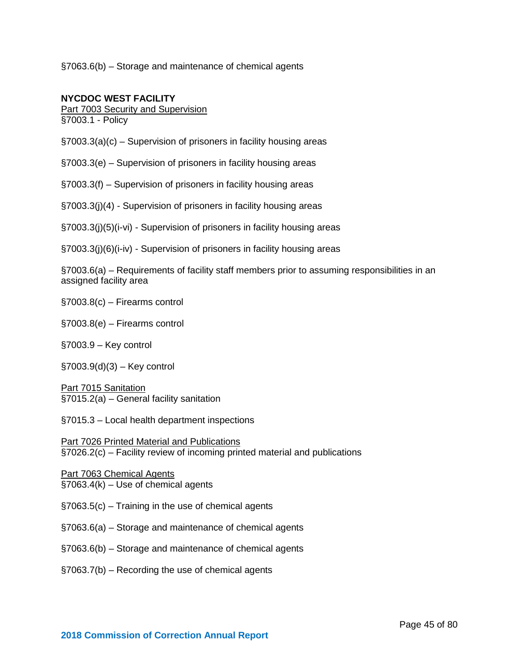§7063.6(b) – Storage and maintenance of chemical agents

#### **NYCDOC WEST FACILITY**

Part 7003 Security and Supervision

§7003.1 - Policy

§7003.3(a)(c) – Supervision of prisoners in facility housing areas

§7003.3(e) – Supervision of prisoners in facility housing areas

§7003.3(f) – Supervision of prisoners in facility housing areas

§7003.3(j)(4) - Supervision of prisoners in facility housing areas

§7003.3(j)(5)(i-vi) - Supervision of prisoners in facility housing areas

§7003.3(j)(6)(i-iv) - Supervision of prisoners in facility housing areas

§7003.6(a) – Requirements of facility staff members prior to assuming responsibilities in an assigned facility area

§7003.8(c) – Firearms control

§7003.8(e) – Firearms control

§7003.9 – Key control

§7003.9(d)(3) – Key control

Part 7015 Sanitation §7015.2(a) – General facility sanitation

§7015.3 – Local health department inspections

Part 7026 Printed Material and Publications §7026.2(c) – Facility review of incoming printed material and publications

Part 7063 Chemical Agents  $§7063.4(k) - Use of chemical agents$ 

§7063.5(c) – Training in the use of chemical agents

§7063.6(a) – Storage and maintenance of chemical agents

§7063.6(b) – Storage and maintenance of chemical agents

§7063.7(b) – Recording the use of chemical agents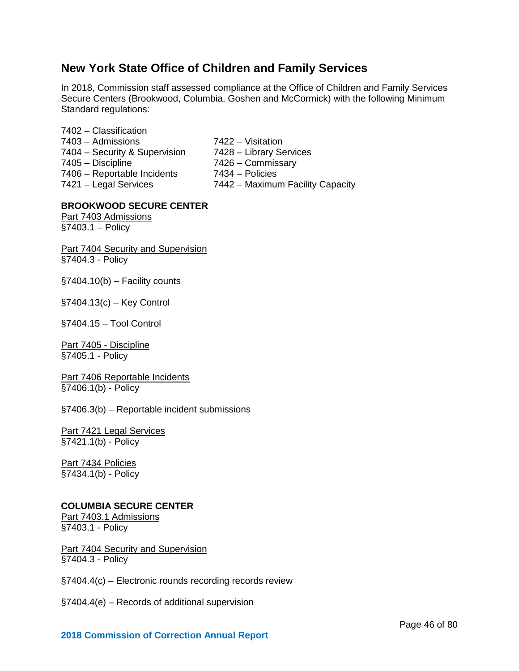# **New York State Office of Children and Family Services**

In 2018, Commission staff assessed compliance at the Office of Children and Family Services Secure Centers (Brookwood, Columbia, Goshen and McCormick) with the following Minimum Standard regulations:

- 7402 Classification 7403 – Admissions 7422 – Visitation 7404 – Security & Supervision 7428 – Library Services 7405 – Discipline 7426 – Commissary 7406 – Reportable Incidents 7434 – Policies<br>7421 – Legal Services 7442 – Maximu
	-
	-
	-
	-
	- 7442 Maximum Facility Capacity

#### **BROOKWOOD SECURE CENTER**

Part 7403 Admissions §7403.1 – Policy

**Part 7404 Security and Supervision** §7404.3 - Policy

 $§7404.10(b) - Facility counts$ 

§7404.13(c) – Key Control

§7404.15 – Tool Control

Part 7405 - Discipline §7405.1 - Policy

Part 7406 Reportable Incidents §7406.1(b) - Policy

§7406.3(b) – Reportable incident submissions

Part 7421 Legal Services §7421.1(b) - Policy

Part 7434 Policies §7434.1(b) - Policy

#### **COLUMBIA SECURE CENTER**

Part 7403.1 Admissions §7403.1 - Policy

**Part 7404 Security and Supervision** §7404.3 - Policy

§7404.4(c) – Electronic rounds recording records review

§7404.4(e) – Records of additional supervision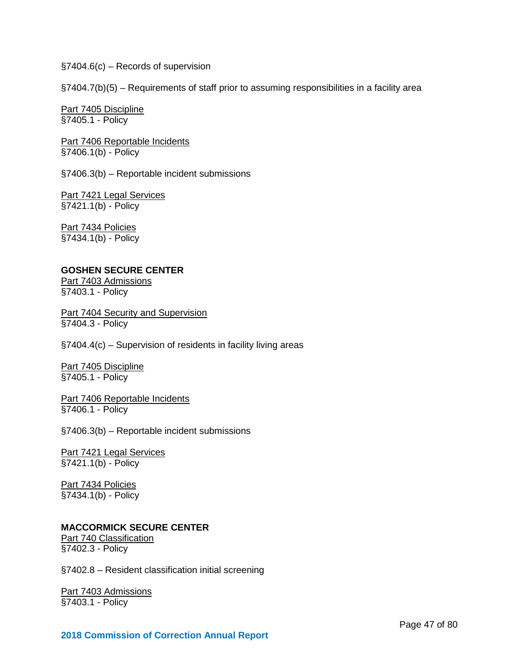§7404.6(c) – Records of supervision

§7404.7(b)(5) – Requirements of staff prior to assuming responsibilities in a facility area

Part 7405 Discipline §7405.1 - Policy

Part 7406 Reportable Incidents §7406.1(b) - Policy

§7406.3(b) – Reportable incident submissions

Part 7421 Legal Services §7421.1(b) - Policy

Part 7434 Policies §7434.1(b) - Policy

#### **GOSHEN SECURE CENTER**

Part 7403 Admissions §7403.1 - Policy

**Part 7404 Security and Supervision** §7404.3 - Policy

§7404.4(c) – Supervision of residents in facility living areas

Part 7405 Discipline §7405.1 - Policy

Part 7406 Reportable Incidents §7406.1 - Policy

§7406.3(b) – Reportable incident submissions

Part 7421 Legal Services §7421.1(b) - Policy

Part 7434 Policies §7434.1(b) - Policy

#### **MACCORMICK SECURE CENTER**

Part 740 Classification §7402.3 - Policy

§7402.8 – Resident classification initial screening

Part 7403 Admissions §7403.1 - Policy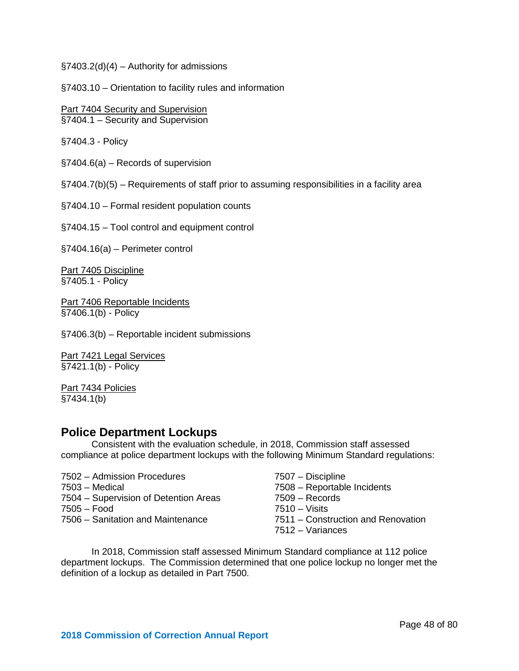$\S$ 7403.2(d)(4) – Authority for admissions

§7403.10 – Orientation to facility rules and information

Part 7404 Security and Supervision §7404.1 – Security and Supervision

§7404.3 - Policy

§7404.6(a) – Records of supervision

§7404.7(b)(5) – Requirements of staff prior to assuming responsibilities in a facility area

§7404.10 – Formal resident population counts

§7404.15 – Tool control and equipment control

§7404.16(a) – Perimeter control

Part 7405 Discipline §7405.1 - Policy

Part 7406 Reportable Incidents §7406.1(b) - Policy

§7406.3(b) – Reportable incident submissions

Part 7421 Legal Services §7421.1(b) - Policy

Part 7434 Policies §7434.1(b)

### **Police Department Lockups**

Consistent with the evaluation schedule, in 2018, Commission staff assessed compliance at police department lockups with the following Minimum Standard regulations:

- 7502 Admission Procedures 7507 Discipline 7503 – Medical 7508 – Reportable Incidents 7504 – Supervision of Detention Areas 7509 – Records 7505 – Food 7510 – Visits 7506 – Sanitation and Maintenance 7511 – Construction and Renovation
- -
	-
	-
	-
	- 7512 Variances

In 2018, Commission staff assessed Minimum Standard compliance at 112 police department lockups. The Commission determined that one police lockup no longer met the definition of a lockup as detailed in Part 7500.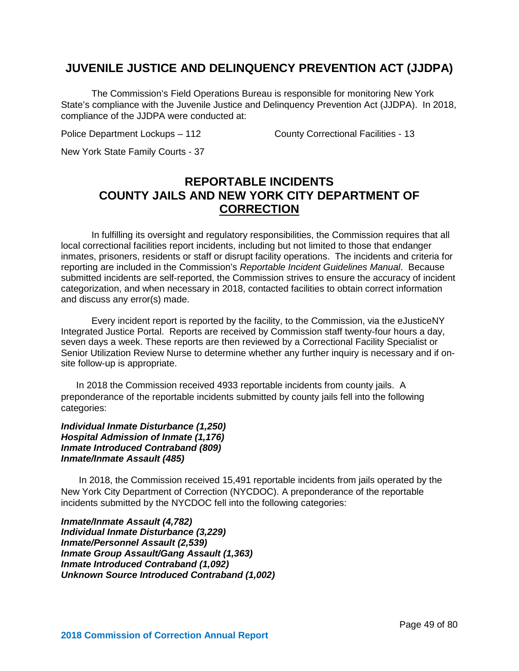# **JUVENILE JUSTICE AND DELINQUENCY PREVENTION ACT (JJDPA)**

The Commission's Field Operations Bureau is responsible for monitoring New York State's compliance with the Juvenile Justice and Delinquency Prevention Act (JJDPA). In 2018, compliance of the JJDPA were conducted at:

Police Department Lockups – 112 County Correctional Facilities - 13

New York State Family Courts - 37

# **REPORTABLE INCIDENTS COUNTY JAILS AND NEW YORK CITY DEPARTMENT OF CORRECTION**

In fulfilling its oversight and regulatory responsibilities, the Commission requires that all local correctional facilities report incidents, including but not limited to those that endanger inmates, prisoners, residents or staff or disrupt facility operations. The incidents and criteria for reporting are included in the Commission's *Reportable Incident Guidelines Manual*. Because submitted incidents are self-reported, the Commission strives to ensure the accuracy of incident categorization, and when necessary in 2018, contacted facilities to obtain correct information and discuss any error(s) made.

Every incident report is reported by the facility, to the Commission, via the eJusticeNY Integrated Justice Portal. Reports are received by Commission staff twenty-four hours a day, seven days a week. These reports are then reviewed by a Correctional Facility Specialist or Senior Utilization Review Nurse to determine whether any further inquiry is necessary and if onsite follow-up is appropriate.

In 2018 the Commission received 4933 reportable incidents from county jails. A preponderance of the reportable incidents submitted by county jails fell into the following categories:

*Individual Inmate Disturbance (1,250) Hospital Admission of Inmate (1,176) Inmate Introduced Contraband (809) Inmate/Inmate Assault (485)*

In 2018, the Commission received 15,491 reportable incidents from jails operated by the New York City Department of Correction (NYCDOC). A preponderance of the reportable incidents submitted by the NYCDOC fell into the following categories:

*Inmate/Inmate Assault (4,782) Individual Inmate Disturbance (3,229) Inmate/Personnel Assault (2,539) Inmate Group Assault/Gang Assault (1,363) Inmate Introduced Contraband (1,092) Unknown Source Introduced Contraband (1,002)*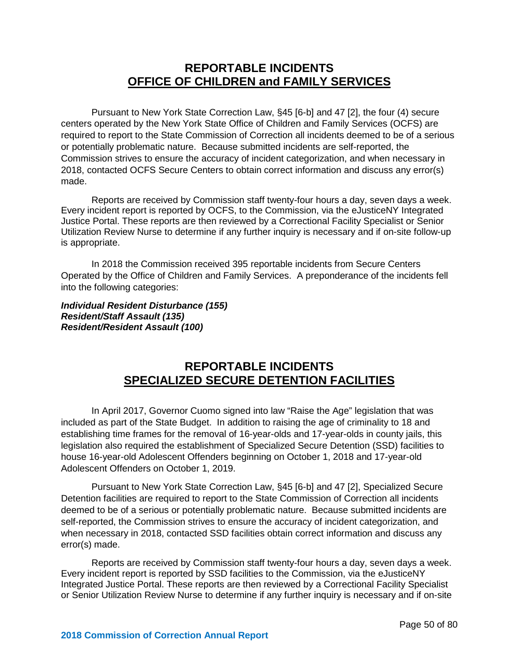# **REPORTABLE INCIDENTS OFFICE OF CHILDREN and FAMILY SERVICES**

Pursuant to New York State Correction Law, §45 [6-b] and 47 [2], the four (4) secure centers operated by the New York State Office of Children and Family Services (OCFS) are required to report to the State Commission of Correction all incidents deemed to be of a serious or potentially problematic nature. Because submitted incidents are self-reported, the Commission strives to ensure the accuracy of incident categorization, and when necessary in 2018, contacted OCFS Secure Centers to obtain correct information and discuss any error(s) made.

Reports are received by Commission staff twenty-four hours a day, seven days a week. Every incident report is reported by OCFS, to the Commission, via the eJusticeNY Integrated Justice Portal. These reports are then reviewed by a Correctional Facility Specialist or Senior Utilization Review Nurse to determine if any further inquiry is necessary and if on-site follow-up is appropriate.

In 2018 the Commission received 395 reportable incidents from Secure Centers Operated by the Office of Children and Family Services. A preponderance of the incidents fell into the following categories:

*Individual Resident Disturbance (155) Resident/Staff Assault (135) Resident/Resident Assault (100)*

# **REPORTABLE INCIDENTS SPECIALIZED SECURE DETENTION FACILITIES**

In April 2017, Governor Cuomo signed into law "Raise the Age" legislation that was included as part of the State Budget. In addition to raising the age of criminality to 18 and establishing time frames for the removal of 16-year-olds and 17-year-olds in county jails, this legislation also required the establishment of Specialized Secure Detention (SSD) facilities to house 16-year-old Adolescent Offenders beginning on October 1, 2018 and 17-year-old Adolescent Offenders on October 1, 2019.

Pursuant to New York State Correction Law, §45 [6-b] and 47 [2], Specialized Secure Detention facilities are required to report to the State Commission of Correction all incidents deemed to be of a serious or potentially problematic nature. Because submitted incidents are self-reported, the Commission strives to ensure the accuracy of incident categorization, and when necessary in 2018, contacted SSD facilities obtain correct information and discuss any error(s) made.

Reports are received by Commission staff twenty-four hours a day, seven days a week. Every incident report is reported by SSD facilities to the Commission, via the eJusticeNY Integrated Justice Portal. These reports are then reviewed by a Correctional Facility Specialist or Senior Utilization Review Nurse to determine if any further inquiry is necessary and if on-site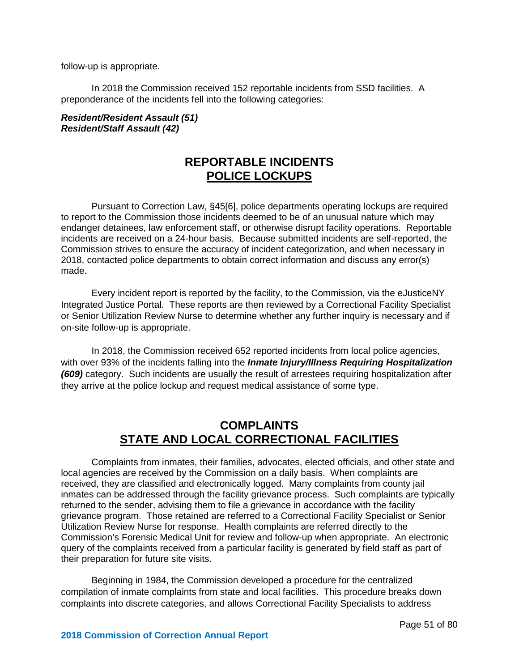follow-up is appropriate.

In 2018 the Commission received 152 reportable incidents from SSD facilities. A preponderance of the incidents fell into the following categories:

#### *Resident/Resident Assault (51) Resident/Staff Assault (42)*

# **REPORTABLE INCIDENTS POLICE LOCKUPS**

Pursuant to Correction Law, §45[6], police departments operating lockups are required to report to the Commission those incidents deemed to be of an unusual nature which may endanger detainees, law enforcement staff, or otherwise disrupt facility operations. Reportable incidents are received on a 24-hour basis. Because submitted incidents are self-reported, the Commission strives to ensure the accuracy of incident categorization, and when necessary in 2018, contacted police departments to obtain correct information and discuss any error(s) made.

Every incident report is reported by the facility, to the Commission, via the eJusticeNY Integrated Justice Portal. These reports are then reviewed by a Correctional Facility Specialist or Senior Utilization Review Nurse to determine whether any further inquiry is necessary and if on-site follow-up is appropriate.

In 2018, the Commission received 652 reported incidents from local police agencies, with over 93% of the incidents falling into the *Inmate Injury/Illness Requiring Hospitalization (609)* category. Such incidents are usually the result of arrestees requiring hospitalization after they arrive at the police lockup and request medical assistance of some type.

# **COMPLAINTS STATE AND LOCAL CORRECTIONAL FACILITIES**

Complaints from inmates, their families, advocates, elected officials, and other state and local agencies are received by the Commission on a daily basis. When complaints are received, they are classified and electronically logged. Many complaints from county jail inmates can be addressed through the facility grievance process. Such complaints are typically returned to the sender, advising them to file a grievance in accordance with the facility grievance program. Those retained are referred to a Correctional Facility Specialist or Senior Utilization Review Nurse for response. Health complaints are referred directly to the Commission's Forensic Medical Unit for review and follow-up when appropriate. An electronic query of the complaints received from a particular facility is generated by field staff as part of their preparation for future site visits.

Beginning in 1984, the Commission developed a procedure for the centralized compilation of inmate complaints from state and local facilities. This procedure breaks down complaints into discrete categories, and allows Correctional Facility Specialists to address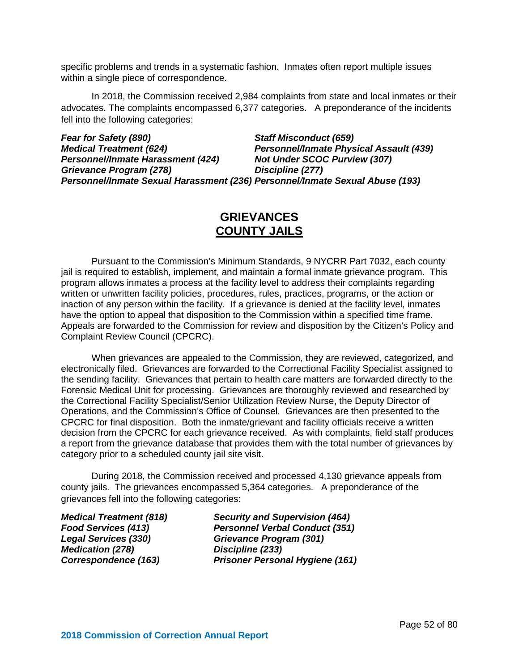specific problems and trends in a systematic fashion. Inmates often report multiple issues within a single piece of correspondence.

In 2018, the Commission received 2,984 complaints from state and local inmates or their advocates. The complaints encompassed 6,377 categories. A preponderance of the incidents fell into the following categories:

*Fear for Safety (890) Staff Misconduct (659) Personnel/Inmate Physical Assault (439)*<br>*Not Under SCOC Purview (307) Personnel/Inmate Harassment* (424) *Grievance Program (278) Discipline (277) Personnel/Inmate Sexual Harassment (236) Personnel/Inmate Sexual Abuse (193)* 

# **GRIEVANCES COUNTY JAILS**

Pursuant to the Commission's Minimum Standards, 9 NYCRR Part 7032, each county jail is required to establish, implement, and maintain a formal inmate grievance program. This program allows inmates a process at the facility level to address their complaints regarding written or unwritten facility policies, procedures, rules, practices, programs, or the action or inaction of any person within the facility. If a grievance is denied at the facility level, inmates have the option to appeal that disposition to the Commission within a specified time frame. Appeals are forwarded to the Commission for review and disposition by the Citizen's Policy and Complaint Review Council (CPCRC).

When grievances are appealed to the Commission, they are reviewed, categorized, and electronically filed. Grievances are forwarded to the Correctional Facility Specialist assigned to the sending facility. Grievances that pertain to health care matters are forwarded directly to the Forensic Medical Unit for processing. Grievances are thoroughly reviewed and researched by the Correctional Facility Specialist/Senior Utilization Review Nurse, the Deputy Director of Operations, and the Commission's Office of Counsel. Grievances are then presented to the CPCRC for final disposition. Both the inmate/grievant and facility officials receive a written decision from the CPCRC for each grievance received. As with complaints, field staff produces a report from the grievance database that provides them with the total number of grievances by category prior to a scheduled county jail site visit.

During 2018, the Commission received and processed 4,130 grievance appeals from county jails. The grievances encompassed 5,364 categories. A preponderance of the grievances fell into the following categories:

*Medication (278) Discipline (233)*

*Medical Treatment (818) Security and Supervision (464) Food Services (413) Personnel Verbal Conduct (351) Legal Services (330) Grievance Program (301) Correspondence (163) Prisoner Personal Hygiene (161)*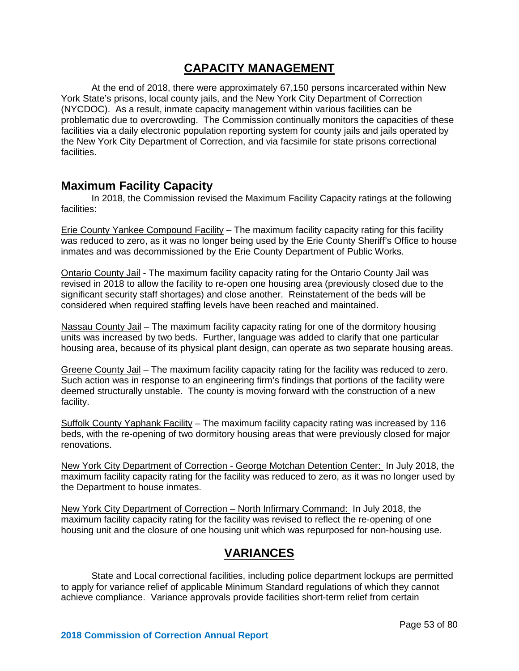## **CAPACITY MANAGEMENT**

At the end of 2018, there were approximately 67,150 persons incarcerated within New York State's prisons, local county jails, and the New York City Department of Correction (NYCDOC). As a result, inmate capacity management within various facilities can be problematic due to overcrowding. The Commission continually monitors the capacities of these facilities via a daily electronic population reporting system for county jails and jails operated by the New York City Department of Correction, and via facsimile for state prisons correctional facilities.

### **Maximum Facility Capacity**

In 2018, the Commission revised the Maximum Facility Capacity ratings at the following facilities:

Erie County Yankee Compound Facility – The maximum facility capacity rating for this facility was reduced to zero, as it was no longer being used by the Erie County Sheriff's Office to house inmates and was decommissioned by the Erie County Department of Public Works.

Ontario County Jail - The maximum facility capacity rating for the Ontario County Jail was revised in 2018 to allow the facility to re-open one housing area (previously closed due to the significant security staff shortages) and close another. Reinstatement of the beds will be considered when required staffing levels have been reached and maintained.

Nassau County Jail – The maximum facility capacity rating for one of the dormitory housing units was increased by two beds. Further, language was added to clarify that one particular housing area, because of its physical plant design, can operate as two separate housing areas.

Greene County Jail – The maximum facility capacity rating for the facility was reduced to zero. Such action was in response to an engineering firm's findings that portions of the facility were deemed structurally unstable. The county is moving forward with the construction of a new facility.

Suffolk County Yaphank Facility – The maximum facility capacity rating was increased by 116 beds, with the re-opening of two dormitory housing areas that were previously closed for major renovations.

New York City Department of Correction - George Motchan Detention Center: In July 2018, the maximum facility capacity rating for the facility was reduced to zero, as it was no longer used by the Department to house inmates.

New York City Department of Correction – North Infirmary Command: In July 2018, the maximum facility capacity rating for the facility was revised to reflect the re-opening of one housing unit and the closure of one housing unit which was repurposed for non-housing use.

# **VARIANCES**

State and Local correctional facilities, including police department lockups are permitted to apply for variance relief of applicable Minimum Standard regulations of which they cannot achieve compliance. Variance approvals provide facilities short-term relief from certain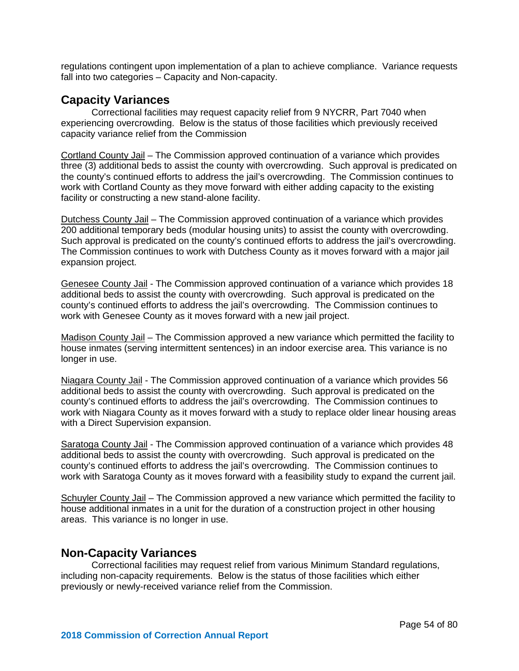regulations contingent upon implementation of a plan to achieve compliance. Variance requests fall into two categories – Capacity and Non-capacity.

### **Capacity Variances**

Correctional facilities may request capacity relief from 9 NYCRR, Part 7040 when experiencing overcrowding. Below is the status of those facilities which previously received capacity variance relief from the Commission

Cortland County Jail – The Commission approved continuation of a variance which provides three (3) additional beds to assist the county with overcrowding. Such approval is predicated on the county's continued efforts to address the jail's overcrowding. The Commission continues to work with Cortland County as they move forward with either adding capacity to the existing facility or constructing a new stand-alone facility.

Dutchess County Jail – The Commission approved continuation of a variance which provides 200 additional temporary beds (modular housing units) to assist the county with overcrowding. Such approval is predicated on the county's continued efforts to address the jail's overcrowding. The Commission continues to work with Dutchess County as it moves forward with a major jail expansion project.

Genesee County Jail - The Commission approved continuation of a variance which provides 18 additional beds to assist the county with overcrowding. Such approval is predicated on the county's continued efforts to address the jail's overcrowding. The Commission continues to work with Genesee County as it moves forward with a new jail project.

Madison County Jail – The Commission approved a new variance which permitted the facility to house inmates (serving intermittent sentences) in an indoor exercise area. This variance is no longer in use.

Niagara County Jail - The Commission approved continuation of a variance which provides 56 additional beds to assist the county with overcrowding. Such approval is predicated on the county's continued efforts to address the jail's overcrowding. The Commission continues to work with Niagara County as it moves forward with a study to replace older linear housing areas with a Direct Supervision expansion.

Saratoga County Jail - The Commission approved continuation of a variance which provides 48 additional beds to assist the county with overcrowding. Such approval is predicated on the county's continued efforts to address the jail's overcrowding. The Commission continues to work with Saratoga County as it moves forward with a feasibility study to expand the current jail.

Schuyler County Jail – The Commission approved a new variance which permitted the facility to house additional inmates in a unit for the duration of a construction project in other housing areas. This variance is no longer in use.

### **Non-Capacity Variances**

Correctional facilities may request relief from various Minimum Standard regulations, including non-capacity requirements. Below is the status of those facilities which either previously or newly-received variance relief from the Commission.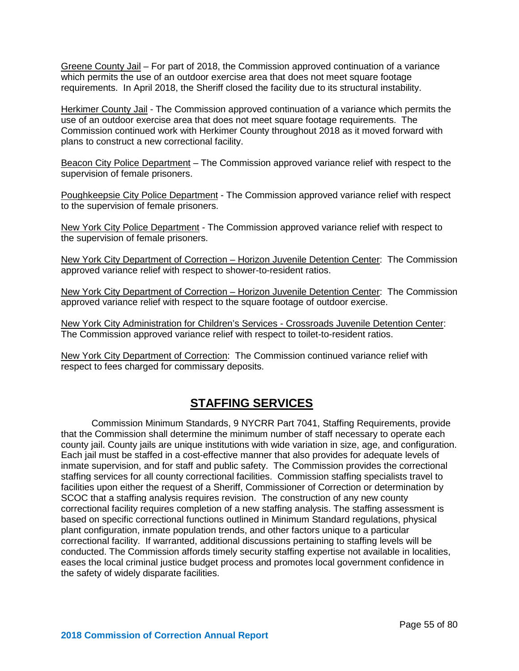Greene County Jail – For part of 2018, the Commission approved continuation of a variance which permits the use of an outdoor exercise area that does not meet square footage requirements. In April 2018, the Sheriff closed the facility due to its structural instability.

Herkimer County Jail - The Commission approved continuation of a variance which permits the use of an outdoor exercise area that does not meet square footage requirements. The Commission continued work with Herkimer County throughout 2018 as it moved forward with plans to construct a new correctional facility.

Beacon City Police Department – The Commission approved variance relief with respect to the supervision of female prisoners.

Poughkeepsie City Police Department - The Commission approved variance relief with respect to the supervision of female prisoners.

New York City Police Department - The Commission approved variance relief with respect to the supervision of female prisoners.

New York City Department of Correction – Horizon Juvenile Detention Center: The Commission approved variance relief with respect to shower-to-resident ratios.

New York City Department of Correction – Horizon Juvenile Detention Center: The Commission approved variance relief with respect to the square footage of outdoor exercise.

New York City Administration for Children's Services - Crossroads Juvenile Detention Center: The Commission approved variance relief with respect to toilet-to-resident ratios.

New York City Department of Correction: The Commission continued variance relief with respect to fees charged for commissary deposits.

# **STAFFING SERVICES**

Commission Minimum Standards, 9 NYCRR Part 7041, Staffing Requirements, provide that the Commission shall determine the minimum number of staff necessary to operate each county jail. County jails are unique institutions with wide variation in size, age, and configuration. Each jail must be staffed in a cost-effective manner that also provides for adequate levels of inmate supervision, and for staff and public safety. The Commission provides the correctional staffing services for all county correctional facilities. Commission staffing specialists travel to facilities upon either the request of a Sheriff, Commissioner of Correction or determination by SCOC that a staffing analysis requires revision. The construction of any new county correctional facility requires completion of a new staffing analysis. The staffing assessment is based on specific correctional functions outlined in Minimum Standard regulations, physical plant configuration, inmate population trends, and other factors unique to a particular correctional facility. If warranted, additional discussions pertaining to staffing levels will be conducted. The Commission affords timely security staffing expertise not available in localities, eases the local criminal justice budget process and promotes local government confidence in the safety of widely disparate facilities.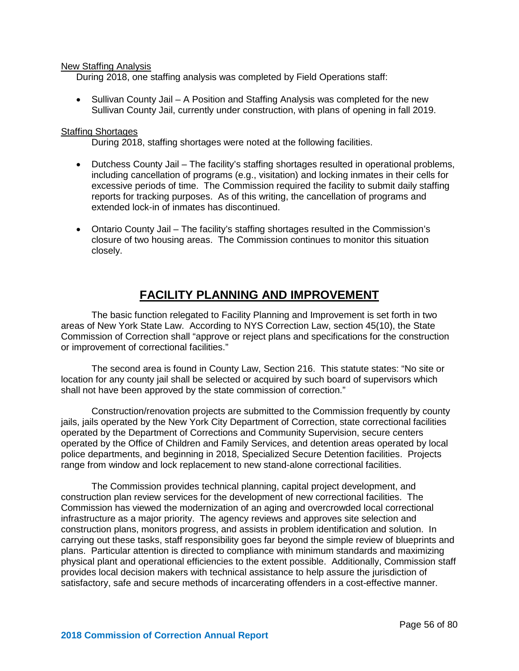#### New Staffing Analysis

During 2018, one staffing analysis was completed by Field Operations staff:

• Sullivan County Jail – A Position and Staffing Analysis was completed for the new Sullivan County Jail, currently under construction, with plans of opening in fall 2019.

#### Staffing Shortages

During 2018, staffing shortages were noted at the following facilities.

- Dutchess County Jail The facility's staffing shortages resulted in operational problems, including cancellation of programs (e.g., visitation) and locking inmates in their cells for excessive periods of time. The Commission required the facility to submit daily staffing reports for tracking purposes. As of this writing, the cancellation of programs and extended lock-in of inmates has discontinued.
- Ontario County Jail The facility's staffing shortages resulted in the Commission's closure of two housing areas. The Commission continues to monitor this situation closely.

# **FACILITY PLANNING AND IMPROVEMENT**

The basic function relegated to Facility Planning and Improvement is set forth in two areas of New York State Law. According to NYS Correction Law, section 45(10), the State Commission of Correction shall "approve or reject plans and specifications for the construction or improvement of correctional facilities."

The second area is found in County Law, Section 216. This statute states: "No site or location for any county jail shall be selected or acquired by such board of supervisors which shall not have been approved by the state commission of correction."

Construction/renovation projects are submitted to the Commission frequently by county jails, jails operated by the New York City Department of Correction, state correctional facilities operated by the Department of Corrections and Community Supervision, secure centers operated by the Office of Children and Family Services, and detention areas operated by local police departments, and beginning in 2018, Specialized Secure Detention facilities. Projects range from window and lock replacement to new stand-alone correctional facilities.

The Commission provides technical planning, capital project development, and construction plan review services for the development of new correctional facilities. The Commission has viewed the modernization of an aging and overcrowded local correctional infrastructure as a major priority. The agency reviews and approves site selection and construction plans, monitors progress, and assists in problem identification and solution. In carrying out these tasks, staff responsibility goes far beyond the simple review of blueprints and plans. Particular attention is directed to compliance with minimum standards and maximizing physical plant and operational efficiencies to the extent possible. Additionally, Commission staff provides local decision makers with technical assistance to help assure the jurisdiction of satisfactory, safe and secure methods of incarcerating offenders in a cost-effective manner.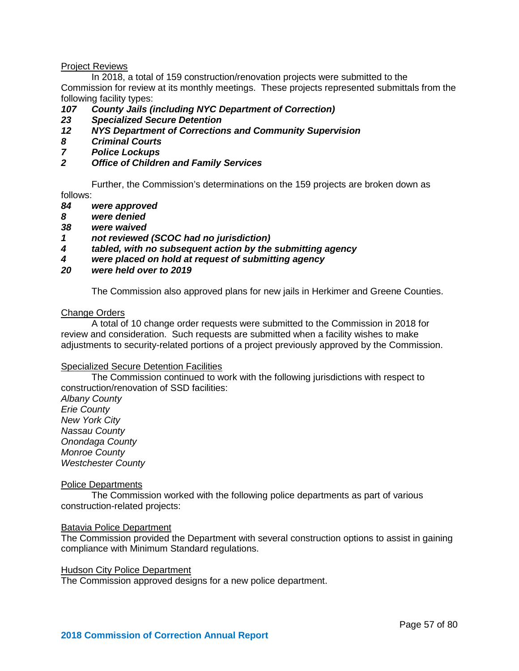#### Project Reviews

In 2018, a total of 159 construction/renovation projects were submitted to the Commission for review at its monthly meetings. These projects represented submittals from the following facility types:

# *107 County Jails (including NYC Department of Correction)*

- *23 Specialized Secure Detention*
- *12 NYS Department of Corrections and Community Supervision*
- *8 Criminal Courts*
- *7 Police Lockups*
- *2 Office of Children and Family Services*

Further, the Commission's determinations on the 159 projects are broken down as follows:<br>84

- *84 were approved*
- *8 were denied*
- *38 were waived*
- *1 not reviewed (SCOC had no jurisdiction)*
- *4 tabled, with no subsequent action by the submitting agency*
- *4 were placed on hold at request of submitting agency*
- *20 were held over to 2019*

The Commission also approved plans for new jails in Herkimer and Greene Counties.

#### Change Orders

A total of 10 change order requests were submitted to the Commission in 2018 for review and consideration. Such requests are submitted when a facility wishes to make adjustments to security-related portions of a project previously approved by the Commission.

#### Specialized Secure Detention Facilities

The Commission continued to work with the following jurisdictions with respect to construction/renovation of SSD facilities:

*Albany County Erie County New York City Nassau County Onondaga County Monroe County Westchester County*

#### Police Departments

The Commission worked with the following police departments as part of various construction-related projects:

#### Batavia Police Department

The Commission provided the Department with several construction options to assist in gaining compliance with Minimum Standard regulations.

#### Hudson City Police Department

The Commission approved designs for a new police department.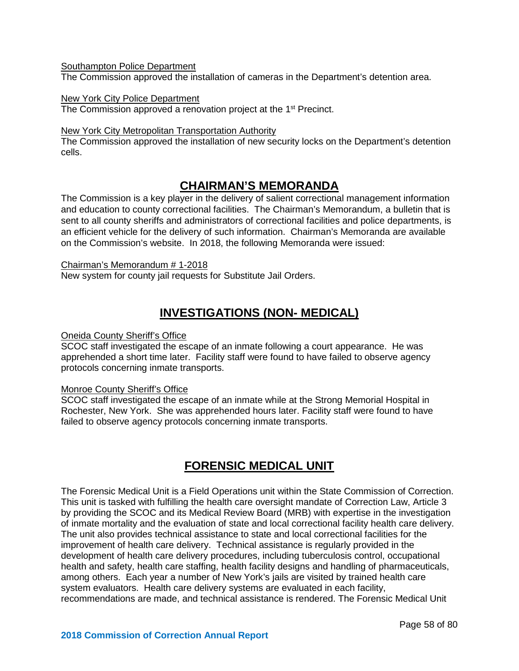**Southampton Police Department** 

The Commission approved the installation of cameras in the Department's detention area.

#### New York City Police Department

The Commission approved a renovation project at the 1<sup>st</sup> Precinct.

#### New York City Metropolitan Transportation Authority

The Commission approved the installation of new security locks on the Department's detention cells.

# **CHAIRMAN'S MEMORANDA**

The Commission is a key player in the delivery of salient correctional management information and education to county correctional facilities. The Chairman's Memorandum, a bulletin that is sent to all county sheriffs and administrators of correctional facilities and police departments, is an efficient vehicle for the delivery of such information. Chairman's Memoranda are available on the Commission's website. In 2018, the following Memoranda were issued:

#### Chairman's Memorandum # 1-2018

New system for county jail requests for Substitute Jail Orders.

# **INVESTIGATIONS (NON- MEDICAL)**

#### Oneida County Sheriff's Office

SCOC staff investigated the escape of an inmate following a court appearance. He was apprehended a short time later. Facility staff were found to have failed to observe agency protocols concerning inmate transports.

#### Monroe County Sheriff's Office

SCOC staff investigated the escape of an inmate while at the Strong Memorial Hospital in Rochester, New York. She was apprehended hours later. Facility staff were found to have failed to observe agency protocols concerning inmate transports.

# **FORENSIC MEDICAL UNIT**

The Forensic Medical Unit is a Field Operations unit within the State Commission of Correction. This unit is tasked with fulfilling the health care oversight mandate of Correction Law, Article 3 by providing the SCOC and its Medical Review Board (MRB) with expertise in the investigation of inmate mortality and the evaluation of state and local correctional facility health care delivery. The unit also provides technical assistance to state and local correctional facilities for the improvement of health care delivery. Technical assistance is regularly provided in the development of health care delivery procedures, including tuberculosis control, occupational health and safety, health care staffing, health facility designs and handling of pharmaceuticals, among others. Each year a number of New York's jails are visited by trained health care system evaluators. Health care delivery systems are evaluated in each facility, recommendations are made, and technical assistance is rendered. The Forensic Medical Unit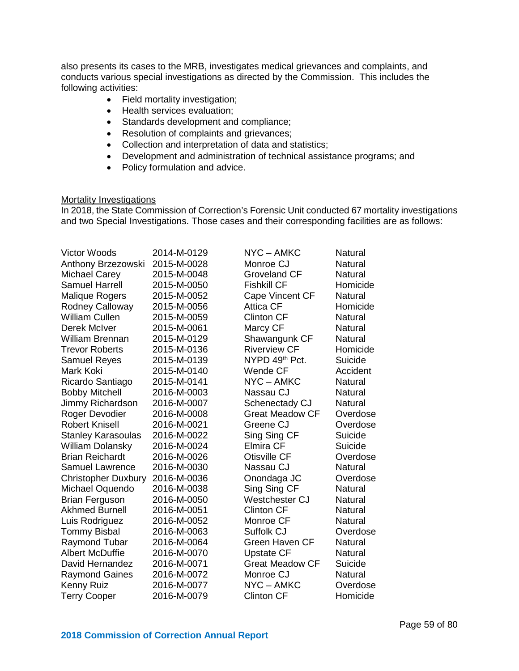also presents its cases to the MRB, investigates medical grievances and complaints, and conducts various special investigations as directed by the Commission. This includes the following activities:

- Field mortality investigation;
- Health services evaluation;
- Standards development and compliance;
- Resolution of complaints and grievances;
- Collection and interpretation of data and statistics;
- Development and administration of technical assistance programs; and
- Policy formulation and advice.

#### **Mortality Investigations**

In 2018, the State Commission of Correction's Forensic Unit conducted 67 mortality investigations and two Special Investigations. Those cases and their corresponding facilities are as follows:

| <b>Victor Woods</b>        | 2014-M-0129 | NYC-AMKC               | Natural        |
|----------------------------|-------------|------------------------|----------------|
| Anthony Brzezowski         | 2015-M-0028 | Monroe CJ              | <b>Natural</b> |
| Michael Carey              | 2015-M-0048 | <b>Groveland CF</b>    | Natural        |
| <b>Samuel Harrell</b>      | 2015-M-0050 | <b>Fishkill CF</b>     | Homicide       |
| <b>Malique Rogers</b>      | 2015-M-0052 | Cape Vincent CF        | Natural        |
| Rodney Calloway            | 2015-M-0056 | <b>Attica CF</b>       | Homicide       |
| <b>William Cullen</b>      | 2015-M-0059 | <b>Clinton CF</b>      | <b>Natural</b> |
| Derek McIver               | 2015-M-0061 | Marcy CF               | Natural        |
| <b>William Brennan</b>     | 2015-M-0129 | Shawangunk CF          | Natural        |
| <b>Trevor Roberts</b>      | 2015-M-0136 | <b>Riverview CF</b>    | Homicide       |
| <b>Samuel Reyes</b>        | 2015-M-0139 | NYPD 49th Pct.         | Suicide        |
| Mark Koki                  | 2015-M-0140 | <b>Wende CF</b>        | Accident       |
| Ricardo Santiago           | 2015-M-0141 | NYC-AMKC               | Natural        |
| <b>Bobby Mitchell</b>      | 2016-M-0003 | Nassau CJ              | Natural        |
| Jimmy Richardson           | 2016-M-0007 | Schenectady CJ         | Natural        |
| Roger Devodier             | 2016-M-0008 | <b>Great Meadow CF</b> | Overdose       |
| <b>Robert Knisell</b>      | 2016-M-0021 | Greene CJ              | Overdose       |
| <b>Stanley Karasoulas</b>  | 2016-M-0022 | Sing Sing CF           | Suicide        |
| <b>William Dolansky</b>    | 2016-M-0024 | <b>Elmira CF</b>       | Suicide        |
| <b>Brian Reichardt</b>     | 2016-M-0026 | <b>Otisville CF</b>    | Overdose       |
| <b>Samuel Lawrence</b>     | 2016-M-0030 | Nassau CJ              | Natural        |
| <b>Christopher Duxbury</b> | 2016-M-0036 | Onondaga JC            | Overdose       |
| Michael Oquendo            | 2016-M-0038 | Sing Sing CF           | Natural        |
| <b>Brian Ferguson</b>      | 2016-M-0050 | Westchester CJ         | Natural        |
| <b>Akhmed Burnell</b>      | 2016-M-0051 | <b>Clinton CF</b>      | Natural        |
| Luis Rodriguez             | 2016-M-0052 | Monroe CF              | Natural        |
| <b>Tommy Bisbal</b>        | 2016-M-0063 | Suffolk CJ             | Overdose       |
| Raymond Tubar              | 2016-M-0064 | Green Haven CF         | Natural        |
| <b>Albert McDuffie</b>     | 2016-M-0070 | <b>Upstate CF</b>      | Natural        |
| David Hernandez            | 2016-M-0071 | <b>Great Meadow CF</b> | Suicide        |
| <b>Raymond Gaines</b>      | 2016-M-0072 | Monroe CJ              | Natural        |
| Kenny Ruiz                 | 2016-M-0077 | NYC-AMKC               | Overdose       |
| <b>Terry Cooper</b>        | 2016-M-0079 | <b>Clinton CF</b>      | Homicide       |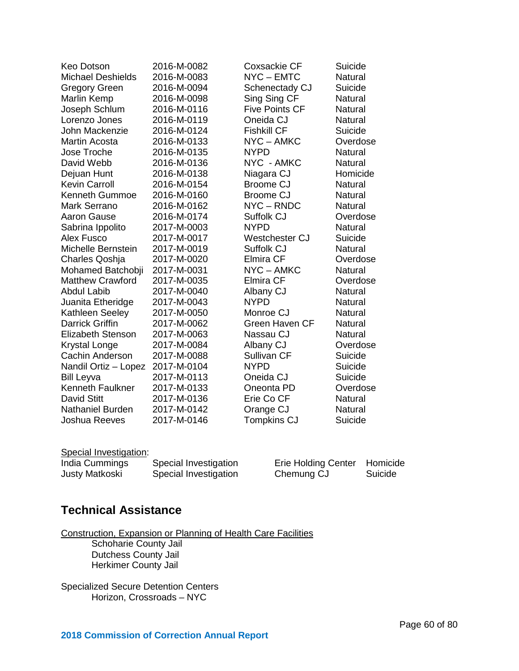| Keo Dotson               | 2016-M-0082 | <b>Coxsackie CF</b>   | Suicide        |
|--------------------------|-------------|-----------------------|----------------|
| <b>Michael Deshields</b> | 2016-M-0083 | NYC-EMTC              | Natural        |
| <b>Gregory Green</b>     | 2016-M-0094 | Schenectady CJ        | Suicide        |
| Marlin Kemp              | 2016-M-0098 | Sing Sing CF          | <b>Natural</b> |
| Joseph Schlum            | 2016-M-0116 | <b>Five Points CF</b> | Natural        |
| Lorenzo Jones            | 2016-M-0119 | Oneida CJ             | Natural        |
| John Mackenzie           | 2016-M-0124 | <b>Fishkill CF</b>    | Suicide        |
| <b>Martin Acosta</b>     | 2016-M-0133 | NYC-AMKC              | Overdose       |
| Jose Troche              | 2016-M-0135 | <b>NYPD</b>           | Natural        |
| David Webb               | 2016-M-0136 | NYC - AMKC            | Natural        |
| Dejuan Hunt              | 2016-M-0138 | Niagara CJ            | Homicide       |
| <b>Kevin Carroll</b>     | 2016-M-0154 | <b>Broome CJ</b>      | Natural        |
| <b>Kenneth Gummoe</b>    | 2016-M-0160 | <b>Broome CJ</b>      | Natural        |
| Mark Serrano             | 2016-M-0162 | NYC-RNDC              | Natural        |
| Aaron Gause              | 2016-M-0174 | Suffolk CJ            | Overdose       |
| Sabrina Ippolito         | 2017-M-0003 | <b>NYPD</b>           | Natural        |
| Alex Fusco               | 2017-M-0017 | Westchester CJ        | Suicide        |
| Michelle Bernstein       | 2017-M-0019 | Suffolk CJ            | Natural        |
| Charles Qoshja           | 2017-M-0020 | Elmira CF             | Overdose       |
| Mohamed Batchobji        | 2017-M-0031 | NYC-AMKC              | Natural        |
| <b>Matthew Crawford</b>  | 2017-M-0035 | Elmira CF             | Overdose       |
| <b>Abdul Labib</b>       | 2017-M-0040 | Albany CJ             | Natural        |
| Juanita Etheridge        | 2017-M-0043 | <b>NYPD</b>           | Natural        |
| Kathleen Seeley          | 2017-M-0050 | Monroe CJ             | Natural        |
| <b>Darrick Griffin</b>   | 2017-M-0062 | <b>Green Haven CF</b> | Natural        |
| <b>Elizabeth Stenson</b> | 2017-M-0063 | Nassau CJ             | Natural        |
| <b>Krystal Longe</b>     | 2017-M-0084 | Albany CJ             | Overdose       |
| Cachin Anderson          | 2017-M-0088 | Sullivan CF           | Suicide        |
| Nandil Ortiz - Lopez     | 2017-M-0104 | <b>NYPD</b>           | Suicide        |
| <b>Bill Leyva</b>        | 2017-M-0113 | Oneida CJ             | Suicide        |
| <b>Kenneth Faulkner</b>  | 2017-M-0133 | Oneonta PD            | Overdose       |
| <b>David Stitt</b>       | 2017-M-0136 | Erie Co CF            | Natural        |
| <b>Nathaniel Burden</b>  | 2017-M-0142 | Orange CJ             | Natural        |
| Joshua Reeves            | 2017-M-0146 | <b>Tompkins CJ</b>    | Suicide        |

#### Special Investigation:

| India Cummings | Special Investigation | Erie Holding Center Homicide |         |
|----------------|-----------------------|------------------------------|---------|
| Justy Matkoski | Special Investigation | Chemung CJ                   | Suicide |

| <b>Erie Holding Center</b> | Homicide |
|----------------------------|----------|
| Chemung CJ                 | Suicide  |

# **Technical Assistance**

Construction, Expansion or Planning of Health Care Facilities

Schoharie County Jail Dutchess County Jail Herkimer County Jail

Specialized Secure Detention Centers Horizon, Crossroads – NYC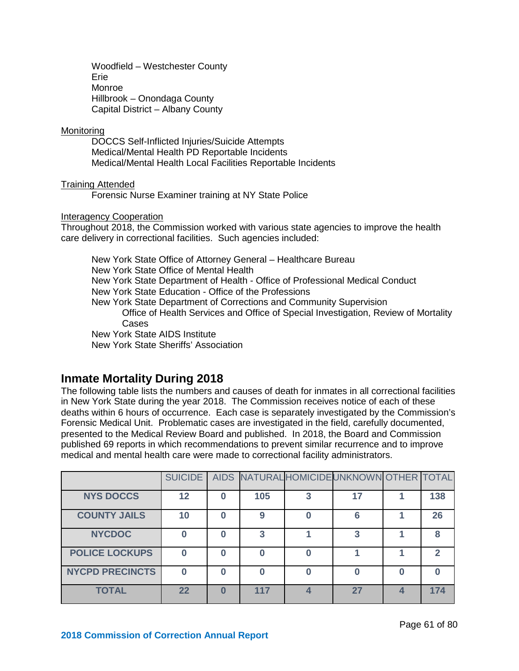Woodfield – Westchester County Erie Monroe Hillbrook – Onondaga County Capital District – Albany County

#### **Monitoring**

DOCCS Self-Inflicted Injuries/Suicide Attempts Medical/Mental Health PD Reportable Incidents Medical/Mental Health Local Facilities Reportable Incidents

#### Training Attended

Forensic Nurse Examiner training at NY State Police

#### Interagency Cooperation

Throughout 2018, the Commission worked with various state agencies to improve the health care delivery in correctional facilities. Such agencies included:

New York State Office of Attorney General – Healthcare Bureau New York State Office of Mental Health New York State Department of Health - Office of Professional Medical Conduct New York State Education - Office of the Professions New York State Department of Corrections and Community Supervision Office of Health Services and Office of Special Investigation, Review of Mortality Cases New York State AIDS Institute New York State Sheriffs' Association

### **Inmate Mortality During 2018**

The following table lists the numbers and causes of death for inmates in all correctional facilities in New York State during the year 2018. The Commission receives notice of each of these deaths within 6 hours of occurrence. Each case is separately investigated by the Commission's Forensic Medical Unit. Problematic cases are investigated in the field, carefully documented, presented to the Medical Review Board and published. In 2018, the Board and Commission published 69 reports in which recommendations to prevent similar recurrence and to improve medical and mental health care were made to correctional facility administrators.

|                        | SUICIDE |     | AIDS NATURAL HOMICIDE UNKNOWN OTHER TOTAL |              |
|------------------------|---------|-----|-------------------------------------------|--------------|
| <b>NYS DOCCS</b>       | 12      | 105 |                                           | 138          |
| <b>COUNTY JAILS</b>    | 10      | 9   | 6                                         | 26           |
| <b>NYCDOC</b>          |         | 3   | 3                                         | 8            |
| <b>POLICE LOCKUPS</b>  |         |     |                                           | $\mathbf{c}$ |
| <b>NYCPD PRECINCTS</b> |         |     |                                           |              |
| <b>TOTAL</b>           | 22      | 117 | 27                                        | 174          |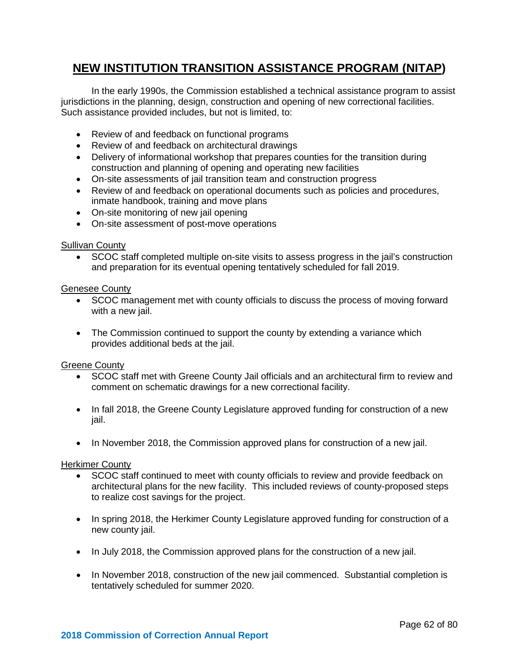# **NEW INSTITUTION TRANSITION ASSISTANCE PROGRAM (NITAP)**

In the early 1990s, the Commission established a technical assistance program to assist jurisdictions in the planning, design, construction and opening of new correctional facilities. Such assistance provided includes, but not is limited, to:

- Review of and feedback on functional programs
- Review of and feedback on architectural drawings
- Delivery of informational workshop that prepares counties for the transition during construction and planning of opening and operating new facilities
- On-site assessments of jail transition team and construction progress
- Review of and feedback on operational documents such as policies and procedures, inmate handbook, training and move plans
- On-site monitoring of new jail opening
- On-site assessment of post-move operations

#### Sullivan County

• SCOC staff completed multiple on-site visits to assess progress in the jail's construction and preparation for its eventual opening tentatively scheduled for fall 2019.

#### Genesee County

- SCOC management met with county officials to discuss the process of moving forward with a new jail.
- The Commission continued to support the county by extending a variance which provides additional beds at the jail.

#### Greene County

- SCOC staff met with Greene County Jail officials and an architectural firm to review and comment on schematic drawings for a new correctional facility.
- In fall 2018, the Greene County Legislature approved funding for construction of a new jail.
- In November 2018, the Commission approved plans for construction of a new jail.

#### Herkimer County

- SCOC staff continued to meet with county officials to review and provide feedback on architectural plans for the new facility. This included reviews of county-proposed steps to realize cost savings for the project.
- In spring 2018, the Herkimer County Legislature approved funding for construction of a new county jail.
- In July 2018, the Commission approved plans for the construction of a new jail.
- In November 2018, construction of the new jail commenced. Substantial completion is tentatively scheduled for summer 2020.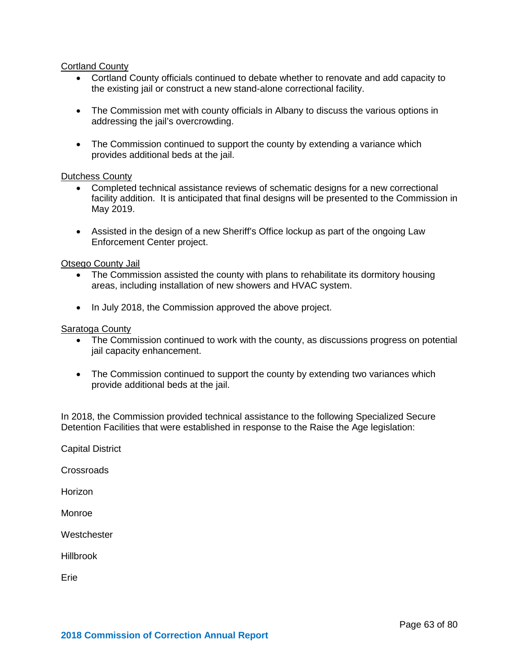#### **Cortland County**

- Cortland County officials continued to debate whether to renovate and add capacity to the existing jail or construct a new stand-alone correctional facility.
- The Commission met with county officials in Albany to discuss the various options in addressing the jail's overcrowding.
- The Commission continued to support the county by extending a variance which provides additional beds at the jail.

#### Dutchess County

- Completed technical assistance reviews of schematic designs for a new correctional facility addition. It is anticipated that final designs will be presented to the Commission in May 2019.
- Assisted in the design of a new Sheriff's Office lockup as part of the ongoing Law Enforcement Center project.

#### Otsego County Jail

- The Commission assisted the county with plans to rehabilitate its dormitory housing areas, including installation of new showers and HVAC system.
- In July 2018, the Commission approved the above project.

#### Saratoga County

- The Commission continued to work with the county, as discussions progress on potential jail capacity enhancement.
- The Commission continued to support the county by extending two variances which provide additional beds at the jail.

In 2018, the Commission provided technical assistance to the following Specialized Secure Detention Facilities that were established in response to the Raise the Age legislation:

Capital District

**Crossroads** 

Horizon

Monroe

**Westchester** 

Hillbrook

Erie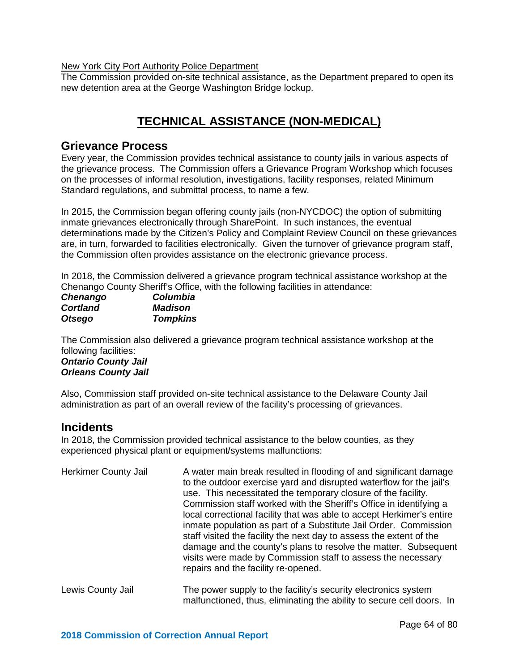#### New York City Port Authority Police Department

The Commission provided on-site technical assistance, as the Department prepared to open its new detention area at the George Washington Bridge lockup.

# **TECHNICAL ASSISTANCE (NON-MEDICAL)**

### **Grievance Process**

Every year, the Commission provides technical assistance to county jails in various aspects of the grievance process. The Commission offers a Grievance Program Workshop which focuses on the processes of informal resolution, investigations, facility responses, related Minimum Standard regulations, and submittal process, to name a few.

In 2015, the Commission began offering county jails (non-NYCDOC) the option of submitting inmate grievances electronically through SharePoint. In such instances, the eventual determinations made by the Citizen's Policy and Complaint Review Council on these grievances are, in turn, forwarded to facilities electronically. Given the turnover of grievance program staff, the Commission often provides assistance on the electronic grievance process.

In 2018, the Commission delivered a grievance program technical assistance workshop at the Chenango County Sheriff's Office, with the following facilities in attendance:

| Chenango        | <b>Columbia</b> |
|-----------------|-----------------|
| <b>Cortland</b> | <b>Madison</b>  |
| <b>Otsego</b>   | <b>Tompkins</b> |

The Commission also delivered a grievance program technical assistance workshop at the following facilities:

*Ontario County Jail Orleans County Jail*

Also, Commission staff provided on-site technical assistance to the Delaware County Jail administration as part of an overall review of the facility's processing of grievances.

### **Incidents**

In 2018, the Commission provided technical assistance to the below counties, as they experienced physical plant or equipment/systems malfunctions:

| <b>Herkimer County Jail</b> | A water main break resulted in flooding of and significant damage<br>to the outdoor exercise yard and disrupted waterflow for the jail's<br>use. This necessitated the temporary closure of the facility.<br>Commission staff worked with the Sheriff's Office in identifying a<br>local correctional facility that was able to accept Herkimer's entire<br>inmate population as part of a Substitute Jail Order. Commission<br>staff visited the facility the next day to assess the extent of the<br>damage and the county's plans to resolve the matter. Subsequent<br>visits were made by Commission staff to assess the necessary<br>repairs and the facility re-opened. |
|-----------------------------|-------------------------------------------------------------------------------------------------------------------------------------------------------------------------------------------------------------------------------------------------------------------------------------------------------------------------------------------------------------------------------------------------------------------------------------------------------------------------------------------------------------------------------------------------------------------------------------------------------------------------------------------------------------------------------|
| Lewis County Jail           | The power supply to the facility's security electronics system                                                                                                                                                                                                                                                                                                                                                                                                                                                                                                                                                                                                                |

malfunctioned, thus, eliminating the ability to secure cell doors. In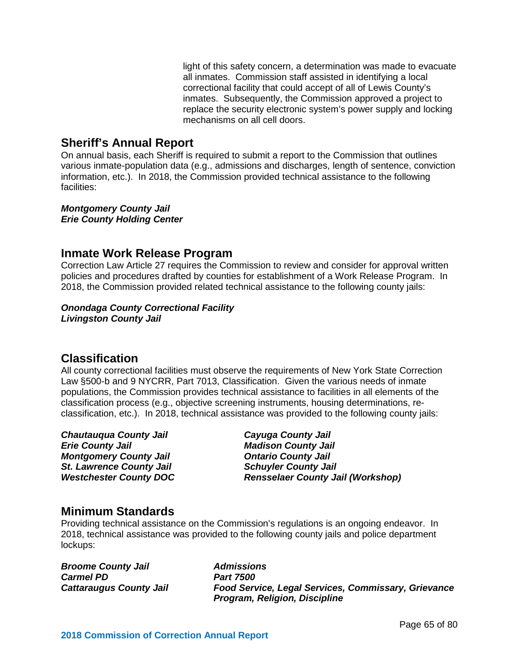light of this safety concern, a determination was made to evacuate all inmates. Commission staff assisted in identifying a local correctional facility that could accept of all of Lewis County's inmates. Subsequently, the Commission approved a project to replace the security electronic system's power supply and locking mechanisms on all cell doors.

### **Sheriff's Annual Report**

On annual basis, each Sheriff is required to submit a report to the Commission that outlines various inmate-population data (e.g., admissions and discharges, length of sentence, conviction information, etc.). In 2018, the Commission provided technical assistance to the following facilities:

*Montgomery County Jail Erie County Holding Center* 

### **Inmate Work Release Program**

Correction Law Article 27 requires the Commission to review and consider for approval written policies and procedures drafted by counties for establishment of a Work Release Program. In 2018, the Commission provided related technical assistance to the following county jails:

# *Onondaga County Correctional Facility*

*Livingston County Jail*

### **Classification**

All county correctional facilities must observe the requirements of New York State Correction Law §500-b and 9 NYCRR, Part 7013, Classification. Given the various needs of inmate populations, the Commission provides technical assistance to facilities in all elements of the classification process (e.g., objective screening instruments, housing determinations, reclassification, etc.). In 2018, technical assistance was provided to the following county jails:

*Chautauqua County Jail Cayuga County Jail* **Montgomery County Jail** *St. Lawrence County Jail Schuyler County Jail*

*Erie County Jail Madison County Jail Westchester County DOC Rensselaer County Jail (Workshop)*

### **Minimum Standards**

Providing technical assistance on the Commission's regulations is an ongoing endeavor. In 2018, technical assistance was provided to the following county jails and police department lockups:

*Broome County Jail Admissions* **Carmel PD<br>Cattaraugus County Jail** 

*Cattaraugus County Jail Food Service, Legal Services, Commissary, Grievance Program, Religion, Discipline*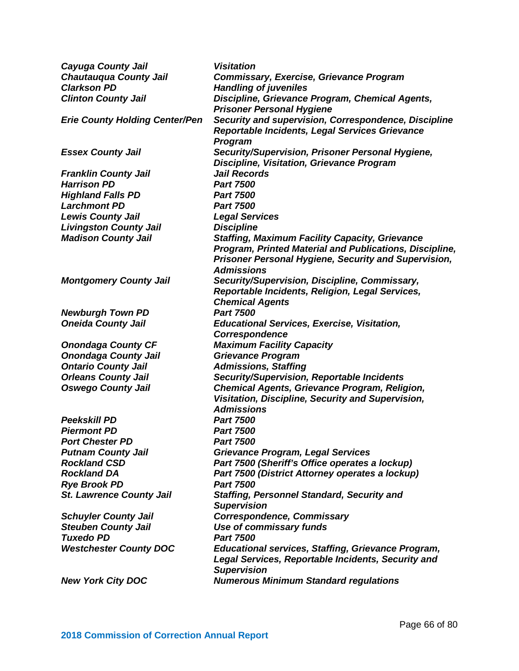| <b>Cayuga County Jail</b>             | <b>Visitation</b>                                           |
|---------------------------------------|-------------------------------------------------------------|
| <b>Chautauqua County Jail</b>         | <b>Commissary, Exercise, Grievance Program</b>              |
| <b>Clarkson PD</b>                    | <b>Handling of juveniles</b>                                |
| <b>Clinton County Jail</b>            | Discipline, Grievance Program, Chemical Agents,             |
|                                       | <b>Prisoner Personal Hygiene</b>                            |
| <b>Erie County Holding Center/Pen</b> | Security and supervision, Correspondence, Discipline        |
|                                       | Reportable Incidents, Legal Services Grievance              |
|                                       | <b>Program</b>                                              |
| <b>Essex County Jail</b>              | Security/Supervision, Prisoner Personal Hygiene,            |
|                                       | <b>Discipline, Visitation, Grievance Program</b>            |
| <b>Franklin County Jail</b>           | <b>Jail Records</b>                                         |
| <b>Harrison PD</b>                    | <b>Part 7500</b>                                            |
| <b>Highland Falls PD</b>              | <b>Part 7500</b>                                            |
| <b>Larchmont PD</b>                   | <b>Part 7500</b>                                            |
| <b>Lewis County Jail</b>              | <b>Legal Services</b>                                       |
| <b>Livingston County Jail</b>         | <b>Discipline</b>                                           |
| <b>Madison County Jail</b>            | <b>Staffing, Maximum Facility Capacity, Grievance</b>       |
|                                       | Program, Printed Material and Publications, Discipline,     |
|                                       | <b>Prisoner Personal Hygiene, Security and Supervision,</b> |
|                                       | <b>Admissions</b>                                           |
| <b>Montgomery County Jail</b>         | Security/Supervision, Discipline, Commissary,               |
|                                       | Reportable Incidents, Religion, Legal Services,             |
|                                       | <b>Chemical Agents</b>                                      |
| <b>Newburgh Town PD</b>               | <b>Part 7500</b>                                            |
| <b>Oneida County Jail</b>             | <b>Educational Services, Exercise, Visitation,</b>          |
|                                       | Correspondence                                              |
| <b>Onondaga County CF</b>             | <b>Maximum Facility Capacity</b>                            |
| <b>Onondaga County Jail</b>           | <b>Grievance Program</b>                                    |
| <b>Ontario County Jail</b>            | <b>Admissions, Staffing</b>                                 |
| <b>Orleans County Jail</b>            | <b>Security/Supervision, Reportable Incidents</b>           |
| <b>Oswego County Jail</b>             | Chemical Agents, Grievance Program, Religion,               |
|                                       | Visitation, Discipline, Security and Supervision,           |
|                                       | <b>Admissions</b>                                           |
| <b>Peekskill PD</b>                   | <b>Part 7500</b>                                            |
| <b>Piermont PD</b>                    | <b>Part 7500</b>                                            |
| <b>Port Chester PD</b>                | <b>Part 7500</b>                                            |
| <b>Putnam County Jail</b>             | <b>Grievance Program, Legal Services</b>                    |
| <b>Rockland CSD</b>                   | Part 7500 (Sheriff's Office operates a lockup)              |
| <b>Rockland DA</b>                    | Part 7500 (District Attorney operates a lockup)             |
| <b>Rye Brook PD</b>                   | <b>Part 7500</b>                                            |
| <b>St. Lawrence County Jail</b>       | <b>Staffing, Personnel Standard, Security and</b>           |
|                                       | <b>Supervision</b>                                          |
| <b>Schuyler County Jail</b>           | <b>Correspondence, Commissary</b>                           |
| <b>Steuben County Jail</b>            | <b>Use of commissary funds</b>                              |
| <b>Tuxedo PD</b>                      | <b>Part 7500</b>                                            |
| <b>Westchester County DOC</b>         | <b>Educational services, Staffing, Grievance Program,</b>   |
|                                       | Legal Services, Reportable Incidents, Security and          |
|                                       | <b>Supervision</b>                                          |
| <b>New York City DOC</b>              | <b>Numerous Minimum Standard regulations</b>                |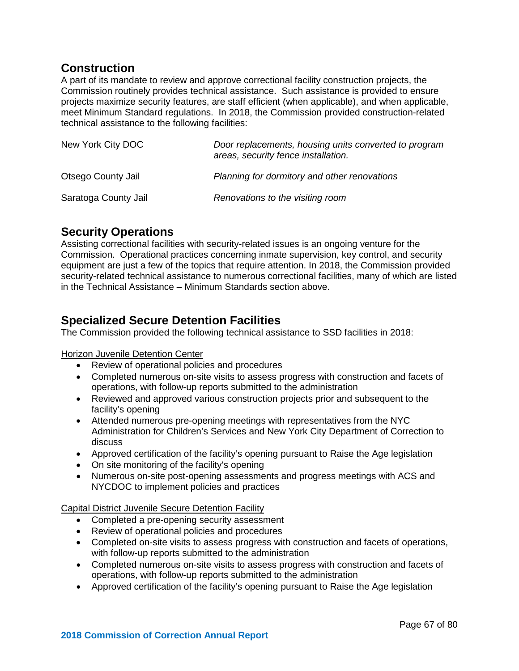### **Construction**

A part of its mandate to review and approve correctional facility construction projects, the Commission routinely provides technical assistance. Such assistance is provided to ensure projects maximize security features, are staff efficient (when applicable), and when applicable, meet Minimum Standard regulations. In 2018, the Commission provided construction-related technical assistance to the following facilities:

| New York City DOC    | Door replacements, housing units converted to program<br>areas, security fence installation. |  |
|----------------------|----------------------------------------------------------------------------------------------|--|
| Otsego County Jail   | Planning for dormitory and other renovations                                                 |  |
| Saratoga County Jail | Renovations to the visiting room                                                             |  |

# **Security Operations**

Assisting correctional facilities with security-related issues is an ongoing venture for the Commission. Operational practices concerning inmate supervision, key control, and security equipment are just a few of the topics that require attention. In 2018, the Commission provided security-related technical assistance to numerous correctional facilities, many of which are listed in the Technical Assistance – Minimum Standards section above.

# **Specialized Secure Detention Facilities**

The Commission provided the following technical assistance to SSD facilities in 2018:

#### **Horizon Juvenile Detention Center**

- Review of operational policies and procedures
- Completed numerous on-site visits to assess progress with construction and facets of operations, with follow-up reports submitted to the administration
- Reviewed and approved various construction projects prior and subsequent to the facility's opening
- Attended numerous pre-opening meetings with representatives from the NYC Administration for Children's Services and New York City Department of Correction to discuss
- Approved certification of the facility's opening pursuant to Raise the Age legislation
- On site monitoring of the facility's opening
- Numerous on-site post-opening assessments and progress meetings with ACS and NYCDOC to implement policies and practices

#### Capital District Juvenile Secure Detention Facility

- Completed a pre-opening security assessment
- Review of operational policies and procedures
- Completed on-site visits to assess progress with construction and facets of operations, with follow-up reports submitted to the administration
- Completed numerous on-site visits to assess progress with construction and facets of operations, with follow-up reports submitted to the administration
- Approved certification of the facility's opening pursuant to Raise the Age legislation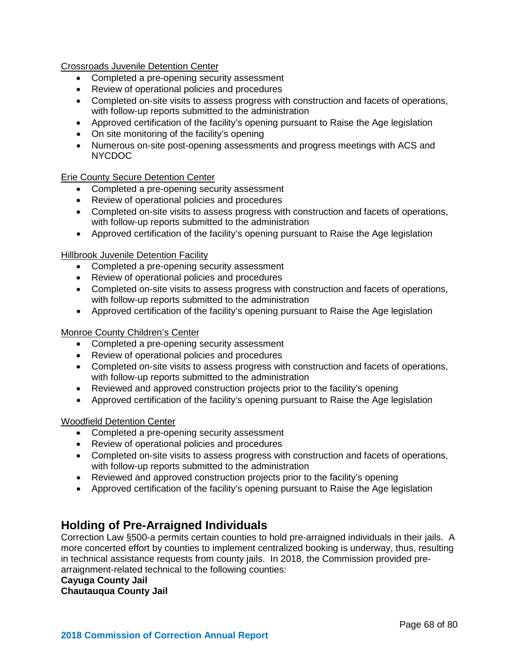Crossroads Juvenile Detention Center

- Completed a pre-opening security assessment
- Review of operational policies and procedures
- Completed on-site visits to assess progress with construction and facets of operations, with follow-up reports submitted to the administration
- Approved certification of the facility's opening pursuant to Raise the Age legislation
- On site monitoring of the facility's opening
- Numerous on-site post-opening assessments and progress meetings with ACS and NYCDOC

#### Erie County Secure Detention Center

- Completed a pre-opening security assessment
- Review of operational policies and procedures
- Completed on-site visits to assess progress with construction and facets of operations, with follow-up reports submitted to the administration
- Approved certification of the facility's opening pursuant to Raise the Age legislation

#### Hillbrook Juvenile Detention Facility

- Completed a pre-opening security assessment
- Review of operational policies and procedures
- Completed on-site visits to assess progress with construction and facets of operations, with follow-up reports submitted to the administration
- Approved certification of the facility's opening pursuant to Raise the Age legislation

#### Monroe County Children's Center

- Completed a pre-opening security assessment
- Review of operational policies and procedures
- Completed on-site visits to assess progress with construction and facets of operations, with follow-up reports submitted to the administration
- Reviewed and approved construction projects prior to the facility's opening
- Approved certification of the facility's opening pursuant to Raise the Age legislation

#### Woodfield Detention Center

- Completed a pre-opening security assessment
- Review of operational policies and procedures
- Completed on-site visits to assess progress with construction and facets of operations, with follow-up reports submitted to the administration
- Reviewed and approved construction projects prior to the facility's opening
- Approved certification of the facility's opening pursuant to Raise the Age legislation

# **Holding of Pre-Arraigned Individuals**

Correction Law §500-a permits certain counties to hold pre-arraigned individuals in their jails. A more concerted effort by counties to implement centralized booking is underway, thus, resulting in technical assistance requests from county jails. In 2018, the Commission provided prearraignment-related technical to the following counties:

#### **Cayuga County Jail**

**Chautauqua County Jail**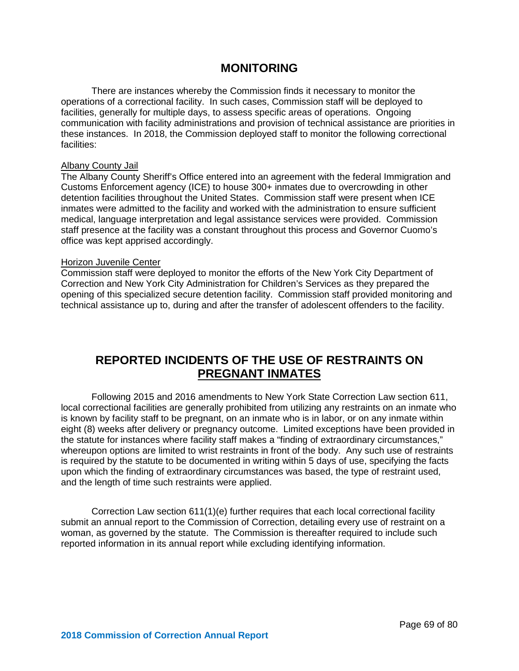### **MONITORING**

There are instances whereby the Commission finds it necessary to monitor the operations of a correctional facility. In such cases, Commission staff will be deployed to facilities, generally for multiple days, to assess specific areas of operations. Ongoing communication with facility administrations and provision of technical assistance are priorities in these instances. In 2018, the Commission deployed staff to monitor the following correctional facilities:

#### **Albany County Jail**

The Albany County Sheriff's Office entered into an agreement with the federal Immigration and Customs Enforcement agency (ICE) to house 300+ inmates due to overcrowding in other detention facilities throughout the United States. Commission staff were present when ICE inmates were admitted to the facility and worked with the administration to ensure sufficient medical, language interpretation and legal assistance services were provided. Commission staff presence at the facility was a constant throughout this process and Governor Cuomo's office was kept apprised accordingly.

#### Horizon Juvenile Center

Commission staff were deployed to monitor the efforts of the New York City Department of Correction and New York City Administration for Children's Services as they prepared the opening of this specialized secure detention facility. Commission staff provided monitoring and technical assistance up to, during and after the transfer of adolescent offenders to the facility.

# **REPORTED INCIDENTS OF THE USE OF RESTRAINTS ON PREGNANT INMATES**

Following 2015 and 2016 amendments to New York State Correction Law section 611, local correctional facilities are generally prohibited from utilizing any restraints on an inmate who is known by facility staff to be pregnant, on an inmate who is in labor, or on any inmate within eight (8) weeks after delivery or pregnancy outcome. Limited exceptions have been provided in the statute for instances where facility staff makes a "finding of extraordinary circumstances," whereupon options are limited to wrist restraints in front of the body. Any such use of restraints is required by the statute to be documented in writing within 5 days of use, specifying the facts upon which the finding of extraordinary circumstances was based, the type of restraint used, and the length of time such restraints were applied.

Correction Law section 611(1)(e) further requires that each local correctional facility submit an annual report to the Commission of Correction, detailing every use of restraint on a woman, as governed by the statute. The Commission is thereafter required to include such reported information in its annual report while excluding identifying information.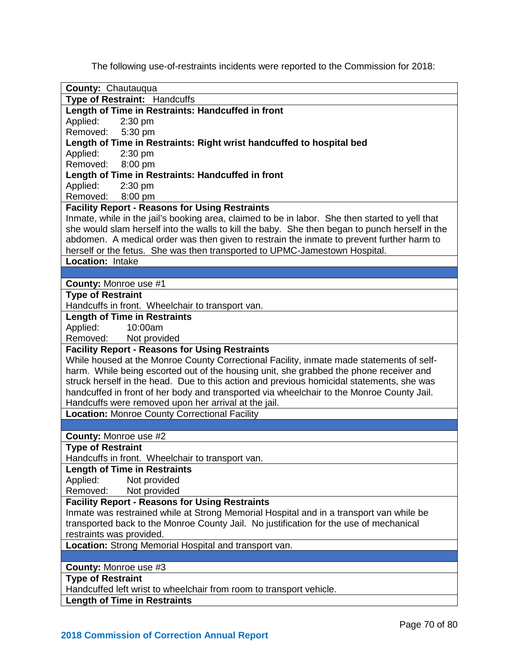The following use-of-restraints incidents were reported to the Commission for 2018:

| <b>County: Chautauqua</b>                                                                       |
|-------------------------------------------------------------------------------------------------|
| Type of Restraint: Handcuffs                                                                    |
| Length of Time in Restraints: Handcuffed in front                                               |
| Applied:<br>$2:30$ pm                                                                           |
| Removed:<br>5:30 pm                                                                             |
| Length of Time in Restraints: Right wrist handcuffed to hospital bed                            |
| Applied:<br>2:30 pm                                                                             |
| Removed: 8:00 pm                                                                                |
| Length of Time in Restraints: Handcuffed in front                                               |
| Applied:<br>2:30 pm                                                                             |
| Removed: 8:00 pm                                                                                |
| <b>Facility Report - Reasons for Using Restraints</b>                                           |
| Inmate, while in the jail's booking area, claimed to be in labor. She then started to yell that |
| she would slam herself into the walls to kill the baby. She then began to punch herself in the  |
| abdomen. A medical order was then given to restrain the inmate to prevent further harm to       |
| herself or the fetus. She was then transported to UPMC-Jamestown Hospital.                      |
| Location: Intake                                                                                |
|                                                                                                 |
| County: Monroe use #1                                                                           |
| <b>Type of Restraint</b>                                                                        |
| Handcuffs in front. Wheelchair to transport van.                                                |
| <b>Length of Time in Restraints</b>                                                             |
| Applied:<br>10:00am                                                                             |
| Removed: Not provided                                                                           |
| <b>Facility Report - Reasons for Using Restraints</b>                                           |
| While housed at the Monroe County Correctional Facility, inmate made statements of self-        |
| harm. While being escorted out of the housing unit, she grabbed the phone receiver and          |
| struck herself in the head. Due to this action and previous homicidal statements, she was       |
| handcuffed in front of her body and transported via wheelchair to the Monroe County Jail.       |
| Handcuffs were removed upon her arrival at the jail.                                            |
| <b>Location: Monroe County Correctional Facility</b>                                            |
|                                                                                                 |
| <b>County: Monroe use #2</b>                                                                    |
| <b>Type of Restraint</b>                                                                        |
| Handcuffs in front. Wheelchair to transport van.                                                |
| <b>Length of Time in Restraints</b>                                                             |
| Applied:<br>Not provided                                                                        |
| Removed:<br>Not provided                                                                        |
| <b>Facility Report - Reasons for Using Restraints</b>                                           |
| Inmate was restrained while at Strong Memorial Hospital and in a transport van while be         |
| transported back to the Monroe County Jail. No justification for the use of mechanical          |
| restraints was provided.                                                                        |
| Location: Strong Memorial Hospital and transport van.                                           |
|                                                                                                 |
| <b>County: Monroe use #3</b>                                                                    |
| <b>Type of Restraint</b>                                                                        |
| Handcuffed left wrist to wheelchair from room to transport vehicle.                             |
| <b>Length of Time in Restraints</b>                                                             |
|                                                                                                 |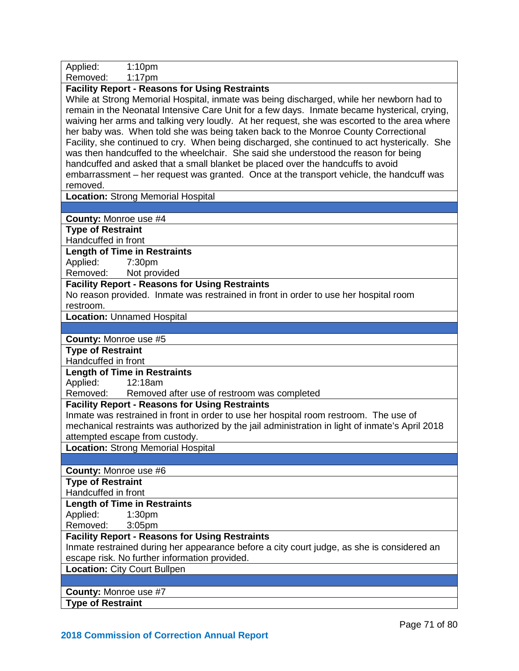| Applied:<br>1:10 <sub>pm</sub>                                                                                                                                                                                                                                                                                                                                                                                                                                                                                                                                                                                                                                                                                                                                                                                             |
|----------------------------------------------------------------------------------------------------------------------------------------------------------------------------------------------------------------------------------------------------------------------------------------------------------------------------------------------------------------------------------------------------------------------------------------------------------------------------------------------------------------------------------------------------------------------------------------------------------------------------------------------------------------------------------------------------------------------------------------------------------------------------------------------------------------------------|
| Removed:<br>$1:17$ pm                                                                                                                                                                                                                                                                                                                                                                                                                                                                                                                                                                                                                                                                                                                                                                                                      |
| <b>Facility Report - Reasons for Using Restraints</b><br>While at Strong Memorial Hospital, inmate was being discharged, while her newborn had to<br>remain in the Neonatal Intensive Care Unit for a few days. Inmate became hysterical, crying,<br>waiving her arms and talking very loudly. At her request, she was escorted to the area where<br>her baby was. When told she was being taken back to the Monroe County Correctional<br>Facility, she continued to cry. When being discharged, she continued to act hysterically. She<br>was then handcuffed to the wheelchair. She said she understood the reason for being<br>handcuffed and asked that a small blanket be placed over the handcuffs to avoid<br>embarrassment – her request was granted. Once at the transport vehicle, the handcuff was<br>removed. |
| Location: Strong Memorial Hospital                                                                                                                                                                                                                                                                                                                                                                                                                                                                                                                                                                                                                                                                                                                                                                                         |
|                                                                                                                                                                                                                                                                                                                                                                                                                                                                                                                                                                                                                                                                                                                                                                                                                            |
| <b>County: Monroe use #4</b>                                                                                                                                                                                                                                                                                                                                                                                                                                                                                                                                                                                                                                                                                                                                                                                               |
| <b>Type of Restraint</b><br>Handcuffed in front                                                                                                                                                                                                                                                                                                                                                                                                                                                                                                                                                                                                                                                                                                                                                                            |
| <b>Length of Time in Restraints</b>                                                                                                                                                                                                                                                                                                                                                                                                                                                                                                                                                                                                                                                                                                                                                                                        |
| Applied:<br>7:30pm                                                                                                                                                                                                                                                                                                                                                                                                                                                                                                                                                                                                                                                                                                                                                                                                         |
| Removed:<br>Not provided                                                                                                                                                                                                                                                                                                                                                                                                                                                                                                                                                                                                                                                                                                                                                                                                   |
| <b>Facility Report - Reasons for Using Restraints</b>                                                                                                                                                                                                                                                                                                                                                                                                                                                                                                                                                                                                                                                                                                                                                                      |
| No reason provided. Inmate was restrained in front in order to use her hospital room                                                                                                                                                                                                                                                                                                                                                                                                                                                                                                                                                                                                                                                                                                                                       |
| restroom.<br><b>Location: Unnamed Hospital</b>                                                                                                                                                                                                                                                                                                                                                                                                                                                                                                                                                                                                                                                                                                                                                                             |
|                                                                                                                                                                                                                                                                                                                                                                                                                                                                                                                                                                                                                                                                                                                                                                                                                            |
| <b>County: Monroe use #5</b>                                                                                                                                                                                                                                                                                                                                                                                                                                                                                                                                                                                                                                                                                                                                                                                               |
| <b>Type of Restraint</b>                                                                                                                                                                                                                                                                                                                                                                                                                                                                                                                                                                                                                                                                                                                                                                                                   |
| Handcuffed in front                                                                                                                                                                                                                                                                                                                                                                                                                                                                                                                                                                                                                                                                                                                                                                                                        |
| <b>Length of Time in Restraints</b>                                                                                                                                                                                                                                                                                                                                                                                                                                                                                                                                                                                                                                                                                                                                                                                        |
| Applied:<br>12:18am                                                                                                                                                                                                                                                                                                                                                                                                                                                                                                                                                                                                                                                                                                                                                                                                        |
| Removed:<br>Removed after use of restroom was completed                                                                                                                                                                                                                                                                                                                                                                                                                                                                                                                                                                                                                                                                                                                                                                    |
| <b>Facility Report - Reasons for Using Restraints</b>                                                                                                                                                                                                                                                                                                                                                                                                                                                                                                                                                                                                                                                                                                                                                                      |
| Inmate was restrained in front in order to use her hospital room restroom. The use of                                                                                                                                                                                                                                                                                                                                                                                                                                                                                                                                                                                                                                                                                                                                      |
| mechanical restraints was authorized by the jail administration in light of inmate's April 2018<br>attempted escape from custody.                                                                                                                                                                                                                                                                                                                                                                                                                                                                                                                                                                                                                                                                                          |
| <b>Location: Strong Memorial Hospital</b>                                                                                                                                                                                                                                                                                                                                                                                                                                                                                                                                                                                                                                                                                                                                                                                  |
|                                                                                                                                                                                                                                                                                                                                                                                                                                                                                                                                                                                                                                                                                                                                                                                                                            |
| County: Monroe use #6                                                                                                                                                                                                                                                                                                                                                                                                                                                                                                                                                                                                                                                                                                                                                                                                      |
| <b>Type of Restraint</b>                                                                                                                                                                                                                                                                                                                                                                                                                                                                                                                                                                                                                                                                                                                                                                                                   |
| Handcuffed in front                                                                                                                                                                                                                                                                                                                                                                                                                                                                                                                                                                                                                                                                                                                                                                                                        |
| <b>Length of Time in Restraints</b>                                                                                                                                                                                                                                                                                                                                                                                                                                                                                                                                                                                                                                                                                                                                                                                        |
| Applied:<br>1:30 <sub>pm</sub>                                                                                                                                                                                                                                                                                                                                                                                                                                                                                                                                                                                                                                                                                                                                                                                             |
| Removed:<br>$3:05$ pm                                                                                                                                                                                                                                                                                                                                                                                                                                                                                                                                                                                                                                                                                                                                                                                                      |
| <b>Facility Report - Reasons for Using Restraints</b>                                                                                                                                                                                                                                                                                                                                                                                                                                                                                                                                                                                                                                                                                                                                                                      |
| Inmate restrained during her appearance before a city court judge, as she is considered an                                                                                                                                                                                                                                                                                                                                                                                                                                                                                                                                                                                                                                                                                                                                 |
| escape risk. No further information provided.<br><b>Location: City Court Bullpen</b>                                                                                                                                                                                                                                                                                                                                                                                                                                                                                                                                                                                                                                                                                                                                       |
|                                                                                                                                                                                                                                                                                                                                                                                                                                                                                                                                                                                                                                                                                                                                                                                                                            |
| <b>County: Monroe use #7</b>                                                                                                                                                                                                                                                                                                                                                                                                                                                                                                                                                                                                                                                                                                                                                                                               |
| <b>Type of Restraint</b>                                                                                                                                                                                                                                                                                                                                                                                                                                                                                                                                                                                                                                                                                                                                                                                                   |
|                                                                                                                                                                                                                                                                                                                                                                                                                                                                                                                                                                                                                                                                                                                                                                                                                            |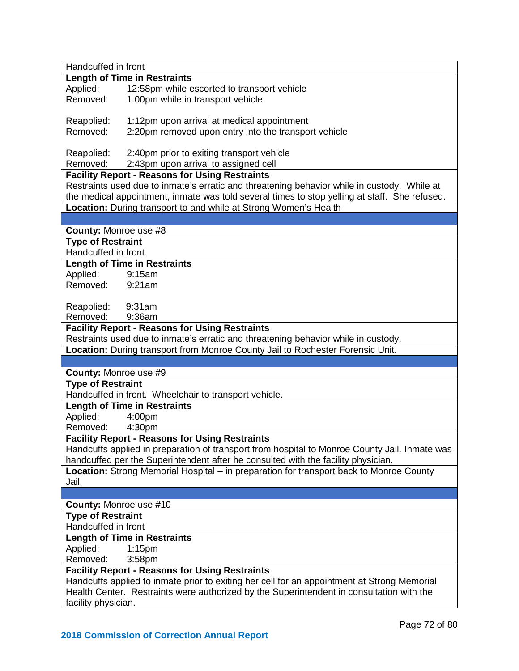| Handcuffed in front                                                                         |                                                                                                                                                                   |  |
|---------------------------------------------------------------------------------------------|-------------------------------------------------------------------------------------------------------------------------------------------------------------------|--|
|                                                                                             | <b>Length of Time in Restraints</b>                                                                                                                               |  |
| Applied:                                                                                    | 12:58pm while escorted to transport vehicle                                                                                                                       |  |
| Removed:                                                                                    | 1:00pm while in transport vehicle                                                                                                                                 |  |
|                                                                                             |                                                                                                                                                                   |  |
| Reapplied:                                                                                  | 1:12pm upon arrival at medical appointment                                                                                                                        |  |
| Removed:                                                                                    | 2:20pm removed upon entry into the transport vehicle                                                                                                              |  |
|                                                                                             |                                                                                                                                                                   |  |
| Reapplied:                                                                                  | 2:40pm prior to exiting transport vehicle                                                                                                                         |  |
| Removed:                                                                                    | 2:43pm upon arrival to assigned cell                                                                                                                              |  |
|                                                                                             | <b>Facility Report - Reasons for Using Restraints</b>                                                                                                             |  |
|                                                                                             | Restraints used due to inmate's erratic and threatening behavior while in custody. While at                                                                       |  |
|                                                                                             | the medical appointment, inmate was told several times to stop yelling at staff. She refused.<br>Location: During transport to and while at Strong Women's Health |  |
|                                                                                             |                                                                                                                                                                   |  |
| <b>County: Monroe use #8</b>                                                                |                                                                                                                                                                   |  |
| <b>Type of Restraint</b>                                                                    |                                                                                                                                                                   |  |
| Handcuffed in front                                                                         |                                                                                                                                                                   |  |
|                                                                                             | <b>Length of Time in Restraints</b>                                                                                                                               |  |
| Applied:                                                                                    | 9:15am                                                                                                                                                            |  |
| Removed:                                                                                    | 9:21am                                                                                                                                                            |  |
|                                                                                             |                                                                                                                                                                   |  |
| Reapplied: 9:31am                                                                           |                                                                                                                                                                   |  |
| Removed:                                                                                    | 9:36am                                                                                                                                                            |  |
|                                                                                             | <b>Facility Report - Reasons for Using Restraints</b>                                                                                                             |  |
|                                                                                             | Restraints used due to inmate's erratic and threatening behavior while in custody.                                                                                |  |
|                                                                                             | Location: During transport from Monroe County Jail to Rochester Forensic Unit.                                                                                    |  |
|                                                                                             |                                                                                                                                                                   |  |
| <b>County: Monroe use #9</b>                                                                |                                                                                                                                                                   |  |
| <b>Type of Restraint</b>                                                                    |                                                                                                                                                                   |  |
|                                                                                             | Handcuffed in front. Wheelchair to transport vehicle.                                                                                                             |  |
|                                                                                             | <b>Length of Time in Restraints</b>                                                                                                                               |  |
| Applied:                                                                                    | 4:00pm                                                                                                                                                            |  |
| Removed: 4:30pm                                                                             |                                                                                                                                                                   |  |
|                                                                                             | <b>Facility Report - Reasons for Using Restraints</b>                                                                                                             |  |
|                                                                                             | Handcuffs applied in preparation of transport from hospital to Monroe County Jail. Inmate was                                                                     |  |
|                                                                                             | handcuffed per the Superintendent after he consulted with the facility physician.                                                                                 |  |
|                                                                                             | Location: Strong Memorial Hospital – in preparation for transport back to Monroe County                                                                           |  |
| Jail.                                                                                       |                                                                                                                                                                   |  |
|                                                                                             |                                                                                                                                                                   |  |
| <b>County: Monroe use #10</b>                                                               |                                                                                                                                                                   |  |
| <b>Type of Restraint</b><br>Handcuffed in front                                             |                                                                                                                                                                   |  |
|                                                                                             | <b>Length of Time in Restraints</b>                                                                                                                               |  |
| Applied:                                                                                    | $1:15$ pm                                                                                                                                                         |  |
| Removed:                                                                                    | 3:58 <sub>pm</sub>                                                                                                                                                |  |
|                                                                                             | <b>Facility Report - Reasons for Using Restraints</b>                                                                                                             |  |
| Handcuffs applied to inmate prior to exiting her cell for an appointment at Strong Memorial |                                                                                                                                                                   |  |
|                                                                                             | Health Center. Restraints were authorized by the Superintendent in consultation with the                                                                          |  |
| facility physician.                                                                         |                                                                                                                                                                   |  |
|                                                                                             |                                                                                                                                                                   |  |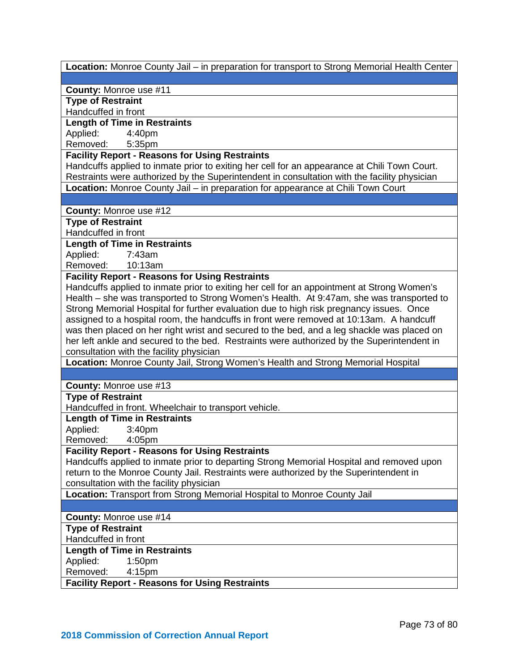| Location: Monroe County Jail – in preparation for transport to Strong Memorial Health Center |
|----------------------------------------------------------------------------------------------|
|                                                                                              |
| County: Monroe use #11                                                                       |
| <b>Type of Restraint</b>                                                                     |
| Handcuffed in front                                                                          |
| <b>Length of Time in Restraints</b>                                                          |
| Applied:<br>4:40pm                                                                           |
| Removed:<br>5:35pm                                                                           |
| <b>Facility Report - Reasons for Using Restraints</b>                                        |
| Handcuffs applied to inmate prior to exiting her cell for an appearance at Chili Town Court. |
| Restraints were authorized by the Superintendent in consultation with the facility physician |
| Location: Monroe County Jail - in preparation for appearance at Chili Town Court             |
|                                                                                              |
| <b>County: Monroe use #12</b>                                                                |
| <b>Type of Restraint</b>                                                                     |
| Handcuffed in front                                                                          |
| <b>Length of Time in Restraints</b>                                                          |
| Applied:<br>7:43am                                                                           |
| Removed: 10:13am                                                                             |
| <b>Facility Report - Reasons for Using Restraints</b>                                        |
|                                                                                              |
| Handcuffs applied to inmate prior to exiting her cell for an appointment at Strong Women's   |
| Health – she was transported to Strong Women's Health. At 9:47am, she was transported to     |
| Strong Memorial Hospital for further evaluation due to high risk pregnancy issues. Once      |
| assigned to a hospital room, the handcuffs in front were removed at 10:13am. A handcuff      |
| was then placed on her right wrist and secured to the bed, and a leg shackle was placed on   |
| her left ankle and secured to the bed. Restraints were authorized by the Superintendent in   |
| consultation with the facility physician                                                     |
| Location: Monroe County Jail, Strong Women's Health and Strong Memorial Hospital             |
|                                                                                              |
| County: Monroe use #13                                                                       |
| <b>Type of Restraint</b>                                                                     |
| Handcuffed in front. Wheelchair to transport vehicle.                                        |
| <b>Length of Time in Restraints</b>                                                          |
| Applied:<br>3:40pm                                                                           |
| Removed:<br>4:05 <sub>pm</sub>                                                               |
| <b>Facility Report - Reasons for Using Restraints</b>                                        |
| Handcuffs applied to inmate prior to departing Strong Memorial Hospital and removed upon     |
| return to the Monroe County Jail. Restraints were authorized by the Superintendent in        |
|                                                                                              |
| consultation with the facility physician                                                     |
| Location: Transport from Strong Memorial Hospital to Monroe County Jail                      |
|                                                                                              |
| County: Monroe use #14                                                                       |
| <b>Type of Restraint</b>                                                                     |
| Handcuffed in front                                                                          |
| <b>Length of Time in Restraints</b>                                                          |
| Applied:<br>1:50 <sub>pm</sub>                                                               |
| Removed:<br>4:15pm                                                                           |
| <b>Facility Report - Reasons for Using Restraints</b>                                        |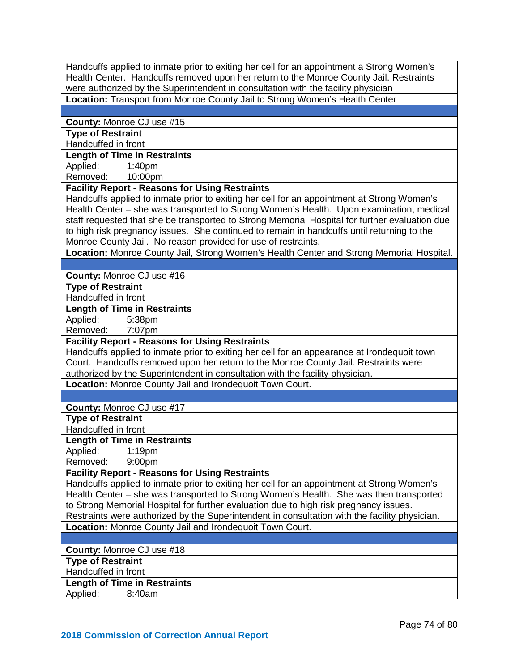Handcuffs applied to inmate prior to exiting her cell for an appointment a Strong Women's Health Center. Handcuffs removed upon her return to the Monroe County Jail. Restraints were authorized by the Superintendent in consultation with the facility physician **Location:** Transport from Monroe County Jail to Strong Women's Health Center

#### **County:** Monroe CJ use #15

**Type of Restraint**  Handcuffed in front

### **Length of Time in Restraints**

Applied: 1:40pm

Removed: 10:00pm

## **Facility Report - Reasons for Using Restraints**

Handcuffs applied to inmate prior to exiting her cell for an appointment at Strong Women's Health Center – she was transported to Strong Women's Health. Upon examination, medical staff requested that she be transported to Strong Memorial Hospital for further evaluation due to high risk pregnancy issues. She continued to remain in handcuffs until returning to the Monroe County Jail. No reason provided for use of restraints.

**Location:** Monroe County Jail, Strong Women's Health Center and Strong Memorial Hospital.

### **County:** Monroe CJ use #16

**Type of Restraint** 

Handcuffed in front

#### **Length of Time in Restraints**

Applied: 5:38pm

Removed: 7:07pm

### **Facility Report - Reasons for Using Restraints**

Handcuffs applied to inmate prior to exiting her cell for an appearance at Irondequoit town Court. Handcuffs removed upon her return to the Monroe County Jail. Restraints were authorized by the Superintendent in consultation with the facility physician.

**Location:** Monroe County Jail and Irondequoit Town Court.

**County:** Monroe CJ use #17

**Type of Restraint** 

Handcuffed in front

**Length of Time in Restraints**

Applied: 1:19pm

Removed: 9:00pm

#### **Facility Report - Reasons for Using Restraints**

Handcuffs applied to inmate prior to exiting her cell for an appointment at Strong Women's Health Center – she was transported to Strong Women's Health. She was then transported to Strong Memorial Hospital for further evaluation due to high risk pregnancy issues. Restraints were authorized by the Superintendent in consultation with the facility physician.

**Location:** Monroe County Jail and Irondequoit Town Court.

**County:** Monroe CJ use #18

**Type of Restraint** 

Handcuffed in front

**Length of Time in Restraints**

Applied: 8:40am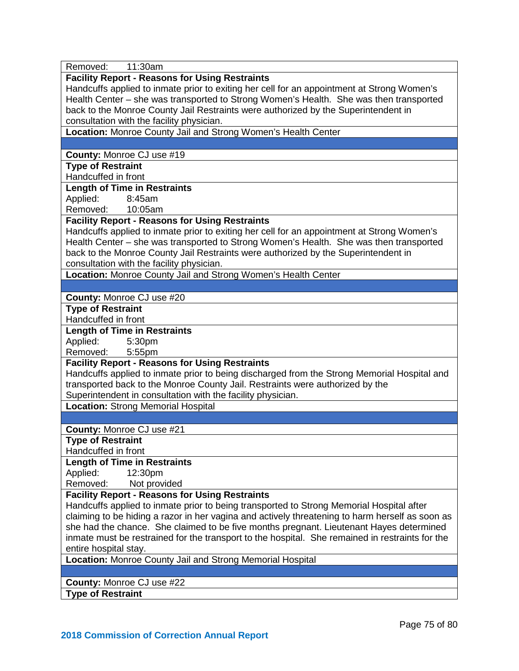| Removed:<br>11:30am                                                                             |  |  |
|-------------------------------------------------------------------------------------------------|--|--|
| <b>Facility Report - Reasons for Using Restraints</b>                                           |  |  |
| Handcuffs applied to inmate prior to exiting her cell for an appointment at Strong Women's      |  |  |
| Health Center - she was transported to Strong Women's Health. She was then transported          |  |  |
| back to the Monroe County Jail Restraints were authorized by the Superintendent in              |  |  |
| consultation with the facility physician.                                                       |  |  |
| Location: Monroe County Jail and Strong Women's Health Center                                   |  |  |
|                                                                                                 |  |  |
| County: Monroe CJ use #19                                                                       |  |  |
| <b>Type of Restraint</b>                                                                        |  |  |
| Handcuffed in front                                                                             |  |  |
| <b>Length of Time in Restraints</b>                                                             |  |  |
| Applied:<br>8:45am                                                                              |  |  |
| Removed:<br>10:05am                                                                             |  |  |
|                                                                                                 |  |  |
| <b>Facility Report - Reasons for Using Restraints</b>                                           |  |  |
| Handcuffs applied to inmate prior to exiting her cell for an appointment at Strong Women's      |  |  |
| Health Center - she was transported to Strong Women's Health. She was then transported          |  |  |
| back to the Monroe County Jail Restraints were authorized by the Superintendent in              |  |  |
| consultation with the facility physician.                                                       |  |  |
| Location: Monroe County Jail and Strong Women's Health Center                                   |  |  |
|                                                                                                 |  |  |
| County: Monroe CJ use #20                                                                       |  |  |
| <b>Type of Restraint</b>                                                                        |  |  |
| Handcuffed in front                                                                             |  |  |
| <b>Length of Time in Restraints</b>                                                             |  |  |
| Applied:<br>5:30pm                                                                              |  |  |
| Removed:<br>5:55pm                                                                              |  |  |
| <b>Facility Report - Reasons for Using Restraints</b>                                           |  |  |
| Handcuffs applied to inmate prior to being discharged from the Strong Memorial Hospital and     |  |  |
| transported back to the Monroe County Jail. Restraints were authorized by the                   |  |  |
| Superintendent in consultation with the facility physician.                                     |  |  |
| <b>Location: Strong Memorial Hospital</b>                                                       |  |  |
|                                                                                                 |  |  |
| County: Monroe CJ use #21                                                                       |  |  |
| <b>Type of Restraint</b>                                                                        |  |  |
| Handcuffed in front                                                                             |  |  |
| <b>Length of Time in Restraints</b>                                                             |  |  |
| Applied:<br>12:30pm                                                                             |  |  |
| Removed:<br>Not provided                                                                        |  |  |
| <b>Facility Report - Reasons for Using Restraints</b>                                           |  |  |
| Handcuffs applied to inmate prior to being transported to Strong Memorial Hospital after        |  |  |
| claiming to be hiding a razor in her vagina and actively threatening to harm herself as soon as |  |  |
| she had the chance. She claimed to be five months pregnant. Lieutenant Hayes determined         |  |  |
| inmate must be restrained for the transport to the hospital. She remained in restraints for the |  |  |
| entire hospital stay.                                                                           |  |  |
| Location: Monroe County Jail and Strong Memorial Hospital                                       |  |  |
|                                                                                                 |  |  |
| County: Monroe CJ use #22                                                                       |  |  |
| <b>Type of Restraint</b>                                                                        |  |  |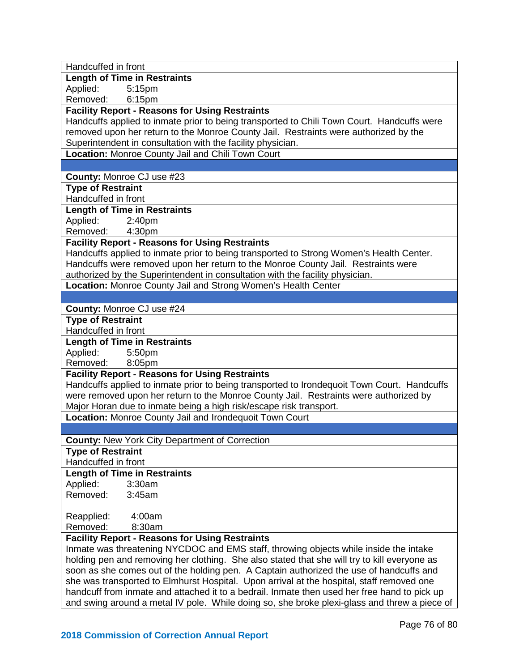| Handcuffed in front                                                                          |  |  |
|----------------------------------------------------------------------------------------------|--|--|
| <b>Length of Time in Restraints</b>                                                          |  |  |
| Applied:<br>5:15pm                                                                           |  |  |
| Removed:<br>6:15pm                                                                           |  |  |
| <b>Facility Report - Reasons for Using Restraints</b>                                        |  |  |
| Handcuffs applied to inmate prior to being transported to Chili Town Court. Handcuffs were   |  |  |
| removed upon her return to the Monroe County Jail. Restraints were authorized by the         |  |  |
| Superintendent in consultation with the facility physician.                                  |  |  |
| Location: Monroe County Jail and Chili Town Court                                            |  |  |
|                                                                                              |  |  |
| County: Monroe CJ use #23                                                                    |  |  |
| <b>Type of Restraint</b>                                                                     |  |  |
| Handcuffed in front                                                                          |  |  |
| <b>Length of Time in Restraints</b>                                                          |  |  |
| Applied:<br>2:40pm                                                                           |  |  |
| 4:30pm<br>Removed:                                                                           |  |  |
| <b>Facility Report - Reasons for Using Restraints</b>                                        |  |  |
| Handcuffs applied to inmate prior to being transported to Strong Women's Health Center.      |  |  |
| Handcuffs were removed upon her return to the Monroe County Jail. Restraints were            |  |  |
| authorized by the Superintendent in consultation with the facility physician.                |  |  |
| Location: Monroe County Jail and Strong Women's Health Center                                |  |  |
|                                                                                              |  |  |
|                                                                                              |  |  |
| <b>County: Monroe CJ use #24</b><br><b>Type of Restraint</b>                                 |  |  |
| Handcuffed in front                                                                          |  |  |
| <b>Length of Time in Restraints</b>                                                          |  |  |
| Applied:<br>5:50pm                                                                           |  |  |
| Removed:<br>8:05pm                                                                           |  |  |
| <b>Facility Report - Reasons for Using Restraints</b>                                        |  |  |
| Handcuffs applied to inmate prior to being transported to Irondequoit Town Court. Handcuffs  |  |  |
| were removed upon her return to the Monroe County Jail. Restraints were authorized by        |  |  |
| Major Horan due to inmate being a high risk/escape risk transport.                           |  |  |
| Location: Monroe County Jail and Irondequoit Town Court                                      |  |  |
|                                                                                              |  |  |
|                                                                                              |  |  |
| <b>County: New York City Department of Correction</b>                                        |  |  |
| <b>Type of Restraint</b><br>Handcuffed in front                                              |  |  |
|                                                                                              |  |  |
| <b>Length of Time in Restraints</b>                                                          |  |  |
| Applied:<br>3:30am                                                                           |  |  |
| Removed:<br>3:45am                                                                           |  |  |
|                                                                                              |  |  |
| Reapplied:<br>4:00am                                                                         |  |  |
| Removed:<br>8:30am                                                                           |  |  |
| <b>Facility Report - Reasons for Using Restraints</b>                                        |  |  |
| Inmate was threatening NYCDOC and EMS staff, throwing objects while inside the intake        |  |  |
| holding pen and removing her clothing. She also stated that she will try to kill everyone as |  |  |
| soon as she comes out of the holding pen. A Captain authorized the use of handcuffs and      |  |  |
| she was transported to Elmhurst Hospital. Upon arrival at the hospital, staff removed one    |  |  |
| handcuff from inmate and attached it to a bedrail. Inmate then used her free hand to pick up |  |  |
| and swing around a metal IV pole. While doing so, she broke plexi-glass and threw a piece of |  |  |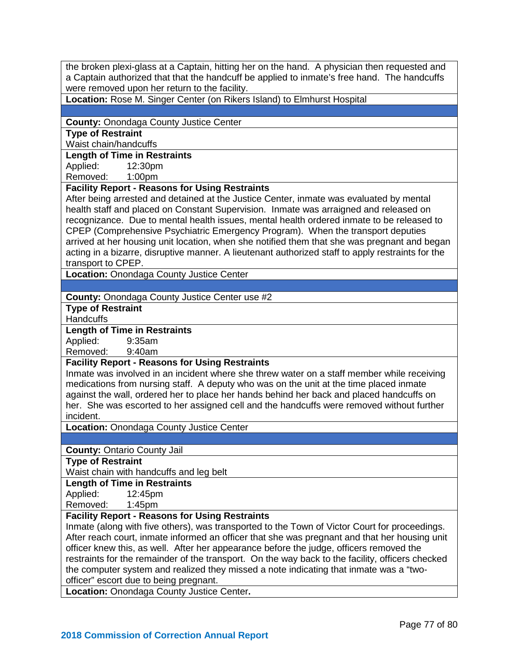the broken plexi-glass at a Captain, hitting her on the hand. A physician then requested and a Captain authorized that that the handcuff be applied to inmate's free hand. The handcuffs were removed upon her return to the facility.

**Location:** Rose M. Singer Center (on Rikers Island) to Elmhurst Hospital

#### **County:** Onondaga County Justice Center

**Type of Restraint** 

Waist chain/handcuffs

### **Length of Time in Restraints**

Applied: 12:30pm

Removed: 1:00pm

## **Facility Report - Reasons for Using Restraints**

After being arrested and detained at the Justice Center, inmate was evaluated by mental health staff and placed on Constant Supervision. Inmate was arraigned and released on recognizance. Due to mental health issues, mental health ordered inmate to be released to CPEP (Comprehensive Psychiatric Emergency Program). When the transport deputies arrived at her housing unit location, when she notified them that she was pregnant and began acting in a bizarre, disruptive manner. A lieutenant authorized staff to apply restraints for the transport to CPEP.

**Location:** Onondaga County Justice Center

**County:** Onondaga County Justice Center use #2

**Type of Restraint** 

**Handcuffs** 

**Length of Time in Restraints**

Applied: Removed: 9:40am

**Facility Report - Reasons for Using Restraints**

Inmate was involved in an incident where she threw water on a staff member while receiving medications from nursing staff. A deputy who was on the unit at the time placed inmate against the wall, ordered her to place her hands behind her back and placed handcuffs on her. She was escorted to her assigned cell and the handcuffs were removed without further incident.

**Location:** Onondaga County Justice Center

**County:** Ontario County Jail

**Type of Restraint** 

Waist chain with handcuffs and leg belt

#### **Length of Time in Restraints**

Applied: 12:45pm

Removed: 1:45pm

### **Facility Report - Reasons for Using Restraints**

Inmate (along with five others), was transported to the Town of Victor Court for proceedings. After reach court, inmate informed an officer that she was pregnant and that her housing unit officer knew this, as well. After her appearance before the judge, officers removed the restraints for the remainder of the transport. On the way back to the facility, officers checked the computer system and realized they missed a note indicating that inmate was a "twoofficer" escort due to being pregnant.

**Location:** Onondaga County Justice Center**.**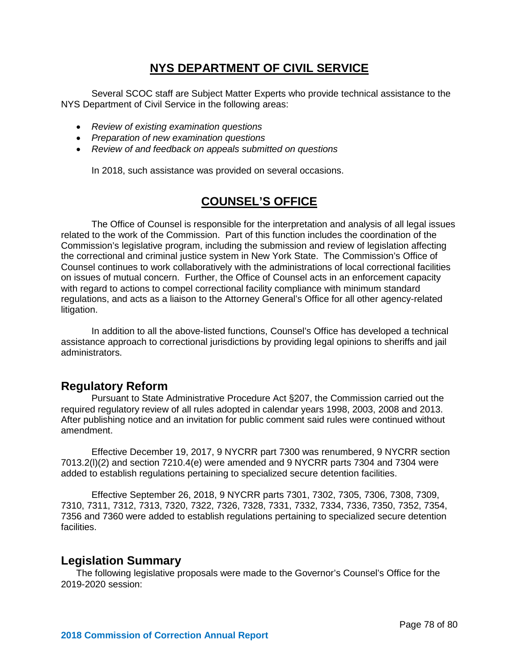# **NYS DEPARTMENT OF CIVIL SERVICE**

Several SCOC staff are Subject Matter Experts who provide technical assistance to the NYS Department of Civil Service in the following areas:

- *Review of existing examination questions*
- *Preparation of new examination questions*
- *Review of and feedback on appeals submitted on questions*

In 2018, such assistance was provided on several occasions.

# **COUNSEL'S OFFICE**

The Office of Counsel is responsible for the interpretation and analysis of all legal issues related to the work of the Commission. Part of this function includes the coordination of the Commission's legislative program, including the submission and review of legislation affecting the correctional and criminal justice system in New York State. The Commission's Office of Counsel continues to work collaboratively with the administrations of local correctional facilities on issues of mutual concern. Further, the Office of Counsel acts in an enforcement capacity with regard to actions to compel correctional facility compliance with minimum standard regulations, and acts as a liaison to the Attorney General's Office for all other agency-related litigation.

In addition to all the above-listed functions, Counsel's Office has developed a technical assistance approach to correctional jurisdictions by providing legal opinions to sheriffs and jail administrators.

# **Regulatory Reform**

Pursuant to State Administrative Procedure Act §207, the Commission carried out the required regulatory review of all rules adopted in calendar years 1998, 2003, 2008 and 2013. After publishing notice and an invitation for public comment said rules were continued without amendment.

Effective December 19, 2017, 9 NYCRR part 7300 was renumbered, 9 NYCRR section 7013.2(l)(2) and section 7210.4(e) were amended and 9 NYCRR parts 7304 and 7304 were added to establish regulations pertaining to specialized secure detention facilities.

Effective September 26, 2018, 9 NYCRR parts 7301, 7302, 7305, 7306, 7308, 7309, 7310, 7311, 7312, 7313, 7320, 7322, 7326, 7328, 7331, 7332, 7334, 7336, 7350, 7352, 7354, 7356 and 7360 were added to establish regulations pertaining to specialized secure detention facilities.

### **Legislation Summary**

The following legislative proposals were made to the Governor's Counsel's Office for the 2019-2020 session: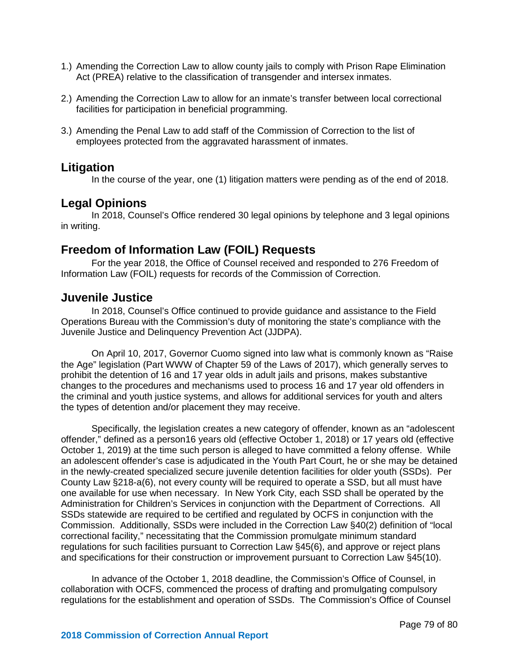- 1.) Amending the Correction Law to allow county jails to comply with Prison Rape Elimination Act (PREA) relative to the classification of transgender and intersex inmates.
- 2.) Amending the Correction Law to allow for an inmate's transfer between local correctional facilities for participation in beneficial programming.
- 3.) Amending the Penal Law to add staff of the Commission of Correction to the list of employees protected from the aggravated harassment of inmates.

## **Litigation**

In the course of the year, one (1) litigation matters were pending as of the end of 2018.

## **Legal Opinions**

In 2018, Counsel's Office rendered 30 legal opinions by telephone and 3 legal opinions in writing.

# **Freedom of Information Law (FOIL) Requests**

For the year 2018, the Office of Counsel received and responded to 276 Freedom of Information Law (FOIL) requests for records of the Commission of Correction.

## **Juvenile Justice**

In 2018, Counsel's Office continued to provide guidance and assistance to the Field Operations Bureau with the Commission's duty of monitoring the state's compliance with the Juvenile Justice and Delinquency Prevention Act (JJDPA).

On April 10, 2017, Governor Cuomo signed into law what is commonly known as "Raise the Age" legislation (Part WWW of Chapter 59 of the Laws of 2017), which generally serves to prohibit the detention of 16 and 17 year olds in adult jails and prisons, makes substantive changes to the procedures and mechanisms used to process 16 and 17 year old offenders in the criminal and youth justice systems, and allows for additional services for youth and alters the types of detention and/or placement they may receive.

Specifically, the legislation creates a new category of offender, known as an "adolescent offender," defined as a person16 years old (effective October 1, 2018) or 17 years old (effective October 1, 2019) at the time such person is alleged to have committed a felony offense. While an adolescent offender's case is adjudicated in the Youth Part Court, he or she may be detained in the newly-created specialized secure juvenile detention facilities for older youth (SSDs). Per County Law §218-a(6), not every county will be required to operate a SSD, but all must have one available for use when necessary. In New York City, each SSD shall be operated by the Administration for Children's Services in conjunction with the Department of Corrections. All SSDs statewide are required to be certified and regulated by OCFS in conjunction with the Commission. Additionally, SSDs were included in the Correction Law §40(2) definition of "local correctional facility," necessitating that the Commission promulgate minimum standard regulations for such facilities pursuant to Correction Law §45(6), and approve or reject plans and specifications for their construction or improvement pursuant to Correction Law §45(10).

In advance of the October 1, 2018 deadline, the Commission's Office of Counsel, in collaboration with OCFS, commenced the process of drafting and promulgating compulsory regulations for the establishment and operation of SSDs. The Commission's Office of Counsel